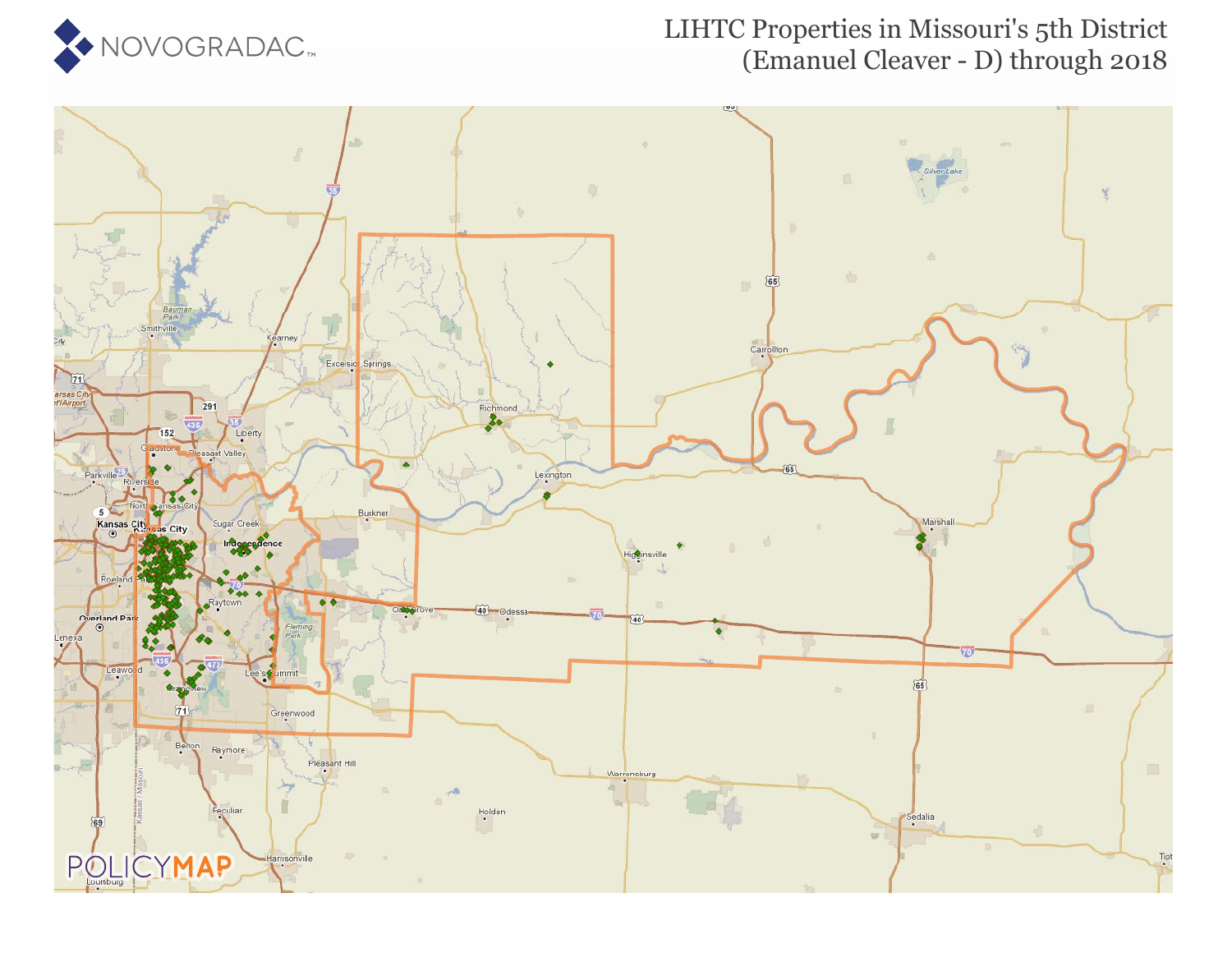

### LIHTC Properties in Missouri's 5th District (Emanuel Cleaver - D) through 2018

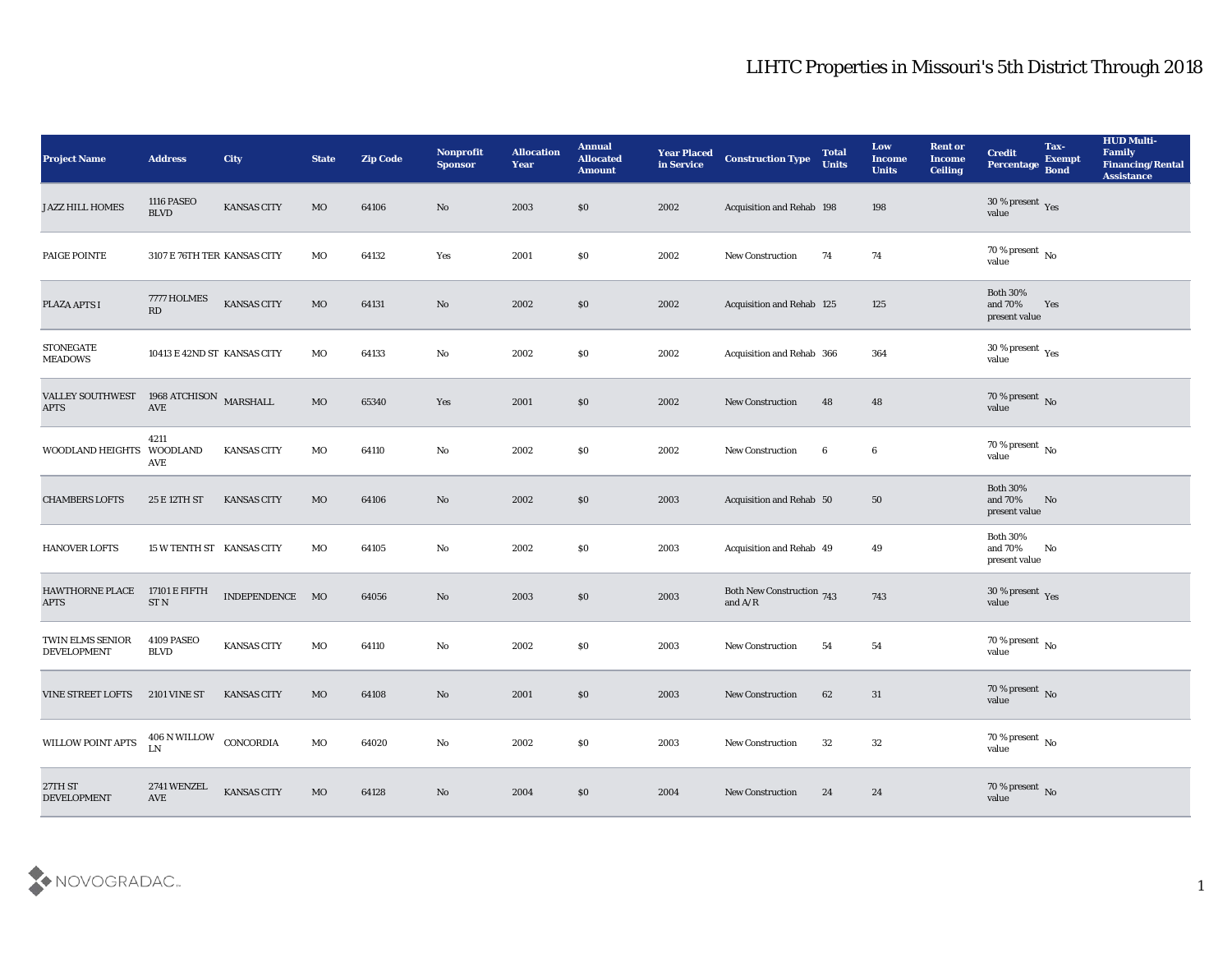| <b>Project Name</b>                    | <b>Address</b>                      | City               | <b>State</b> | <b>Zip Code</b> | <b>Nonprofit</b><br><b>Sponsor</b> | <b>Allocation</b><br><b>Year</b> | <b>Annual</b><br><b>Allocated</b><br><b>Amount</b> | <b>Year Placed</b><br>in Service | <b>Construction Type</b>                                                           | <b>Total</b><br><b>Units</b> | Low<br><b>Income</b><br><b>Units</b> | <b>Rent or</b><br><b>Income</b><br><b>Ceiling</b> | <b>Credit</b><br>Percentage                 | Tax-<br><b>Exempt</b><br><b>Bond</b> | <b>HUD Multi-</b><br>Family<br><b>Financing/Rental</b><br><b>Assistance</b> |
|----------------------------------------|-------------------------------------|--------------------|--------------|-----------------|------------------------------------|----------------------------------|----------------------------------------------------|----------------------------------|------------------------------------------------------------------------------------|------------------------------|--------------------------------------|---------------------------------------------------|---------------------------------------------|--------------------------------------|-----------------------------------------------------------------------------|
| <b>JAZZ HILL HOMES</b>                 | <b>1116 PASEO</b><br><b>BLVD</b>    | <b>KANSAS CITY</b> | MO           | 64106           | No                                 | 2003                             | $\$0$                                              | 2002                             | Acquisition and Rehab 198                                                          |                              | 198                                  |                                                   | $30\,\%$ present $\,$ Yes value             |                                      |                                                                             |
| PAIGE POINTE                           | 3107 E 76TH TER KANSAS CITY         |                    | МO           | 64132           | Yes                                | 2001                             | \$0                                                | 2002                             | <b>New Construction</b>                                                            | 74                           | 74                                   |                                                   | 70 % present $\,$ No $\,$<br>value          |                                      |                                                                             |
| PLAZA APTS I                           | 7777 HOLMES<br>RD                   | <b>KANSAS CITY</b> | $_{\rm MO}$  | 64131           | No                                 | 2002                             | \$0                                                | 2002                             | Acquisition and Rehab 125                                                          |                              | 125                                  |                                                   | <b>Both 30%</b><br>and 70%<br>present value | Yes                                  |                                                                             |
| <b>STONEGATE</b><br><b>MEADOWS</b>     | 10413 E 42ND ST KANSAS CITY         |                    | MO           | 64133           | No                                 | 2002                             | \$0                                                | 2002                             | Acquisition and Rehab 366                                                          |                              | 364                                  |                                                   | $30\,\%$ present $\,$ Yes value             |                                      |                                                                             |
| <b>VALLEY SOUTHWEST</b><br>$\rm APTS$  | 1968 ATCHISON $\,$ MARSHALL<br>AVE  |                    | <b>MO</b>    | 65340           | Yes                                | 2001                             | \$0                                                | 2002                             | <b>New Construction</b>                                                            | 48                           | 48                                   |                                                   | $70\,\%$ present $\,$ No value              |                                      |                                                                             |
| WOODLAND HEIGHTS WOODLAND              | 4211<br>AVE                         | <b>KANSAS CITY</b> | MO           | 64110           | No                                 | 2002                             | \$0                                                | 2002                             | <b>New Construction</b>                                                            | 6                            | 6                                    |                                                   | $70\,\%$ present $\,$ No value              |                                      |                                                                             |
| <b>CHAMBERS LOFTS</b>                  | 25 E 12TH ST                        | <b>KANSAS CITY</b> | MO           | 64106           | No                                 | 2002                             | \$0                                                | 2003                             | Acquisition and Rehab 50                                                           |                              | 50                                   |                                                   | <b>Both 30%</b><br>and 70%<br>present value | No                                   |                                                                             |
| <b>HANOVER LOFTS</b>                   | 15 W TENTH ST KANSAS CITY           |                    | МO           | 64105           | No                                 | 2002                             | $\$0$                                              | 2003                             | Acquisition and Rehab 49                                                           |                              | 49                                   |                                                   | <b>Both 30%</b><br>and 70%<br>present value | No                                   |                                                                             |
| <b>HAWTHORNE PLACE</b><br><b>APTS</b>  | 17101 E FIFTH<br>ST <sub>N</sub>    | INDEPENDENCE MO    |              | 64056           | No                                 | 2003                             | \$0                                                | 2003                             | Both New Construction 743<br>and $\ensuremath{\mathrm{A}}/\ensuremath{\mathrm{R}}$ |                              | 743                                  |                                                   | $30\,\%$ present $\,$ Yes value             |                                      |                                                                             |
| TWIN ELMS SENIOR<br><b>DEVELOPMENT</b> | 4109 PASEO<br><b>BLVD</b>           | <b>KANSAS CITY</b> | MO           | 64110           | No                                 | 2002                             | \$0                                                | 2003                             | <b>New Construction</b>                                                            | 54                           | 54                                   |                                                   | $70\,\%$ present $\,$ No value              |                                      |                                                                             |
| <b>VINE STREET LOFTS</b>               | <b>2101 VINE ST</b>                 | <b>KANSAS CITY</b> | MO           | 64108           | No                                 | 2001                             | \$0                                                | 2003                             | <b>New Construction</b>                                                            | 62                           | 31                                   |                                                   | 70 % present No<br>value                    |                                      |                                                                             |
| WILLOW POINT APTS                      | 406 N WILLOW CONCORDIA<br>LN        |                    | $_{\rm MO}$  | 64020           | $\rm\thinspace No$                 | 2002                             | $\$0$                                              | 2003                             | New Construction                                                                   | 32                           | $32\,$                               |                                                   | $70\,\%$ present $\,$ No value              |                                      |                                                                             |
| 27TH ST<br><b>DEVELOPMENT</b>          | 2741 WENZEL<br>$\operatorname{AVE}$ | <b>KANSAS CITY</b> | $_{\rm MO}$  | 64128           | $\rm\thinspace No$                 | 2004                             | $\$0$                                              | 2004                             | <b>New Construction</b>                                                            | 24                           | 24                                   |                                                   | $70\,\%$ present $\,$ No value              |                                      |                                                                             |

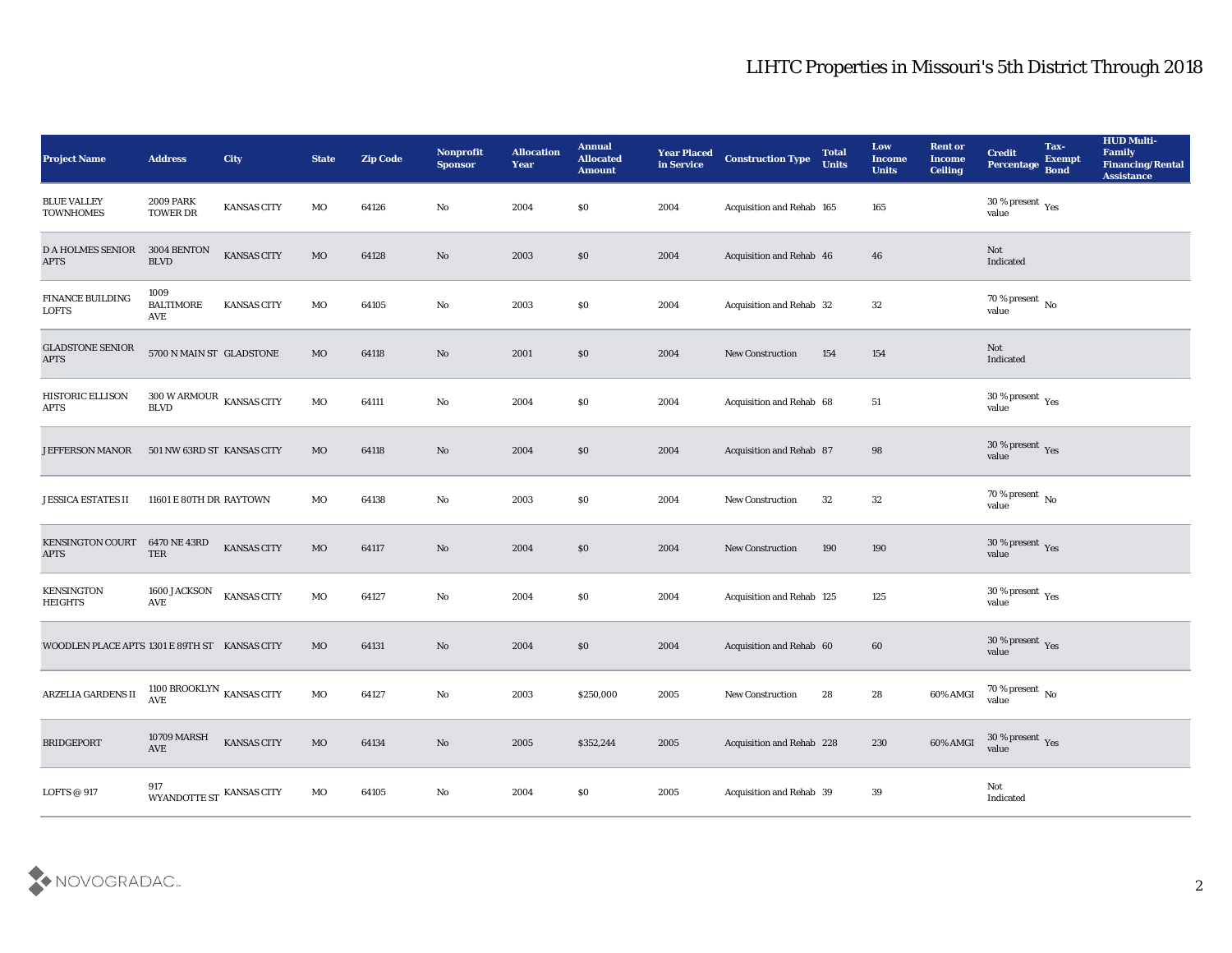| <b>Project Name</b>                           | <b>Address</b>                                         | City               | <b>State</b> | <b>Zip Code</b> | Nonprofit<br><b>Sponsor</b> | <b>Allocation</b><br>Year | <b>Annual</b><br><b>Allocated</b><br><b>Amount</b> | <b>Year Placed</b><br>in Service | <b>Construction Type</b>  | <b>Total</b><br><b>Units</b> | Low<br><b>Income</b><br><b>Units</b> | <b>Rent or</b><br><b>Income</b><br><b>Ceiling</b> | <b>Credit</b><br><b>Percentage</b>            | Tax-<br><b>Exempt</b><br><b>Bond</b> | <b>HUD Multi-</b><br>Family<br><b>Financing/Rental</b><br><b>Assistance</b> |
|-----------------------------------------------|--------------------------------------------------------|--------------------|--------------|-----------------|-----------------------------|---------------------------|----------------------------------------------------|----------------------------------|---------------------------|------------------------------|--------------------------------------|---------------------------------------------------|-----------------------------------------------|--------------------------------------|-----------------------------------------------------------------------------|
| <b>BLUE VALLEY</b><br><b>TOWNHOMES</b>        | <b>2009 PARK</b><br><b>TOWER DR</b>                    | <b>KANSAS CITY</b> | MO           | 64126           | No                          | 2004                      | \$0                                                | 2004                             | Acquisition and Rehab 165 |                              | 165                                  |                                                   | 30 % present $_{\rm Yes}$<br>value            |                                      |                                                                             |
| <b>D A HOLMES SENIOR</b><br><b>APTS</b>       | 3004 BENTON<br><b>BLVD</b>                             | <b>KANSAS CITY</b> | MO           | 64128           | No                          | 2003                      | \$0                                                | 2004                             | Acquisition and Rehab 46  |                              | 46                                   |                                                   | Not<br>Indicated                              |                                      |                                                                             |
| FINANCE BUILDING<br><b>LOFTS</b>              | 1009<br><b>BALTIMORE</b><br>AVE                        | <b>KANSAS CITY</b> | MO           | 64105           | No                          | 2003                      | \$0                                                | 2004                             | Acquisition and Rehab 32  |                              | 32                                   |                                                   | $70\,\%$ present $\,$ No value                |                                      |                                                                             |
| <b>GLADSTONE SENIOR</b><br><b>APTS</b>        | 5700 N MAIN ST GLADSTONE                               |                    | MO           | 64118           | No                          | 2001                      | \$0                                                | 2004                             | <b>New Construction</b>   | 154                          | 154                                  |                                                   | Not<br>Indicated                              |                                      |                                                                             |
| <b>HISTORIC ELLISON</b><br>APTS               | $300$ W ARMOUR $\,$ KANSAS CITY<br><b>BLVD</b>         |                    | MO           | 64111           | No                          | 2004                      | \$0                                                | 2004                             | Acquisition and Rehab 68  |                              | 51                                   |                                                   | 30 % present $\,\rm \gamma_{\rm es}$<br>value |                                      |                                                                             |
| <b>JEFFERSON MANOR</b>                        | 501 NW 63RD ST KANSAS CITY                             |                    | <b>MO</b>    | 64118           | No                          | 2004                      | \$0                                                | 2004                             | Acquisition and Rehab 87  |                              | 98                                   |                                                   | $30\,\%$ present $\,$ Yes value               |                                      |                                                                             |
| <b>JESSICA ESTATES II</b>                     | 11601 E 80TH DR RAYTOWN                                |                    | MO           | 64138           | No                          | 2003                      | \$0                                                | 2004                             | <b>New Construction</b>   | 32                           | 32                                   |                                                   | 70 % present $\,$ No $\,$<br>value            |                                      |                                                                             |
| <b>KENSINGTON COURT</b><br><b>APTS</b>        | 6470 NE 43RD<br>TER                                    | <b>KANSAS CITY</b> | MO           | 64117           | No                          | 2004                      | \$0                                                | 2004                             | <b>New Construction</b>   | 190                          | 190                                  |                                                   | $30\,\%$ present $\,$ Yes value               |                                      |                                                                             |
| <b>KENSINGTON</b><br><b>HEIGHTS</b>           | 1600 JACKSON<br>AVE                                    | <b>KANSAS CITY</b> | MO           | 64127           | No                          | 2004                      | \$0                                                | 2004                             | Acquisition and Rehab 125 |                              | 125                                  |                                                   | $30\,\%$ present $\,$ Yes value               |                                      |                                                                             |
| WOODLEN PLACE APTS 1301 E 89TH ST KANSAS CITY |                                                        |                    | MO           | 64131           | No                          | 2004                      | \$0                                                | 2004                             | Acquisition and Rehab 60  |                              | 60                                   |                                                   | $30\,\%$ present $\,$ Yes value               |                                      |                                                                             |
| ARZELIA GARDENS II                            | 1100 BROOKLYN $\,$ KANSAS CITY<br>$\operatorname{AVE}$ |                    | MO           | 64127           | No                          | 2003                      | \$250,000                                          | 2005                             | <b>New Construction</b>   | 28                           | 28                                   | 60% AMGI                                          | 70 % present $\,$ No $\,$<br>value            |                                      |                                                                             |
| <b>BRIDGEPORT</b>                             | <b>10709 MARSH</b><br>$\operatorname{AVE}$             | KANSAS CITY        | $_{\rm MO}$  | 64134           | $\rm\, No$                  | 2005                      | \$352,244                                          | 2005                             | Acquisition and Rehab 228 |                              | 230                                  | 60% AMGI                                          | $30\,\%$ present $\,\mathrm{Yes}$ value       |                                      |                                                                             |
| LOFTS @ $917$                                 | $917$ WYANDOTTE ST $\,$ KANSAS CITY                    |                    | $_{\rm MO}$  | 64105           | $\mathbf {No}$              | 2004                      | $\$0$                                              | 2005                             | Acquisition and Rehab 39  |                              | $39\,$                               |                                                   | $\operatorname{\bf Not}$<br>Indicated         |                                      |                                                                             |

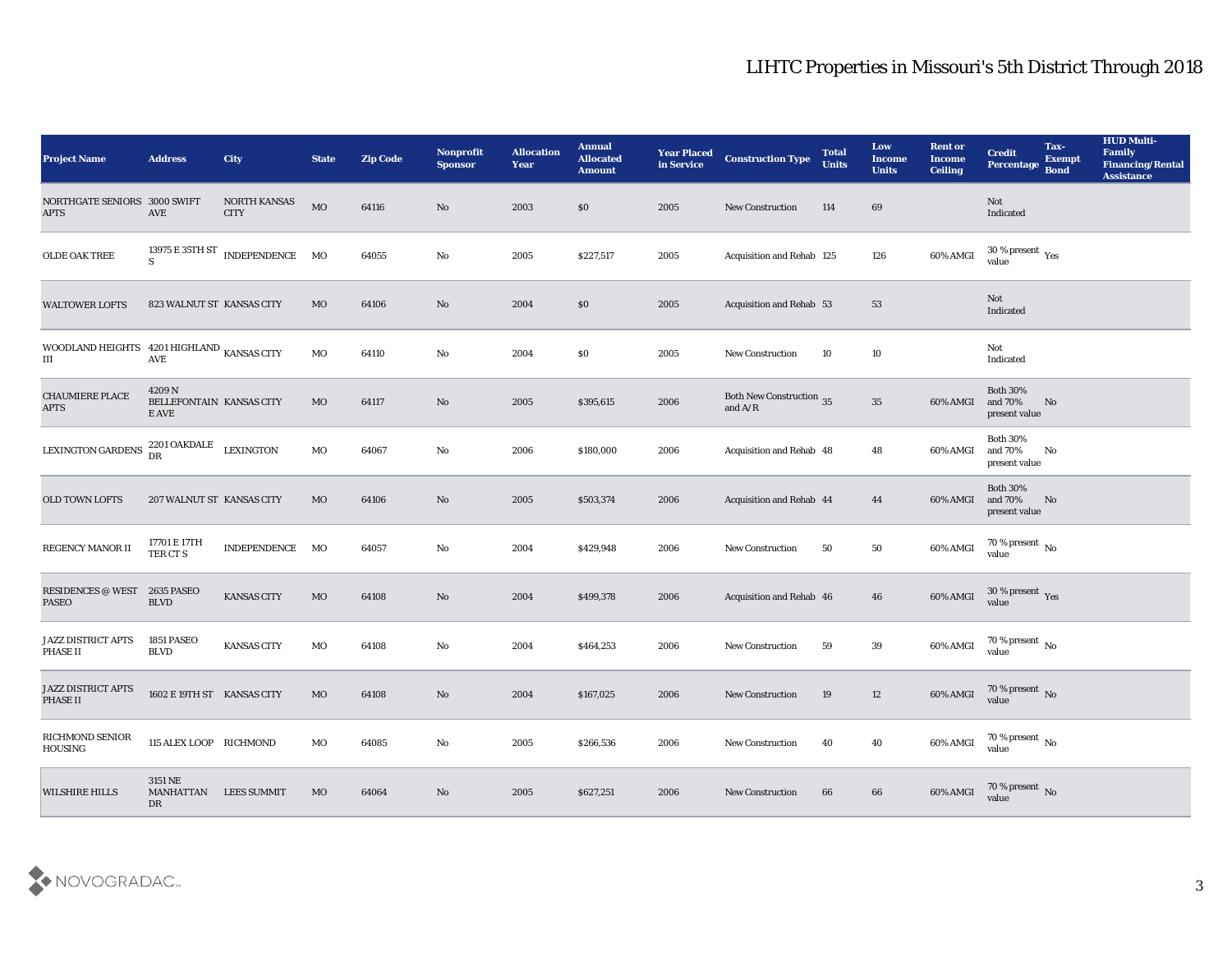| <b>Project Name</b>                                     | <b>Address</b>                             | <b>City</b>                                       | <b>State</b> | <b>Zip Code</b> | Nonprofit<br><b>Sponsor</b> | <b>Allocation</b><br><b>Year</b> | <b>Annual</b><br><b>Allocated</b><br><b>Amount</b> | <b>Year Placed</b><br>in Service | <b>Construction Type</b>                                                                 | <b>Total</b><br><b>Units</b> | Low<br><b>Income</b><br><b>Units</b> | <b>Rent or</b><br><b>Income</b><br><b>Ceiling</b> | <b>Credit</b><br>Percentage                   | Tax-<br><b>Exempt</b><br><b>Bond</b> | <b>HUD Multi-</b><br>Family<br><b>Financing/Rental</b><br><b>Assistance</b> |
|---------------------------------------------------------|--------------------------------------------|---------------------------------------------------|--------------|-----------------|-----------------------------|----------------------------------|----------------------------------------------------|----------------------------------|------------------------------------------------------------------------------------------|------------------------------|--------------------------------------|---------------------------------------------------|-----------------------------------------------|--------------------------------------|-----------------------------------------------------------------------------|
| NORTHGATE SENIORS 3000 SWIFT<br><b>APTS</b>             | AVE                                        | NORTH KANSAS<br><b>CITY</b>                       | MO           | 64116           | No                          | 2003                             | \$0                                                | 2005                             | <b>New Construction</b>                                                                  | 114                          | 69                                   |                                                   | Not<br>Indicated                              |                                      |                                                                             |
| OLDE OAK TREE                                           | S                                          | $13975\to 35\text{TH}\,\text{ST}$ INDEPENDENCE MO |              | 64055           | No                          | 2005                             | \$227,517                                          | 2005                             | Acquisition and Rehab 125                                                                |                              | 126                                  | 60% AMGI                                          | $30\,\%$ present $\,$ Yes value               |                                      |                                                                             |
| <b>WALTOWER LOFTS</b>                                   | 823 WALNUT ST KANSAS CITY                  |                                                   | MO           | 64106           | No                          | 2004                             | \$0                                                | 2005                             | <b>Acquisition and Rehab 53</b>                                                          |                              | 53                                   |                                                   | Not<br>Indicated                              |                                      |                                                                             |
| WOODLAND HEIGHTS 4201 HIGHLAND KANSAS CITY<br>$\rm III$ | AVE                                        |                                                   | MO           | 64110           | No                          | 2004                             | \$0                                                | 2005                             | <b>New Construction</b>                                                                  | 10                           | 10                                   |                                                   | Not<br>Indicated                              |                                      |                                                                             |
| CHAUMIERE PLACE<br><b>APTS</b>                          | 4209N<br>BELLEFONTAIN KANSAS CITY<br>E AVE |                                                   | MO           | 64117           | No                          | 2005                             | \$395,615                                          | 2006                             | <b>Both New Construction</b> 35<br>and $\ensuremath{\mathrm{A}}/\ensuremath{\mathrm{R}}$ |                              | 35                                   | 60% AMGI                                          | <b>Both 30%</b><br>and 70%<br>present value   | No                                   |                                                                             |
| <b>LEXINGTON GARDENS</b>                                | 2201 OAKDALE<br>DR                         | <b>LEXINGTON</b>                                  | MO           | 64067           | No                          | 2006                             | \$180,000                                          | 2006                             | Acquisition and Rehab 48                                                                 |                              | 48                                   | 60% AMGI                                          | <b>Both 30%</b><br>and 70%<br>present value   | No                                   |                                                                             |
| <b>OLD TOWN LOFTS</b>                                   | 207 WALNUT ST KANSAS CITY                  |                                                   | MO           | 64106           | No                          | 2005                             | \$503,374                                          | 2006                             | Acquisition and Rehab 44                                                                 |                              | 44                                   | 60% AMGI                                          | <b>Both 30%</b><br>and 70%<br>present value   | No                                   |                                                                             |
| REGENCY MANOR II                                        | 17701 E 17TH<br>TER CT S                   | INDEPENDENCE                                      | MO           | 64057           | No                          | 2004                             | \$429,948                                          | 2006                             | <b>New Construction</b>                                                                  | 50                           | 50                                   | 60% AMGI                                          | 70 % present $\sqrt{\phantom{a}}$ No<br>value |                                      |                                                                             |
| <b>RESIDENCES @ WEST</b><br><b>PASEO</b>                | <b>2635 PASEO</b><br><b>BLVD</b>           | <b>KANSAS CITY</b>                                | MO           | 64108           | No                          | 2004                             | \$499,378                                          | 2006                             | Acquisition and Rehab 46                                                                 |                              | 46                                   | 60% AMGI                                          | $30\,\%$ present $\,$ Yes value               |                                      |                                                                             |
| <b>JAZZ DISTRICT APTS</b><br>PHASE II                   | 1851 PASEO<br><b>BLVD</b>                  | <b>KANSAS CITY</b>                                | MO           | 64108           | No                          | 2004                             | \$464,253                                          | 2006                             | <b>New Construction</b>                                                                  | 59                           | 39                                   | 60% AMGI                                          | $70\,\%$ present $\,$ No value                |                                      |                                                                             |
| JAZZ DISTRICT APTS<br>PHASE II                          | 1602 E 19TH ST KANSAS CITY                 |                                                   | MO           | 64108           | No                          | 2004                             | \$167,025                                          | 2006                             | <b>New Construction</b>                                                                  | 19                           | 12                                   | 60% AMGI                                          | 70 % present No<br>value                      |                                      |                                                                             |
| RICHMOND SENIOR<br>HOUSING                              | 115 ALEX LOOP RICHMOND                     |                                                   | MO           | 64085           | $\rm\thinspace No$          | 2005                             | \$266,536                                          | 2006                             | <b>New Construction</b>                                                                  | 40                           | 40                                   | 60% AMGI                                          | 70 % present $\,$ No $\,$<br>value            |                                      |                                                                             |
| <b>WILSHIRE HILLS</b>                                   | 3151 NE<br><b>MANHATTAN</b><br>DR          | <b>LEES SUMMIT</b>                                | MO           | 64064           | No                          | 2005                             | \$627,251                                          | 2006                             | <b>New Construction</b>                                                                  | 66                           | 66                                   | 60% AMGI                                          | 70 % present No<br>value                      |                                      |                                                                             |

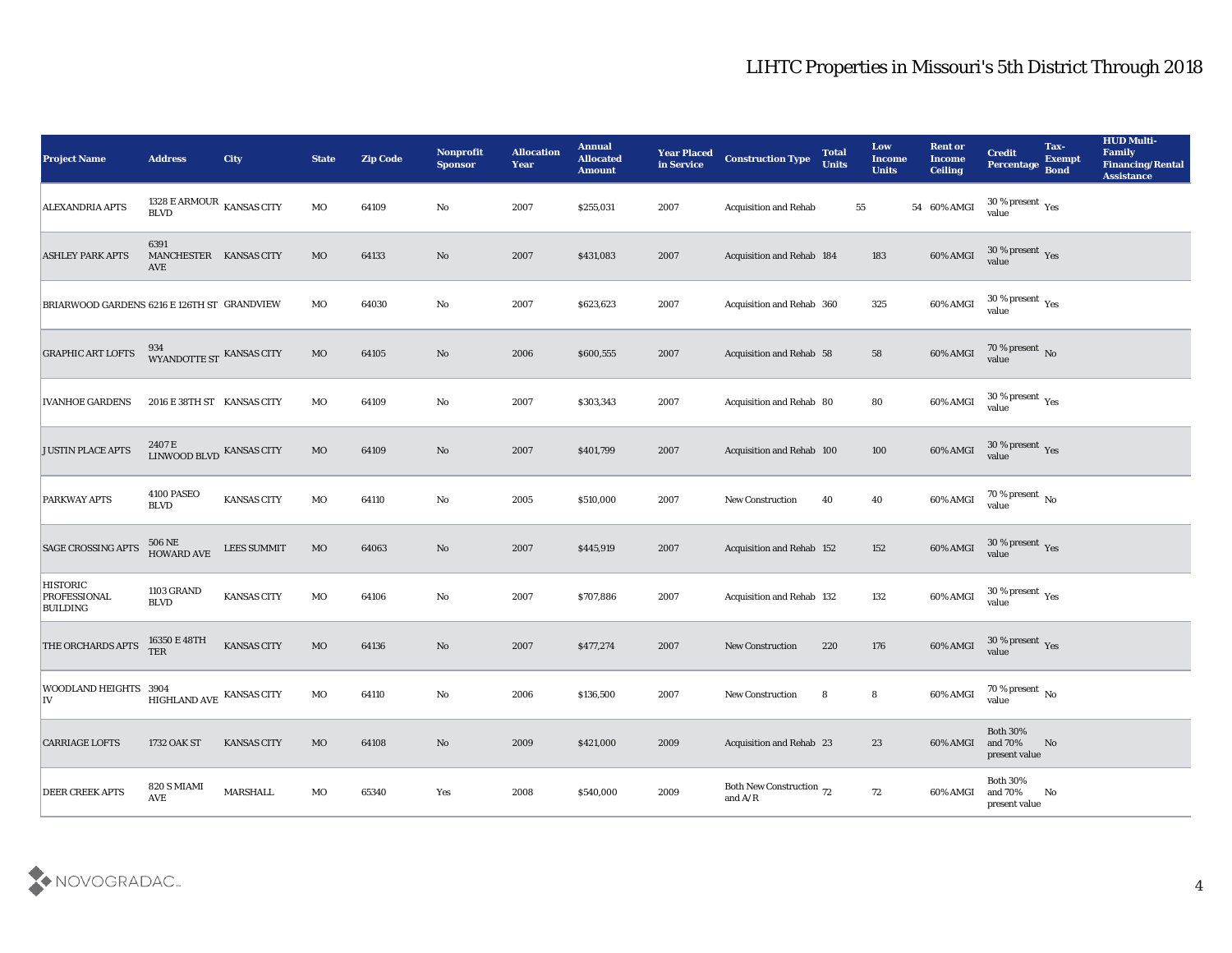| <b>Project Name</b>                                       | <b>Address</b>                                          | <b>City</b>        | <b>State</b> | <b>Zip Code</b> | Nonprofit<br><b>Sponsor</b> | <b>Allocation</b><br><b>Year</b> | <b>Annual</b><br><b>Allocated</b><br><b>Amount</b> | <b>Year Placed</b><br>in Service | <b>Construction Type</b>                                                          | <b>Total</b><br><b>Units</b> | Low<br>Income<br><b>Units</b> | <b>Rent or</b><br><b>Income</b><br><b>Ceiling</b> | <b>Credit</b><br>Percentage                          | Tax-<br><b>Exempt</b><br><b>Bond</b> | <b>HUD Multi-</b><br>Family<br><b>Financing/Rental</b><br><b>Assistance</b> |
|-----------------------------------------------------------|---------------------------------------------------------|--------------------|--------------|-----------------|-----------------------------|----------------------------------|----------------------------------------------------|----------------------------------|-----------------------------------------------------------------------------------|------------------------------|-------------------------------|---------------------------------------------------|------------------------------------------------------|--------------------------------------|-----------------------------------------------------------------------------|
| <b>ALEXANDRIA APTS</b>                                    | 1328 E ARMOUR $\,$ KANSAS CITY<br>$\operatorname{BLVD}$ |                    | MO           | 64109           | No                          | 2007                             | \$255,031                                          | 2007                             | <b>Acquisition and Rehab</b>                                                      | 55                           |                               | 54 60% AMGI                                       | $30\,\%$ present $\,\mathrm{Yes}$<br>value           |                                      |                                                                             |
| <b>ASHLEY PARK APTS</b>                                   | 6391<br>MANCHESTER KANSAS CITY<br>AVE                   |                    | MO           | 64133           | No                          | 2007                             | \$431,083                                          | 2007                             | Acquisition and Rehab 184                                                         |                              | 183                           | 60% AMGI                                          | $30\,\%$ present $\,\mathrm{Yes}$ value              |                                      |                                                                             |
| BRIARWOOD GARDENS 6216 E 126TH ST GRANDVIEW               |                                                         |                    | MO           | 64030           | No                          | 2007                             | \$623,623                                          | 2007                             | Acquisition and Rehab 360                                                         |                              | 325                           | 60% AMGI                                          | 30 % present $\rm\thinspace\gamma_{\rm es}$<br>value |                                      |                                                                             |
| <b>GRAPHIC ART LOFTS</b>                                  | 934<br>WYANDOTTE ST KANSAS CITY                         |                    | MO           | 64105           | No                          | 2006                             | \$600,555                                          | 2007                             | <b>Acquisition and Rehab 58</b>                                                   |                              | 58                            | 60% AMGI                                          | $70\,\%$ present $\,$ No value                       |                                      |                                                                             |
| <b>IVANHOE GARDENS</b>                                    | 2016 E 38TH ST KANSAS CITY                              |                    | MO           | 64109           | No                          | 2007                             | \$303,343                                          | 2007                             | Acquisition and Rehab 80                                                          |                              | 80                            | 60% AMGI                                          | $30\,\%$ present $\,$ Yes value                      |                                      |                                                                             |
| <b>JUSTIN PLACE APTS</b>                                  | LINWOOD BLVD KANSAS CITY                                |                    | MO           | 64109           | No                          | 2007                             | \$401,799                                          | 2007                             | Acquisition and Rehab 100                                                         |                              | 100                           | 60% AMGI                                          | $30\,\%$ present $\,$ Yes value                      |                                      |                                                                             |
| <b>PARKWAY APTS</b>                                       | 4100 PASEO<br><b>BLVD</b>                               | <b>KANSAS CITY</b> | MO           | 64110           | No                          | 2005                             | \$510,000                                          | 2007                             | <b>New Construction</b>                                                           | 40                           | 40                            | 60% AMGI                                          | $70$ % present $\,$ No $\,$ value                    |                                      |                                                                             |
| <b>SAGE CROSSING APTS</b>                                 | 506 NE<br>HOWARD AVE                                    | <b>LEES SUMMIT</b> | MO           | 64063           | No                          | 2007                             | \$445,919                                          | 2007                             | Acquisition and Rehab 152                                                         |                              | 152                           | 60% AMGI                                          | $30\,\%$ present $\,$ Yes value                      |                                      |                                                                             |
| <b>HISTORIC</b><br><b>PROFESSIONAL</b><br><b>BUILDING</b> | <b>1103 GRAND</b><br><b>BLVD</b>                        | <b>KANSAS CITY</b> | MO           | 64106           | No                          | 2007                             | \$707,886                                          | 2007                             | Acquisition and Rehab 132                                                         |                              | 132                           | 60% AMGI                                          | $30\,\%$ present $\,$ Yes value                      |                                      |                                                                             |
| THE ORCHARDS APTS                                         | 16350 E 48TH<br><b>TER</b>                              | KANSAS CITY        | MO           | 64136           | No                          | 2007                             | \$477,274                                          | 2007                             | <b>New Construction</b>                                                           | 220                          | 176                           | 60% AMGI                                          | $30\,\%$ present $\,$ Yes value                      |                                      |                                                                             |
| WOODLAND HEIGHTS 3904<br>IV                               | HIGHLAND AVE $\,$ KANSAS CITY                           |                    | MO           | 64110           | No                          | 2006                             | \$136,500                                          | 2007                             | <b>New Construction</b>                                                           | 8                            | 8                             | 60% AMGI                                          | 70 % present $\,$ No $\,$<br>value                   |                                      |                                                                             |
| <b>CARRIAGE LOFTS</b>                                     | 1732 OAK ST                                             | <b>KANSAS CITY</b> | MO           | 64108           | $\mathbf {No}$              | 2009                             | \$421,000                                          | 2009                             | Acquisition and Rehab 23                                                          |                              | 23                            | 60% AMGI                                          | Both $30\%$<br>and $70\%$<br>present value           | N <sub>o</sub>                       |                                                                             |
| <b>DEER CREEK APTS</b>                                    | 820 S MIAMI<br><b>AVE</b>                               | <b>MARSHALL</b>    | MO           | 65340           | $\mathbf{Yes}$              | 2008                             | \$540,000                                          | 2009                             | Both New Construction 72<br>and $\ensuremath{\mathrm{A}}/\ensuremath{\mathrm{R}}$ |                              | $72\,$                        | 60% AMGI                                          | Both $30\%$<br>and 70%<br>present value              | No                                   |                                                                             |

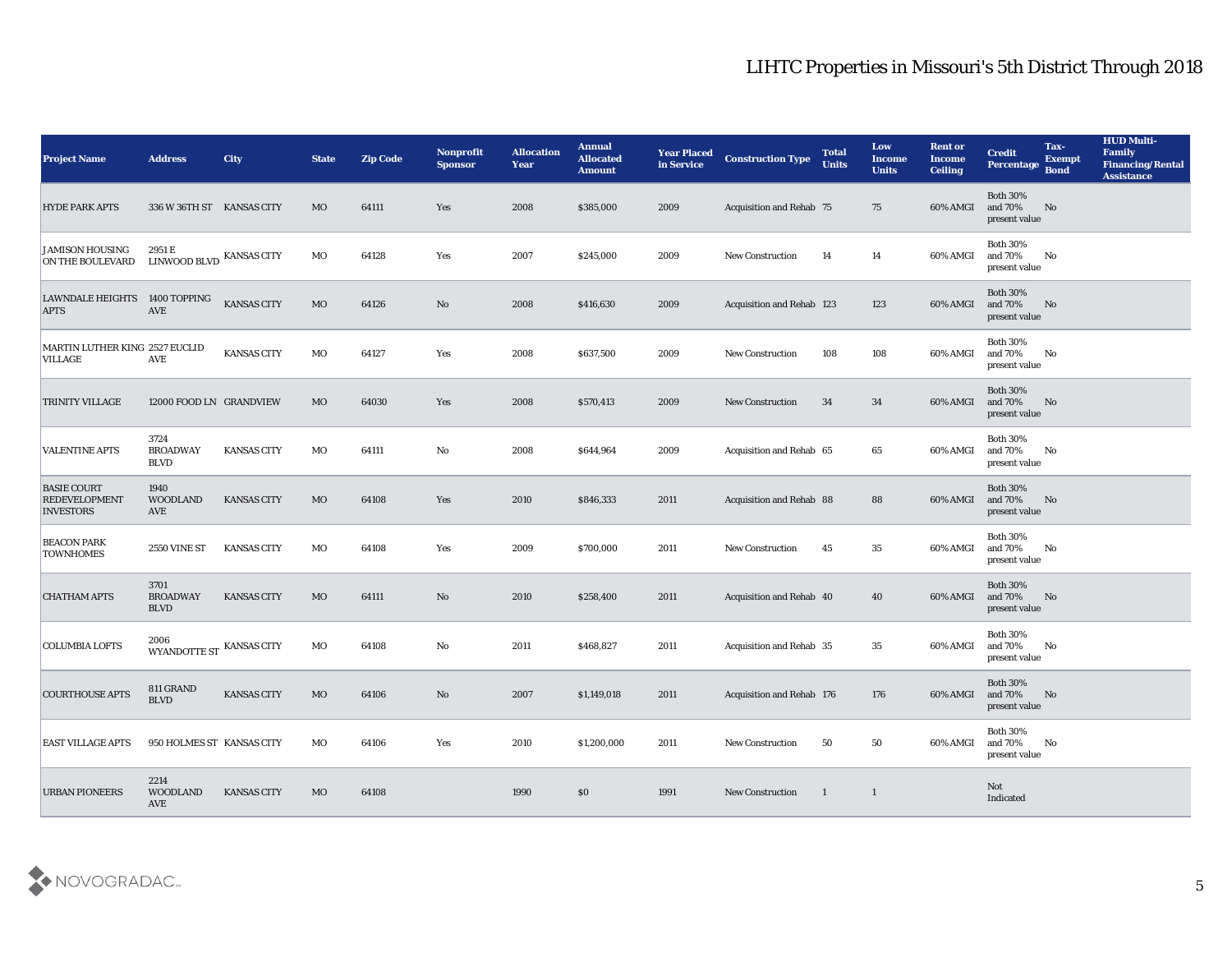| <b>Project Name</b>                                            | <b>Address</b>                         | <b>City</b>        | <b>State</b> | <b>Zip Code</b> | Nonprofit<br><b>Sponsor</b> | <b>Allocation</b><br><b>Year</b> | <b>Annual</b><br><b>Allocated</b><br><b>Amount</b> | <b>Year Placed</b><br>in Service | <b>Construction Type</b>  | <b>Total</b><br><b>Units</b> | Low<br><b>Income</b><br><b>Units</b> | <b>Rent or</b><br>Income<br><b>Ceiling</b> | <b>Credit</b><br>Percentage                 | Tax-<br><b>Exempt</b><br><b>Bond</b> | <b>HUD Multi-</b><br>Family<br><b>Financing/Rental</b><br><b>Assistance</b> |
|----------------------------------------------------------------|----------------------------------------|--------------------|--------------|-----------------|-----------------------------|----------------------------------|----------------------------------------------------|----------------------------------|---------------------------|------------------------------|--------------------------------------|--------------------------------------------|---------------------------------------------|--------------------------------------|-----------------------------------------------------------------------------|
| <b>HYDE PARK APTS</b>                                          | 336 W 36TH ST KANSAS CITY              |                    | <b>MO</b>    | 64111           | Yes                         | 2008                             | \$385,000                                          | 2009                             | Acquisition and Rehab 75  |                              | 75                                   | 60% AMGI                                   | <b>Both 30%</b><br>and 70%<br>present value | No                                   |                                                                             |
| <b>JAMISON HOUSING</b><br>ON THE BOULEVARD                     | 2951 E<br><b>LINWOOD BLVD</b>          | <b>KANSAS CITY</b> | MO           | 64128           | Yes                         | 2007                             | \$245,000                                          | 2009                             | <b>New Construction</b>   | 14                           | 14                                   | 60% AMGI                                   | <b>Both 30%</b><br>and 70%<br>present value | No                                   |                                                                             |
| <b>LAWNDALE HEIGHTS</b><br><b>APTS</b>                         | 1400 TOPPING<br><b>AVE</b>             | <b>KANSAS CITY</b> | MO           | 64126           | No                          | 2008                             | \$416,630                                          | 2009                             | Acquisition and Rehab 123 |                              | 123                                  | 60% AMGI                                   | <b>Both 30%</b><br>and 70%<br>present value | No                                   |                                                                             |
| MARTIN LUTHER KING 2527 EUCLID<br><b>VILLAGE</b>               | <b>AVE</b>                             | <b>KANSAS CITY</b> | MO           | 64127           | Yes                         | 2008                             | \$637,500                                          | 2009                             | <b>New Construction</b>   | 108                          | 108                                  | 60% AMGI                                   | <b>Both 30%</b><br>and 70%<br>present value | No                                   |                                                                             |
| <b>TRINITY VILLAGE</b>                                         | 12000 FOOD LN GRANDVIEW                |                    | MO           | 64030           | Yes                         | 2008                             | \$570,413                                          | 2009                             | <b>New Construction</b>   | 34                           | 34                                   | 60% AMGI                                   | <b>Both 30%</b><br>and 70%<br>present value | No                                   |                                                                             |
| <b>VALENTINE APTS</b>                                          | 3724<br><b>BROADWAY</b><br><b>BLVD</b> | <b>KANSAS CITY</b> | MO           | 64111           | No                          | 2008                             | \$644,964                                          | 2009                             | Acquisition and Rehab 65  |                              | 65                                   | 60% AMGI                                   | <b>Both 30%</b><br>and 70%<br>present value | No                                   |                                                                             |
| <b>BASIE COURT</b><br><b>REDEVELOPMENT</b><br><b>INVESTORS</b> | 1940<br><b>WOODLAND</b><br>AVE         | <b>KANSAS CITY</b> | MO           | 64108           | Yes                         | 2010                             | \$846,333                                          | 2011                             | Acquisition and Rehab 88  |                              | 88                                   | 60% AMGI                                   | <b>Both 30%</b><br>and 70%<br>present value | No                                   |                                                                             |
| <b>BEACON PARK</b><br><b>TOWNHOMES</b>                         | <b>2550 VINE ST</b>                    | <b>KANSAS CITY</b> | MO           | 64108           | Yes                         | 2009                             | \$700,000                                          | 2011                             | <b>New Construction</b>   | 45                           | 35                                   | 60% AMGI                                   | <b>Both 30%</b><br>and 70%<br>present value | No                                   |                                                                             |
| <b>CHATHAM APTS</b>                                            | 3701<br><b>BROADWAY</b><br><b>BLVD</b> | <b>KANSAS CITY</b> | MO           | 64111           | No                          | 2010                             | \$258,400                                          | 2011                             | Acquisition and Rehab 40  |                              | 40                                   | 60% AMGI                                   | <b>Both 30%</b><br>and 70%<br>present value | No                                   |                                                                             |
| <b>COLUMBIA LOFTS</b>                                          | 2006<br>WYANDOTTE ST KANSAS CITY       |                    | MO           | 64108           | No                          | 2011                             | \$468,827                                          | 2011                             | Acquisition and Rehab 35  |                              | 35                                   | 60% AMGI                                   | <b>Both 30%</b><br>and 70%<br>present value | No                                   |                                                                             |
| <b>COURTHOUSE APTS</b>                                         | 811 GRAND<br><b>BLVD</b>               | <b>KANSAS CITY</b> | MO           | 64106           | No                          | 2007                             | \$1,149,018                                        | 2011                             | Acquisition and Rehab 176 |                              | 176                                  | 60% AMGI                                   | <b>Both 30%</b><br>and 70%<br>present value | No                                   |                                                                             |
| <b>EAST VILLAGE APTS</b>                                       | 950 HOLMES ST KANSAS CITY              |                    | MO           | 64106           | Yes                         | 2010                             | \$1,200,000                                        | 2011                             | New Construction          | 50                           | 50                                   | 60% AMGI                                   | <b>Both 30%</b><br>and 70%<br>present value | No                                   |                                                                             |
| <b>URBAN PIONEERS</b>                                          | 2214<br>WOODLAND<br>AVE                | <b>KANSAS CITY</b> | MO           | 64108           |                             | 1990                             | \$0                                                | 1991                             | New Construction          | $\blacksquare$               | $\mathbf{1}$                         |                                            | Not<br>Indicated                            |                                      |                                                                             |

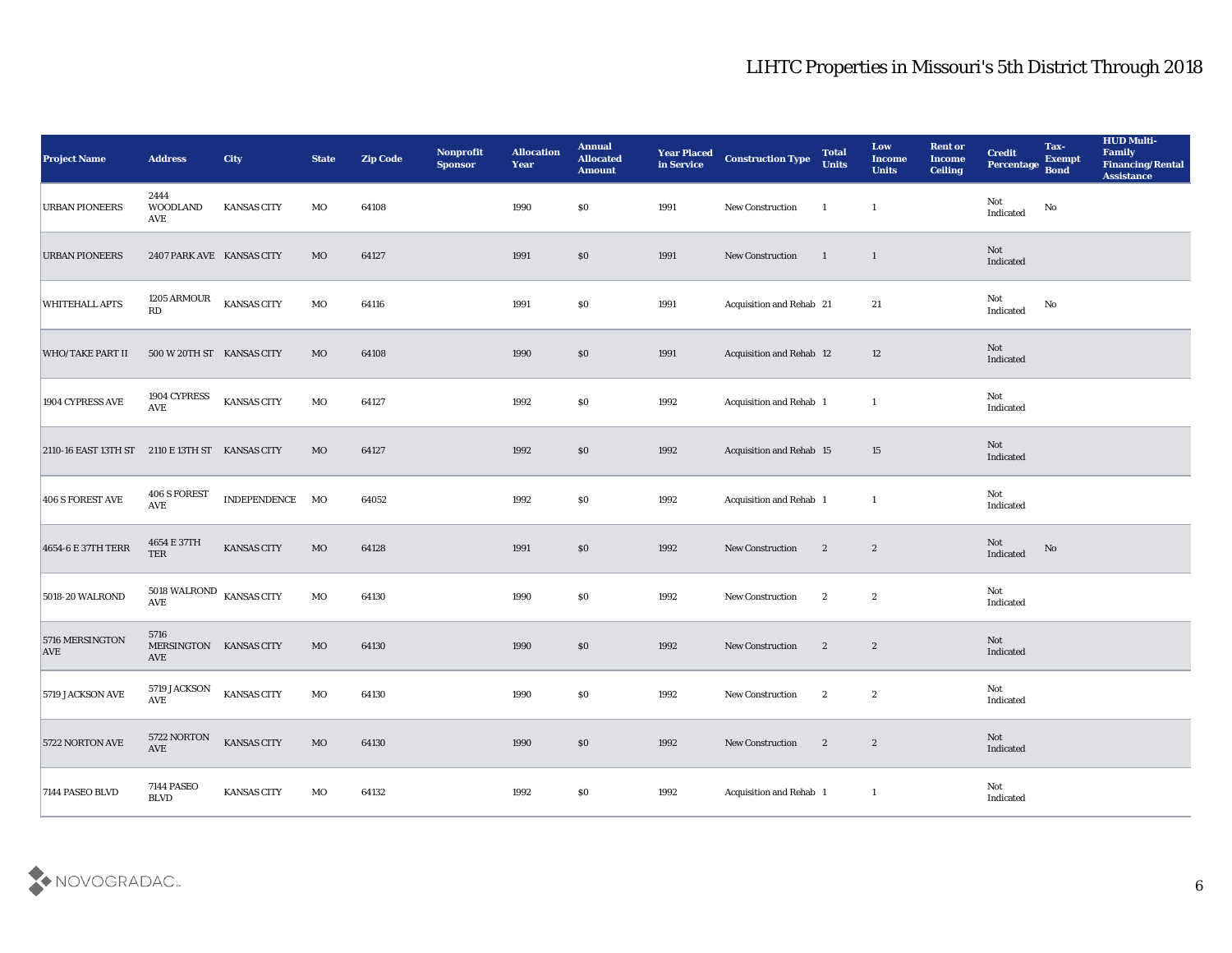| <b>Project Name</b>                             | <b>Address</b>                                                 | <b>City</b>        | <b>State</b> | <b>Zip Code</b> | Nonprofit<br><b>Sponsor</b> | <b>Allocation</b><br><b>Year</b> | <b>Annual</b><br><b>Allocated</b><br><b>Amount</b> | <b>Year Placed</b><br>in Service | <b>Construction Type</b> | <b>Total</b><br><b>Units</b> | Low<br><b>Income</b><br><b>Units</b> | <b>Rent or</b><br><b>Income</b><br><b>Ceiling</b> | <b>Credit</b><br>Percentage | Tax-<br><b>Exempt</b><br><b>Bond</b> | <b>HUD Multi-</b><br>Family<br><b>Financing/Rental</b><br><b>Assistance</b> |
|-------------------------------------------------|----------------------------------------------------------------|--------------------|--------------|-----------------|-----------------------------|----------------------------------|----------------------------------------------------|----------------------------------|--------------------------|------------------------------|--------------------------------------|---------------------------------------------------|-----------------------------|--------------------------------------|-----------------------------------------------------------------------------|
| <b>URBAN PIONEERS</b>                           | 2444<br><b>WOODLAND</b><br>AVE                                 | <b>KANSAS CITY</b> | MO           | 64108           |                             | 1990                             | $\$0$                                              | 1991                             | New Construction         | $\overline{1}$               | $\mathbf{1}$                         |                                                   | Not<br>Indicated            | $\rm No$                             |                                                                             |
| <b>URBAN PIONEERS</b>                           | 2407 PARK AVE KANSAS CITY                                      |                    | MO           | 64127           |                             | 1991                             | $\$0$                                              | 1991                             | New Construction         | $\blacksquare$               | $\mathbf{1}$                         |                                                   | Not<br>Indicated            |                                      |                                                                             |
| WHITEHALL APTS                                  | 1205 ARMOUR<br>RD                                              | <b>KANSAS CITY</b> | MO           | 64116           |                             | 1991                             | \$0\$                                              | 1991                             | Acquisition and Rehab 21 |                              | 21                                   |                                                   | Not<br>Indicated            | No                                   |                                                                             |
| <b>WHO/TAKE PART II</b>                         | 500 W 20TH ST KANSAS CITY                                      |                    | MO           | 64108           |                             | 1990                             | $\$0$                                              | 1991                             | Acquisition and Rehab 12 |                              | 12                                   |                                                   | Not<br>Indicated            |                                      |                                                                             |
| 1904 CYPRESS AVE                                | 1904 CYPRESS<br><b>AVE</b>                                     | <b>KANSAS CITY</b> | MO           | 64127           |                             | 1992                             | \$0\$                                              | 1992                             | Acquisition and Rehab 1  |                              | -1                                   |                                                   | Not<br>Indicated            |                                      |                                                                             |
| 2110-16 EAST 13TH ST 2110 E 13TH ST KANSAS CITY |                                                                |                    | MO           | 64127           |                             | 1992                             | $\$0$                                              | 1992                             | Acquisition and Rehab 15 |                              | 15                                   |                                                   | Not<br>Indicated            |                                      |                                                                             |
| 406 S FOREST AVE                                | <b>406 S FOREST</b><br>AVE                                     | INDEPENDENCE       | MO           | 64052           |                             | 1992                             | $\$0$                                              | 1992                             | Acquisition and Rehab 1  |                              | -1                                   |                                                   | Not<br>Indicated            |                                      |                                                                             |
| 4654-6 E 37TH TERR                              | 4654 E 37TH<br><b>TER</b>                                      | <b>KANSAS CITY</b> | MO           | 64128           |                             | 1991                             | $\$0$                                              | 1992                             | New Construction         | $\boldsymbol{2}$             | $\boldsymbol{2}$                     |                                                   | Not<br>Indicated            | No                                   |                                                                             |
| 5018-20 WALROND                                 | $5018$ WALROND $\,$ KANSAS CITY<br>$\operatorname{AVE}$        |                    | MO           | 64130           |                             | 1990                             | \$0\$                                              | 1992                             | New Construction         | $\boldsymbol{2}$             | $\boldsymbol{2}$                     |                                                   | Not<br>Indicated            |                                      |                                                                             |
| 5716 MERSINGTON<br><b>AVE</b>                   | 5716<br>MERSINGTON KANSAS CITY<br>AVE                          |                    | MO           | 64130           |                             | 1990                             | $\$0$                                              | 1992                             | New Construction         | $\boldsymbol{2}$             | $\boldsymbol{2}$                     |                                                   | Not<br>Indicated            |                                      |                                                                             |
| 5719 JACKSON AVE                                | 5719 JACKSON<br>$\operatorname{AVE}$                           | <b>KANSAS CITY</b> | MO           | 64130           |                             | 1990                             | \$0\$                                              | 1992                             | <b>New Construction</b>  | $\boldsymbol{2}$             | $\boldsymbol{2}$                     |                                                   | Not<br>Indicated            |                                      |                                                                             |
| 5722 NORTON AVE                                 | $5722\textcolor{red}{\mathrm{NORTON}}$<br>$\operatorname{AVE}$ | <b>KANSAS CITY</b> | $_{\rm MO}$  | 64130           |                             | 1990                             | $\$0$                                              | 1992                             | New Construction         | $\overline{\phantom{a}}$     | $\overline{\mathbf{2}}$              |                                                   | Not<br>Indicated            |                                      |                                                                             |
| 7144 PASEO BLVD                                 | <b>7144 PASEO</b><br>$\operatorname{BLVD}$                     | KANSAS CITY        | MO           | 64132           |                             | 1992                             | $\$0$                                              | 1992                             | Acquisition and Rehab 1  |                              | -1                                   |                                                   | Not<br>Indicated            |                                      |                                                                             |

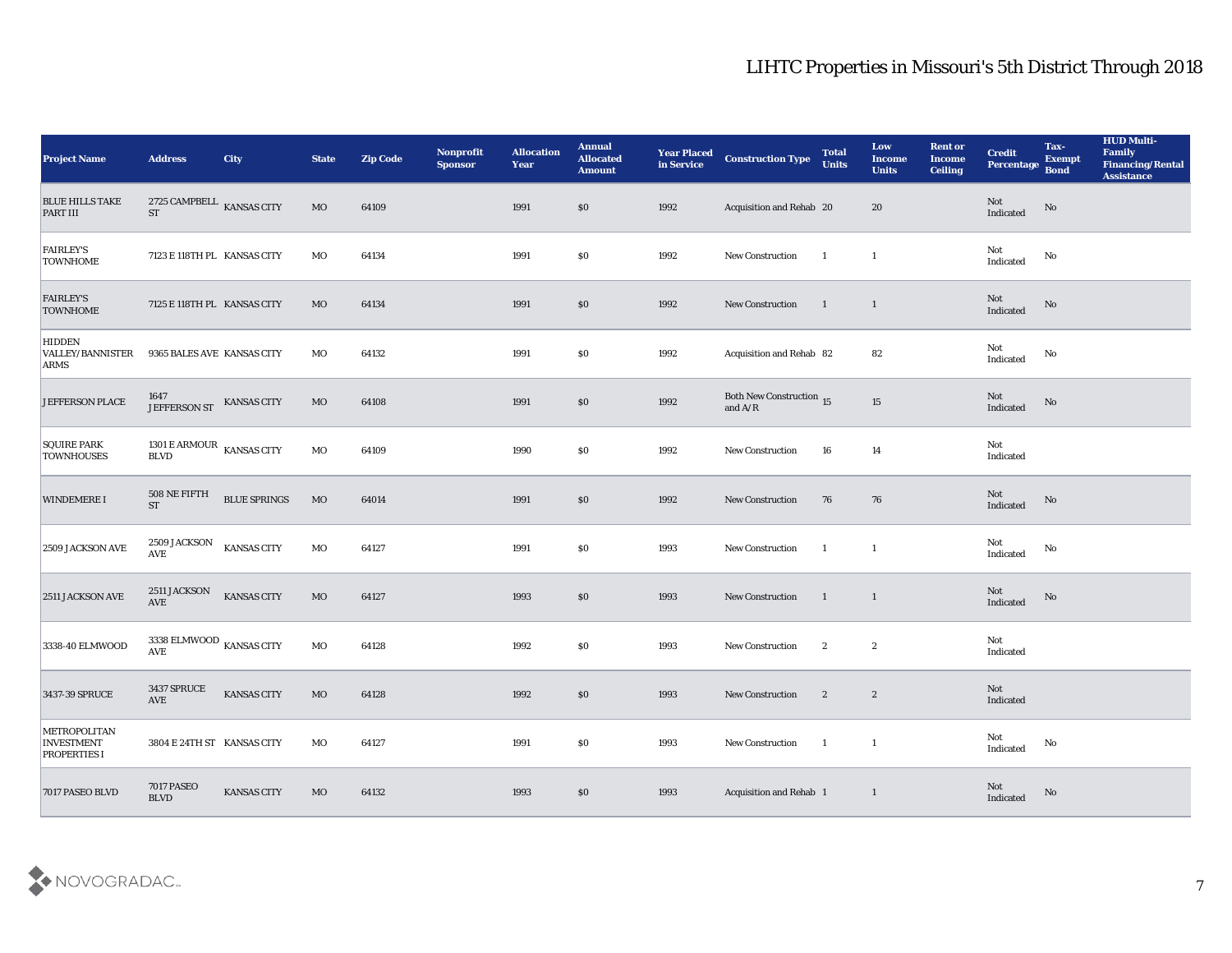| <b>Project Name</b>                                      | <b>Address</b>                                                 | City                | <b>State</b> | <b>Zip Code</b> | Nonprofit<br><b>Sponsor</b> | <b>Allocation</b><br><b>Year</b> | <b>Annual</b><br><b>Allocated</b><br><b>Amount</b> | <b>Year Placed</b><br>in Service | <b>Construction Type</b>                                                          | <b>Total</b><br><b>Units</b> | Low<br><b>Income</b><br><b>Units</b> | <b>Rent or</b><br><b>Income</b><br><b>Ceiling</b> | <b>Credit</b><br>Percentage Bond                  | Tax-<br><b>Exempt</b>  | <b>HUD Multi-</b><br>Family<br><b>Financing/Rental</b><br><b>Assistance</b> |
|----------------------------------------------------------|----------------------------------------------------------------|---------------------|--------------|-----------------|-----------------------------|----------------------------------|----------------------------------------------------|----------------------------------|-----------------------------------------------------------------------------------|------------------------------|--------------------------------------|---------------------------------------------------|---------------------------------------------------|------------------------|-----------------------------------------------------------------------------|
| <b>BLUE HILLS TAKE</b><br>PART III                       | 2725 CAMPBELL KANSAS CITY<br><b>ST</b>                         |                     | <b>MO</b>    | 64109           |                             | 1991                             | \$0                                                | 1992                             | Acquisition and Rehab 20                                                          |                              | 20                                   |                                                   | Not<br>$\label{thm:indicated} \textbf{Indicated}$ | $\mathbf{N}\mathbf{o}$ |                                                                             |
| <b>FAIRLEY'S</b><br><b>TOWNHOME</b>                      | 7123 E 118TH PL KANSAS CITY                                    |                     | MO           | 64134           |                             | 1991                             | \$0                                                | 1992                             | <b>New Construction</b>                                                           | $\overline{1}$               | $\mathbf{1}$                         |                                                   | Not<br>Indicated                                  | No                     |                                                                             |
| <b>FAIRLEY'S</b><br><b>TOWNHOME</b>                      | 7125 E 118TH PL KANSAS CITY                                    |                     | MO           | 64134           |                             | 1991                             | S <sub>0</sub>                                     | 1992                             | New Construction                                                                  | $\blacksquare$               | $\mathbf{1}$                         |                                                   | Not<br>Indicated                                  | No                     |                                                                             |
| <b>HIDDEN</b><br><b>VALLEY/BANNISTER</b><br><b>ARMS</b>  | 9365 BALES AVE KANSAS CITY                                     |                     | MO           | 64132           |                             | 1991                             | \$0                                                | 1992                             | Acquisition and Rehab 82                                                          |                              | 82                                   |                                                   | Not<br>Indicated                                  | No                     |                                                                             |
| <b>JEFFERSON PLACE</b>                                   | 1647<br><b>JEFFERSON ST</b>                                    | <b>KANSAS CITY</b>  | $_{\rm MO}$  | 64108           |                             | 1991                             | \$0                                                | 1992                             | Both New Construction 15<br>and $\ensuremath{\mathrm{A}}/\ensuremath{\mathrm{R}}$ |                              | 15                                   |                                                   | Not<br>Indicated                                  | No                     |                                                                             |
| <b>SQUIRE PARK</b><br><b>TOWNHOUSES</b>                  | 1301 E ARMOUR $\,$ KANSAS CITY<br>$\operatorname{BLVD}$        |                     | MO           | 64109           |                             | 1990                             | \$0                                                | 1992                             | New Construction                                                                  | 16                           | 14                                   |                                                   | Not<br>Indicated                                  |                        |                                                                             |
| <b>WINDEMERE I</b>                                       | $508$ NE FIFTH<br><b>ST</b>                                    | <b>BLUE SPRINGS</b> | $_{\rm MO}$  | 64014           |                             | 1991                             | S <sub>0</sub>                                     | 1992                             | <b>New Construction</b>                                                           | 76                           | 76                                   |                                                   | Not<br>Indicated                                  | No                     |                                                                             |
| 2509 JACKSON AVE                                         | 2509 JACKSON<br><b>AVE</b>                                     | <b>KANSAS CITY</b>  | MO           | 64127           |                             | 1991                             | $\$0$                                              | 1993                             | New Construction                                                                  | <sup>1</sup>                 | $\mathbf{1}$                         |                                                   | Not<br>Indicated                                  | No                     |                                                                             |
| 2511 JACKSON AVE                                         | 2511 JACKSON<br>AVE                                            | <b>KANSAS CITY</b>  | MO           | 64127           |                             | 1993                             | S <sub>0</sub>                                     | 1993                             | New Construction                                                                  | $\blacksquare$               | $\mathbf{1}$                         |                                                   | Not<br>Indicated                                  | $\mathbf{N}\mathbf{o}$ |                                                                             |
| 3338-40 ELMWOOD                                          | 3338 ELMWOOD $\,$ KANSAS CITY<br>$\operatorname{\mathbf{AVE}}$ |                     | MO           | 64128           |                             | 1992                             | \$0                                                | 1993                             | <b>New Construction</b>                                                           | $\boldsymbol{2}$             | $\boldsymbol{2}$                     |                                                   | Not<br>Indicated                                  |                        |                                                                             |
| 3437-39 SPRUCE                                           | 3437 SPRUCE<br>AVE                                             | <b>KANSAS CITY</b>  | MO           | 64128           |                             | 1992                             | \$0                                                | 1993                             | <b>New Construction</b>                                                           | $\boldsymbol{2}$             | $\boldsymbol{2}$                     |                                                   | Not<br>Indicated                                  |                        |                                                                             |
| METROPOLITAN<br><b>INVESTMENT</b><br><b>PROPERTIES I</b> | 3804 E 24TH ST KANSAS CITY                                     |                     | MO           | 64127           |                             | 1991                             | \$0                                                | 1993                             | New Construction                                                                  | $\mathbf{1}$                 | $\overline{1}$                       |                                                   | Not<br>$\operatorname{Indicated}$                 | No                     |                                                                             |
| 7017 PASEO BLVD                                          | <b>7017 PASEO</b><br>$\operatorname{BLVD}$                     | KANSAS CITY         | $_{\rm MO}$  | 64132           |                             | 1993                             | $\$0$                                              | 1993                             | <b>Acquisition and Rehab 1</b>                                                    |                              | $\mathbf{1}$                         |                                                   | Not<br>Indicated                                  | No                     |                                                                             |

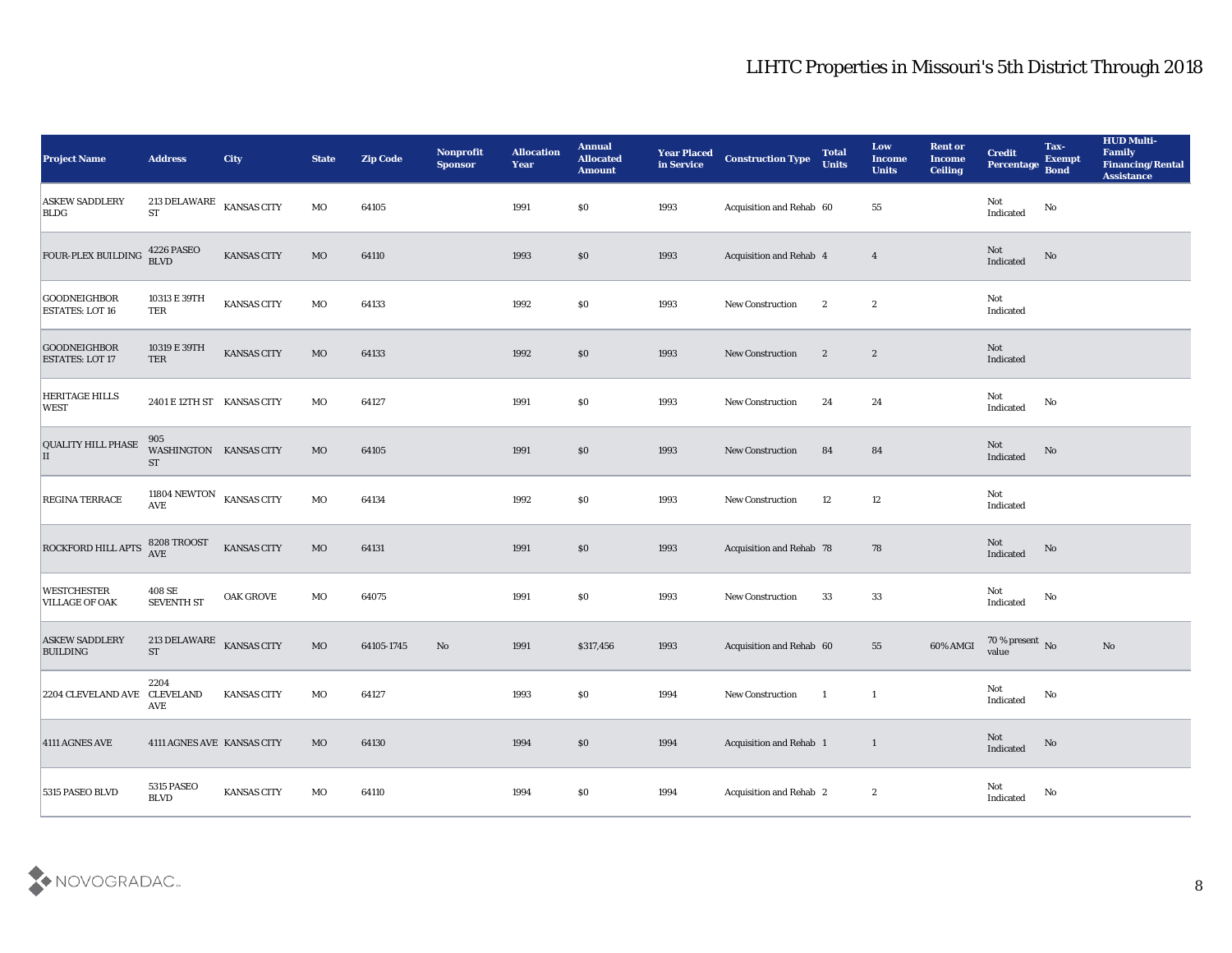| <b>Project Name</b>                           | <b>Address</b>                                | <b>City</b>        | <b>State</b> | <b>Zip Code</b> | Nonprofit<br><b>Sponsor</b> | <b>Allocation</b><br><b>Year</b> | <b>Annual</b><br><b>Allocated</b><br><b>Amount</b> | <b>Year Placed</b><br>in Service | <b>Construction Type</b> | <b>Total</b><br><b>Units</b> | Low<br><b>Income</b><br><b>Units</b> | <b>Rent or</b><br><b>Income</b><br><b>Ceiling</b> | <b>Credit</b><br>Percentage           | Tax-<br><b>Exempt</b><br><b>Bond</b> | <b>HUD Multi-</b><br>Family<br><b>Financing/Rental</b><br><b>Assistance</b> |
|-----------------------------------------------|-----------------------------------------------|--------------------|--------------|-----------------|-----------------------------|----------------------------------|----------------------------------------------------|----------------------------------|--------------------------|------------------------------|--------------------------------------|---------------------------------------------------|---------------------------------------|--------------------------------------|-----------------------------------------------------------------------------|
| <b>ASKEW SADDLERY</b><br><b>BLDG</b>          | 213 DELAWARE KANSAS CITY<br><b>ST</b>         |                    | MO           | 64105           |                             | 1991                             | $\$0$                                              | 1993                             | Acquisition and Rehab 60 |                              | 55                                   |                                                   | Not<br>Indicated                      | $\mathbf{N}\mathbf{o}$               |                                                                             |
| FOUR-PLEX BUILDING                            | <b>4226 PASEO</b><br><b>BLVD</b>              | KANSAS CITY        | $_{\rm MO}$  | 64110           |                             | 1993                             | \$0                                                | 1993                             | Acquisition and Rehab 4  |                              | $\overline{4}$                       |                                                   | $\operatorname{\bf Not}$<br>Indicated | No                                   |                                                                             |
| <b>GOODNEIGHBOR</b><br><b>ESTATES: LOT 16</b> | 10313 E 39TH<br>TER                           | KANSAS CITY        | MO           | 64133           |                             | 1992                             | \$0                                                | 1993                             | New Construction         | $\boldsymbol{2}$             | $\boldsymbol{2}$                     |                                                   | Not<br>Indicated                      |                                      |                                                                             |
| <b>GOODNEIGHBOR</b><br><b>ESTATES: LOT 17</b> | 10319 E 39TH<br><b>TER</b>                    | <b>KANSAS CITY</b> | $_{\rm MO}$  | 64133           |                             | 1992                             | \$0                                                | 1993                             | New Construction         | $\boldsymbol{2}$             | $\mathbf{2}$                         |                                                   | Not<br>Indicated                      |                                      |                                                                             |
| <b>HERITAGE HILLS</b><br><b>WEST</b>          | 2401 E 12TH ST KANSAS CITY                    |                    | MO           | 64127           |                             | 1991                             | \$0                                                | 1993                             | New Construction         | 24                           | 24                                   |                                                   | Not<br>Indicated                      | No                                   |                                                                             |
| <b>QUALITY HILL PHASE</b><br>II               | 905<br>WASHINGTON KANSAS CITY<br><b>ST</b>    |                    | $_{\rm MO}$  | 64105           |                             | 1991                             | \$0                                                | 1993                             | New Construction         | 84                           | 84                                   |                                                   | Not<br>Indicated                      | $\rm No$                             |                                                                             |
| <b>REGINA TERRACE</b>                         | 11804 NEWTON $$\tt KANSAS$ CITY<br><b>AVE</b> |                    | MO           | 64134           |                             | 1992                             | \$0                                                | 1993                             | <b>New Construction</b>  | 12                           | 12                                   |                                                   | Not<br>Indicated                      |                                      |                                                                             |
| <b>ROCKFORD HILL APTS</b>                     | 8208 TROOST<br><b>AVE</b>                     | <b>KANSAS CITY</b> | $_{\rm MO}$  | 64131           |                             | 1991                             | \$0                                                | 1993                             | Acquisition and Rehab 78 |                              | 78                                   |                                                   | Not<br>Indicated                      | No                                   |                                                                             |
| <b>WESTCHESTER</b><br><b>VILLAGE OF OAK</b>   | 408 SE<br><b>SEVENTH ST</b>                   | OAK GROVE          | MO           | 64075           |                             | 1991                             | \$0\$                                              | 1993                             | New Construction         | 33                           | 33                                   |                                                   | Not<br>Indicated                      | $\rm No$                             |                                                                             |
| <b>ASKEW SADDLERY</b><br><b>BUILDING</b>      | 213 DELAWARE<br>${\rm ST}$                    | <b>KANSAS CITY</b> | MO           | 64105-1745      | No                          | 1991                             | \$317,456                                          | 1993                             | Acquisition and Rehab 60 |                              | 55                                   | 60% AMGI                                          | $70\,\%$ present $\,$ No value        |                                      | No                                                                          |
| 2204 CLEVELAND AVE CLEVELAND                  | 2204<br>AVE                                   | <b>KANSAS CITY</b> | MO           | 64127           |                             | 1993                             | $\$0$                                              | 1994                             | New Construction         | - 1                          | -1                                   |                                                   | Not<br>Indicated                      | No                                   |                                                                             |
| 4111 AGNES AVE                                | 4111 AGNES AVE KANSAS CITY                    |                    | $_{\rm MO}$  | 64130           |                             | 1994                             | $\$0$                                              | 1994                             | Acquisition and Rehab 1  |                              | $\mathbf{1}$                         |                                                   | $\rm Not$ Indicated                   | ${\bf No}$                           |                                                                             |
| 5315 PASEO BLVD                               | 5315 PASEO<br><b>BLVD</b>                     | KANSAS CITY        | $_{\rm MO}$  | 64110           |                             | 1994                             | $\$0$                                              | 1994                             | Acquisition and Rehab 2  |                              | $\boldsymbol{2}$                     |                                                   | $\rm Not$ Indicated                   | ${\bf No}$                           |                                                                             |

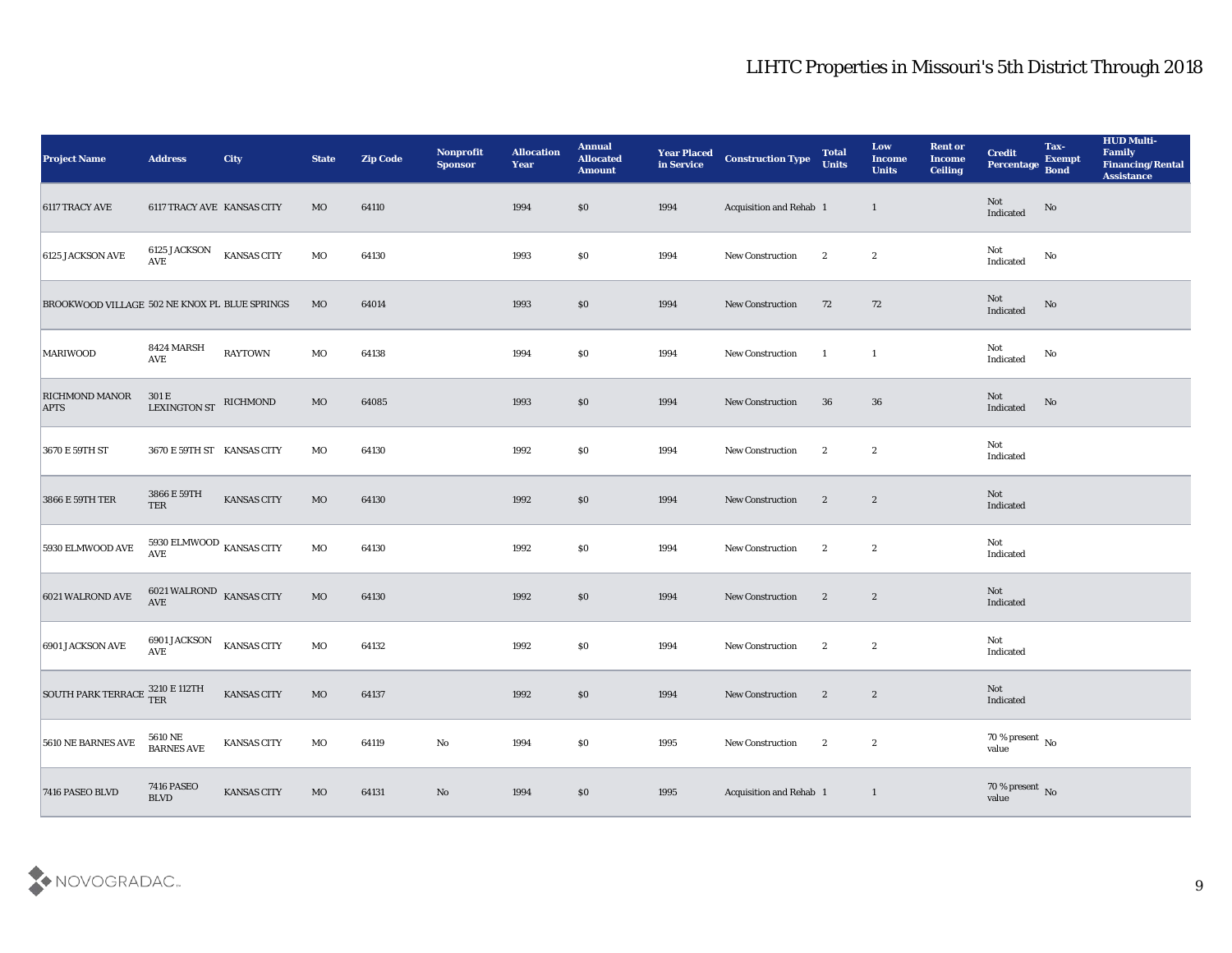| <b>Project Name</b>                                                                                          | <b>Address</b>                                   | <b>City</b>        | <b>State</b> | <b>Zip Code</b> | Nonprofit<br><b>Sponsor</b> | <b>Allocation</b><br>Year | <b>Annual</b><br><b>Allocated</b><br><b>Amount</b> | <b>Year Placed</b><br>in Service | <b>Construction Type</b> | <b>Total</b><br><b>Units</b> | Low<br><b>Income</b><br><b>Units</b> | <b>Rent or</b><br><b>Income</b><br><b>Ceiling</b> | <b>Credit</b><br>Percentage       | Tax-<br><b>Exempt</b><br><b>Bond</b> | <b>HUD Multi-</b><br>Family<br><b>Financing/Rental</b><br><b>Assistance</b> |
|--------------------------------------------------------------------------------------------------------------|--------------------------------------------------|--------------------|--------------|-----------------|-----------------------------|---------------------------|----------------------------------------------------|----------------------------------|--------------------------|------------------------------|--------------------------------------|---------------------------------------------------|-----------------------------------|--------------------------------------|-----------------------------------------------------------------------------|
| 6117 TRACY AVE                                                                                               | 6117 TRACY AVE KANSAS CITY                       |                    | <b>MO</b>    | 64110           |                             | 1994                      | \$0                                                | 1994                             | Acquisition and Rehab 1  |                              | $\mathbf{1}$                         |                                                   | Not<br>Indicated                  | No                                   |                                                                             |
| 6125 JACKSON AVE                                                                                             | <b>6125 JACKSON</b><br>$\operatorname{AVE}$      | <b>KANSAS CITY</b> | MO           | 64130           |                             | 1993                      | \$0                                                | 1994                             | New Construction         | $\mathbf{2}$                 | $\boldsymbol{2}$                     |                                                   | Not<br>Indicated                  | No                                   |                                                                             |
| <b>BROOKWOOD VILLAGE 502 NE KNOX PL BLUE SPRINGS</b>                                                         |                                                  |                    | MO           | 64014           |                             | 1993                      | \$0                                                | 1994                             | New Construction         | 72                           | 72                                   |                                                   | Not<br>Indicated                  | No                                   |                                                                             |
| <b>MARIWOOD</b>                                                                                              | 8424 MARSH<br><b>AVE</b>                         | <b>RAYTOWN</b>     | MO           | 64138           |                             | 1994                      | \$0                                                | 1994                             | New Construction         | -1                           | $\mathbf{1}$                         |                                                   | Not<br>$\operatorname{Indicated}$ | No                                   |                                                                             |
| RICHMOND MANOR<br><b>APTS</b>                                                                                | 301 E<br><b>LEXINGTON ST</b>                     | RICHMOND           | MO           | 64085           |                             | 1993                      | \$0                                                | 1994                             | <b>New Construction</b>  | 36                           | 36                                   |                                                   | Not<br>Indicated                  | No                                   |                                                                             |
| 3670 E 59TH ST                                                                                               | 3670 E 59TH ST KANSAS CITY                       |                    | MO           | 64130           |                             | 1992                      | \$0                                                | 1994                             | <b>New Construction</b>  | $\mathbf{2}$                 | $\boldsymbol{2}$                     |                                                   | Not<br>Indicated                  |                                      |                                                                             |
| 3866 E 59TH TER                                                                                              | 3866 E 59TH<br>TER                               | <b>KANSAS CITY</b> | MO           | 64130           |                             | 1992                      | \$0                                                | 1994                             | New Construction         | $\boldsymbol{2}$             | $\mathbf{2}$                         |                                                   | Not<br>Indicated                  |                                      |                                                                             |
| 5930 ELMWOOD AVE                                                                                             | 5930 ELMWOOD $_{\rm KANSAS}$ CITY<br><b>AVE</b>  |                    | MO           | 64130           |                             | 1992                      | \$0                                                | 1994                             | New Construction         | $\mathbf{2}$                 | $\boldsymbol{2}$                     |                                                   | Not<br>Indicated                  |                                      |                                                                             |
| 6021 WALROND AVE                                                                                             | 6021 WALROND KANSAS CITY<br><b>AVE</b>           |                    | MO           | 64130           |                             | 1992                      | \$0                                                | 1994                             | New Construction         | $\boldsymbol{2}$             | $\boldsymbol{2}$                     |                                                   | Not<br>Indicated                  |                                      |                                                                             |
| 6901 JACKSON AVE                                                                                             | 6901 JACKSON<br>$\mathbf{A}\mathbf{V}\mathbf{E}$ | <b>KANSAS CITY</b> | MO           | 64132           |                             | 1992                      | \$0                                                | 1994                             | New Construction         | $\boldsymbol{2}$             | $\boldsymbol{2}$                     |                                                   | Not<br>Indicated                  |                                      |                                                                             |
| $\boxed{\textrm{SOUTH PARK TERRACE} \begin{tabular}{ l l } \hline 3210 E 112TH \\ \hline TER \end{tabular}}$ |                                                  | <b>KANSAS CITY</b> | MO           | 64137           |                             | 1992                      | \$0                                                | 1994                             | <b>New Construction</b>  | $\mathbf{2}$                 | $\boldsymbol{2}$                     |                                                   | Not<br>Indicated                  |                                      |                                                                             |
| 5610 NE BARNES AVE                                                                                           | $5610\,\mathrm{NE}$ BARNES AVE                   | <b>KANSAS CITY</b> | $_{\rm MO}$  | 64119           | $\mathbf {No}$              | 1994                      | $\$0$                                              | 1995                             | New Construction         | $\mathbf{2}$                 | $\boldsymbol{2}$                     |                                                   | $70\,\%$ present $\,$ No value    |                                      |                                                                             |
| 7416 PASEO BLVD                                                                                              | <b>7416 PASEO</b><br>$\operatorname{BLVD}$       | <b>KANSAS CITY</b> | $_{\rm MO}$  | 64131           | $\rm\thinspace No$          | 1994                      | \$0                                                | 1995                             | Acquisition and Rehab 1  |                              | $\mathbf{1}$                         |                                                   | $70\,\%$ present $\,$ No value    |                                      |                                                                             |

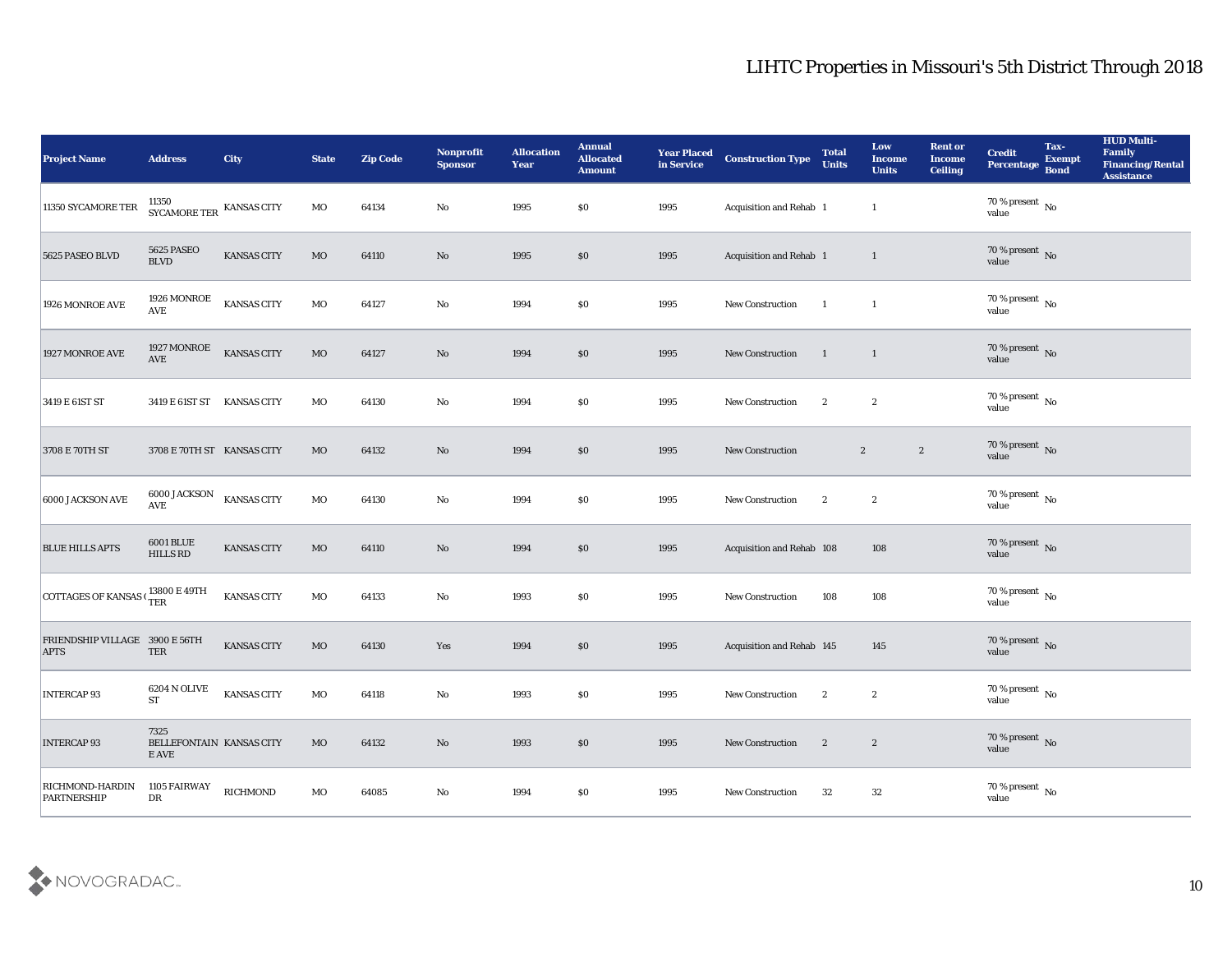| <b>Project Name</b>                                                   | <b>Address</b>                                    | <b>City</b>        | <b>State</b> | <b>Zip Code</b> | Nonprofit<br><b>Sponsor</b> | <b>Allocation</b><br><b>Year</b> | <b>Annual</b><br><b>Allocated</b><br><b>Amount</b> | <b>Year Placed</b><br>in Service | <b>Construction Type</b>         | <b>Total</b><br><b>Units</b> | Low<br><b>Income</b><br><b>Units</b> | <b>Rent or</b><br><b>Income</b><br><b>Ceiling</b> | <b>Credit</b><br>Percentage        | Tax-<br><b>Exempt</b><br><b>Bond</b> | <b>HUD Multi-</b><br>Family<br><b>Financing/Rental</b><br><b>Assistance</b> |
|-----------------------------------------------------------------------|---------------------------------------------------|--------------------|--------------|-----------------|-----------------------------|----------------------------------|----------------------------------------------------|----------------------------------|----------------------------------|------------------------------|--------------------------------------|---------------------------------------------------|------------------------------------|--------------------------------------|-----------------------------------------------------------------------------|
| 11350 SYCAMORE TER                                                    | SYCAMORE TER KANSAS CITY                          |                    | MO           | 64134           | No                          | 1995                             | $\$0$                                              | 1995                             | Acquisition and Rehab 1          |                              | $\mathbf{1}$                         |                                                   | $70\,\%$ present $\,$ No value     |                                      |                                                                             |
| 5625 PASEO BLVD                                                       | 5625 PASEO<br>$\operatorname{BLVD}$               | KANSAS CITY        | $_{\rm MO}$  | 64110           | No                          | 1995                             | \$0                                                | 1995                             | Acquisition and Rehab 1          |                              | $\mathbf{1}$                         |                                                   | $70\,\%$ present $\,$ No value     |                                      |                                                                             |
| 1926 MONROE AVE                                                       | $1926\,\mathrm{MONROE}$<br><b>AVE</b>             | <b>KANSAS CITY</b> | $_{\rm MO}$  | 64127           | $\mathbf{N}\mathbf{o}$      | 1994                             | \$0\$                                              | 1995                             | New Construction                 | $\mathbf{1}$                 | $\mathbf{1}$                         |                                                   | 70 % present $\,$ No $\,$<br>value |                                      |                                                                             |
| 1927 MONROE AVE                                                       | 1927 MONROE<br>AVE                                | <b>KANSAS CITY</b> | $_{\rm MO}$  | 64127           | No                          | 1994                             | \$0\$                                              | 1995                             | New Construction                 | -1                           | $\overline{1}$                       |                                                   | $70\,\%$ present $\,$ No value     |                                      |                                                                             |
| 3419 E 61ST ST                                                        | 3419 E 61ST ST KANSAS CITY                        |                    | MO           | 64130           | No                          | 1994                             | \$0\$                                              | 1995                             | <b>New Construction</b>          | $\boldsymbol{2}$             | $\boldsymbol{2}$                     |                                                   | $70\,\%$ present $\,$ No value     |                                      |                                                                             |
| 3708 E 70TH ST                                                        | 3708 E 70TH ST KANSAS CITY                        |                    | MO           | 64132           | No                          | 1994                             | \$0                                                | 1995                             | <b>New Construction</b>          |                              | $\boldsymbol{2}$                     | $\boldsymbol{2}$                                  | $70\,\%$ present $\,$ No value     |                                      |                                                                             |
| 6000 JACKSON AVE                                                      | 6000 JACKSON<br>AVE                               | <b>KANSAS CITY</b> | $_{\rm MO}$  | 64130           | No                          | 1994                             | \$0                                                | 1995                             | New Construction                 | $\boldsymbol{2}$             | $\boldsymbol{2}$                     |                                                   | $70\,\%$ present $\,$ No value     |                                      |                                                                             |
| <b>BLUE HILLS APTS</b>                                                | <b>6001 BLUE</b><br><b>HILLS RD</b>               | KANSAS CITY        | $_{\rm MO}$  | 64110           | No                          | 1994                             | \$0                                                | 1995                             | <b>Acquisition and Rehab 108</b> |                              | 108                                  |                                                   | $70\,\%$ present $\,$ No value     |                                      |                                                                             |
| COTTAGES OF KANSAS $\frac{13800 \text{ E } 49 \text{TH}}{\text{TER}}$ |                                                   | <b>KANSAS CITY</b> | MO           | 64133           | No                          | 1993                             | \$0                                                | 1995                             | New Construction                 | 108                          | 108                                  |                                                   | $70\,\%$ present $\,$ No value     |                                      |                                                                             |
| FRIENDSHIP VILLAGE 3900 E 56TH<br><b>APTS</b>                         | TER                                               | KANSAS CITY        | $_{\rm MO}$  | 64130           | Yes                         | 1994                             | \$0\$                                              | 1995                             | Acquisition and Rehab 145        |                              | 145                                  |                                                   | $70\,\%$ present $\,$ No value     |                                      |                                                                             |
| <b>INTERCAP 93</b>                                                    | 6204 N OLIVE<br><b>ST</b>                         | <b>KANSAS CITY</b> | MO           | 64118           | No                          | 1993                             | $\$0$                                              | 1995                             | <b>New Construction</b>          | $\boldsymbol{2}$             | $\boldsymbol{2}$                     |                                                   | 70 % present No<br>value           |                                      |                                                                             |
| <b>INTERCAP 93</b>                                                    | 7325<br>BELLEFONTAIN KANSAS CITY<br>${\bf E}$ AVE |                    | $_{\rm MO}$  | 64132           | $\mathbf {No}$              | 1993                             | $\$0$                                              | 1995                             | New Construction                 | $\boldsymbol{2}$             | $\boldsymbol{2}$                     |                                                   | $70\,\%$ present $\,$ No value     |                                      |                                                                             |
| <b>RICHMOND-HARDIN</b><br>PARTNERSHIP                                 | 1105 FAIRWAY<br>${\rm D}{\rm R}$                  | <b>RICHMOND</b>    | $_{\rm MO}$  | 64085           | $\mathbf {No}$              | 1994                             | $\$0$                                              | 1995                             | <b>New Construction</b>          | 32                           | $32\,$                               |                                                   | $70\,\%$ present $\,$ No value     |                                      |                                                                             |

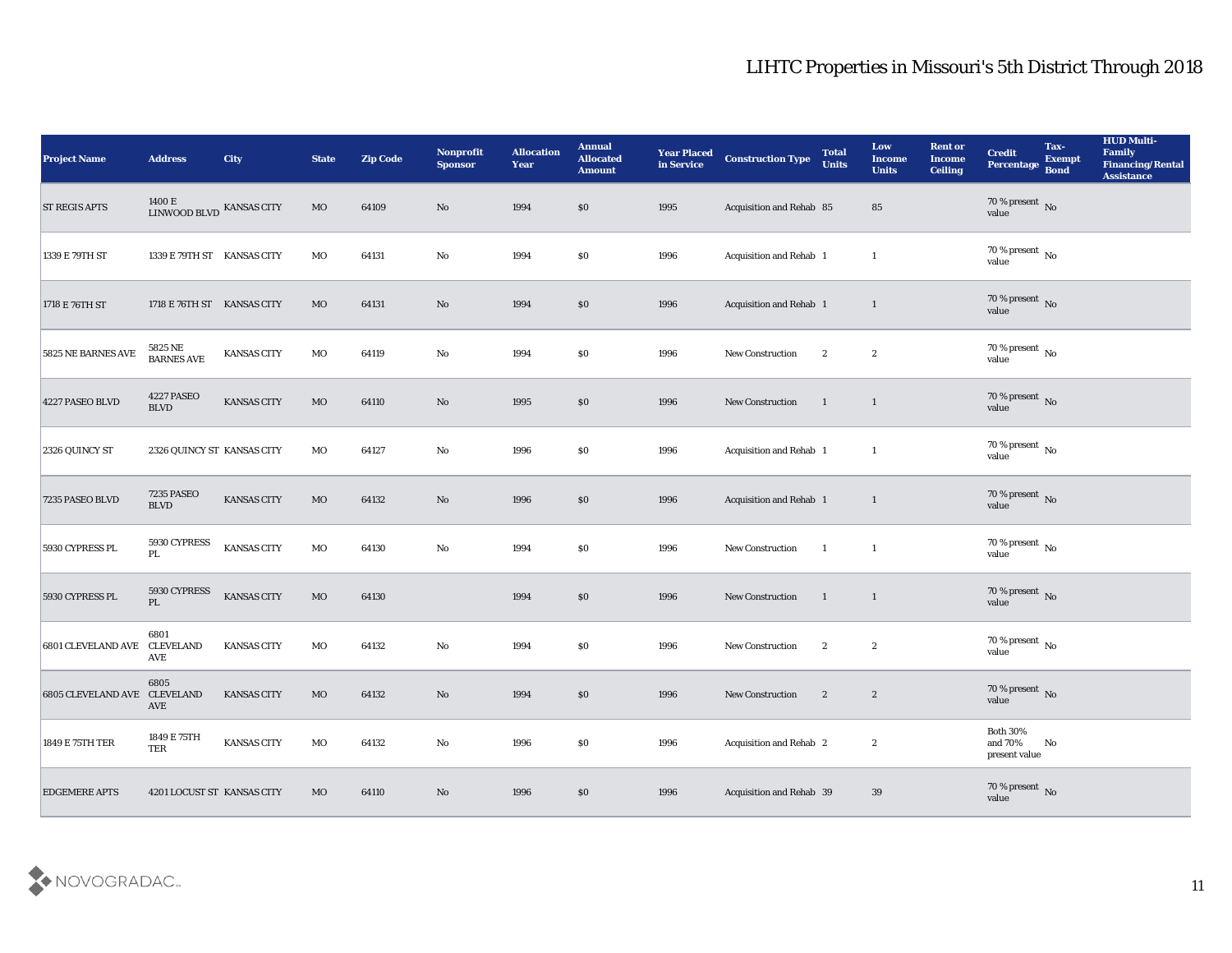| <b>Project Name</b>          | <b>Address</b>                             | <b>City</b>        | <b>State</b> | <b>Zip Code</b> | Nonprofit<br><b>Sponsor</b> | <b>Allocation</b><br><b>Year</b> | <b>Annual</b><br><b>Allocated</b><br><b>Amount</b> | <b>Year Placed</b><br>in Service | <b>Construction Type</b> | <b>Total</b><br><b>Units</b> | Low<br><b>Income</b><br><b>Units</b> | <b>Rent or</b><br><b>Income</b><br><b>Ceiling</b> | <b>Credit</b><br>Percentage                | Tax-<br><b>Exempt</b><br><b>Bond</b> | <b>HUD Multi-</b><br>Family<br>Financing/Rental<br><b>Assistance</b> |
|------------------------------|--------------------------------------------|--------------------|--------------|-----------------|-----------------------------|----------------------------------|----------------------------------------------------|----------------------------------|--------------------------|------------------------------|--------------------------------------|---------------------------------------------------|--------------------------------------------|--------------------------------------|----------------------------------------------------------------------|
| <b>ST REGIS APTS</b>         | $1400$ E $$\,{\rm LINWOOD}$ KANSAS CITY    |                    | $_{\rm MO}$  | 64109           | No                          | 1994                             | \$0                                                | 1995                             | Acquisition and Rehab 85 |                              | 85                                   |                                                   | $70\,\%$ present $\,$ No value             |                                      |                                                                      |
| 1339 E 79TH ST               | 1339 E 79TH ST KANSAS CITY                 |                    | MO           | 64131           | No                          | 1994                             | \$0                                                | 1996                             | Acquisition and Rehab 1  |                              | $\mathbf{1}$                         |                                                   | $70\,\%$ present $\,$ No value             |                                      |                                                                      |
| 1718 E 76TH ST               | 1718 E 76TH ST KANSAS CITY                 |                    | MO           | 64131           | No                          | 1994                             | $\boldsymbol{\mathsf{S}}\boldsymbol{\mathsf{O}}$   | 1996                             | Acquisition and Rehab 1  |                              | $\mathbf{1}$                         |                                                   | $70\,\%$ present $\,$ No value             |                                      |                                                                      |
| 5825 NE BARNES AVE           | 5825 NE<br>BARNES AVE                      | KANSAS CITY        | MO           | 64119           | $\rm\thinspace No$          | 1994                             | \$0                                                | 1996                             | New Construction         | $\boldsymbol{2}$             | $\boldsymbol{2}$                     |                                                   | $70\,\%$ present $\,$ No value             |                                      |                                                                      |
| 4227 PASEO BLVD              | 4227 PASEO<br><b>BLVD</b>                  | KANSAS CITY        | MO           | 64110           | No                          | 1995                             | \$0                                                | 1996                             | New Construction         | $\blacksquare$               | $\mathbf{1}$                         |                                                   | $70\,\%$ present $\,$ No value             |                                      |                                                                      |
| 2326 QUINCY ST               | 2326 QUINCY ST KANSAS CITY                 |                    | MO           | 64127           | $\mathbf{No}$               | 1996                             | \$0                                                | 1996                             | Acquisition and Rehab 1  |                              | $\mathbf{1}$                         |                                                   | $70\,\%$ present $\,$ No value             |                                      |                                                                      |
| 7235 PASEO BLVD              | <b>7235 PASEO</b><br>$\operatorname{BLVD}$ | KANSAS CITY        | $_{\rm MO}$  | 64132           | No                          | 1996                             | $\$0$                                              | 1996                             | Acquisition and Rehab 1  |                              | $\mathbf{1}$                         |                                                   | $70\,\%$ present $\,$ No value             |                                      |                                                                      |
| 5930 CYPRESS PL              | 5930 CYPRESS<br>PL                         | <b>KANSAS CITY</b> | MO           | 64130           | $\rm\thinspace No$          | 1994                             | \$0                                                | 1996                             | New Construction         | $\overline{1}$               | $\mathbf{1}$                         |                                                   | $70\,\%$ present $\,$ No value             |                                      |                                                                      |
| 5930 CYPRESS PL              | 5930 CYPRESS<br>$\mathbf{PL}$              | <b>KANSAS CITY</b> | $_{\rm MO}$  | 64130           |                             | 1994                             | \$0                                                | 1996                             | New Construction         | $\overline{1}$               | $\overline{1}$                       |                                                   | $70\,\%$ present $\,$ No value             |                                      |                                                                      |
| <b>6801 CLEVELAND AVE</b>    | 6801<br><b>CLEVELAND</b><br>AVE            | <b>KANSAS CITY</b> | MO           | 64132           | $\mathbf{No}$               | 1994                             | \$0                                                | 1996                             | New Construction         | $\boldsymbol{2}$             | $\boldsymbol{2}$                     |                                                   | $70\,\%$ present $\,$ No value             |                                      |                                                                      |
| 6805 CLEVELAND AVE CLEVELAND | 6805<br>AVE                                | <b>KANSAS CITY</b> | MO           | 64132           | No                          | 1994                             | \$0                                                | 1996                             | <b>New Construction</b>  | $\mathbf{2}$                 | $\mathbf{2}$                         |                                                   | 70 % present No<br>value                   |                                      |                                                                      |
| 1849 E 75TH TER              | 1849 E 75TH<br>TER                         | <b>KANSAS CITY</b> | $_{\rm MO}$  | 64132           | $\mathbf {No}$              | 1996                             | $\$0$                                              | 1996                             | Acquisition and Rehab 2  |                              | $\boldsymbol{2}$                     |                                                   | Both $30\%$<br>and $70\%$<br>present value | $\rm No$                             |                                                                      |
| <b>EDGEMERE APTS</b>         | 4201 LOCUST ST KANSAS CITY                 |                    | $_{\rm MO}$  | 64110           | $\rm\thinspace No$          | 1996                             | $\$0$                                              | 1996                             | Acquisition and Rehab 39 |                              | 39                                   |                                                   | $70\,\%$ present $\,$ No value             |                                      |                                                                      |

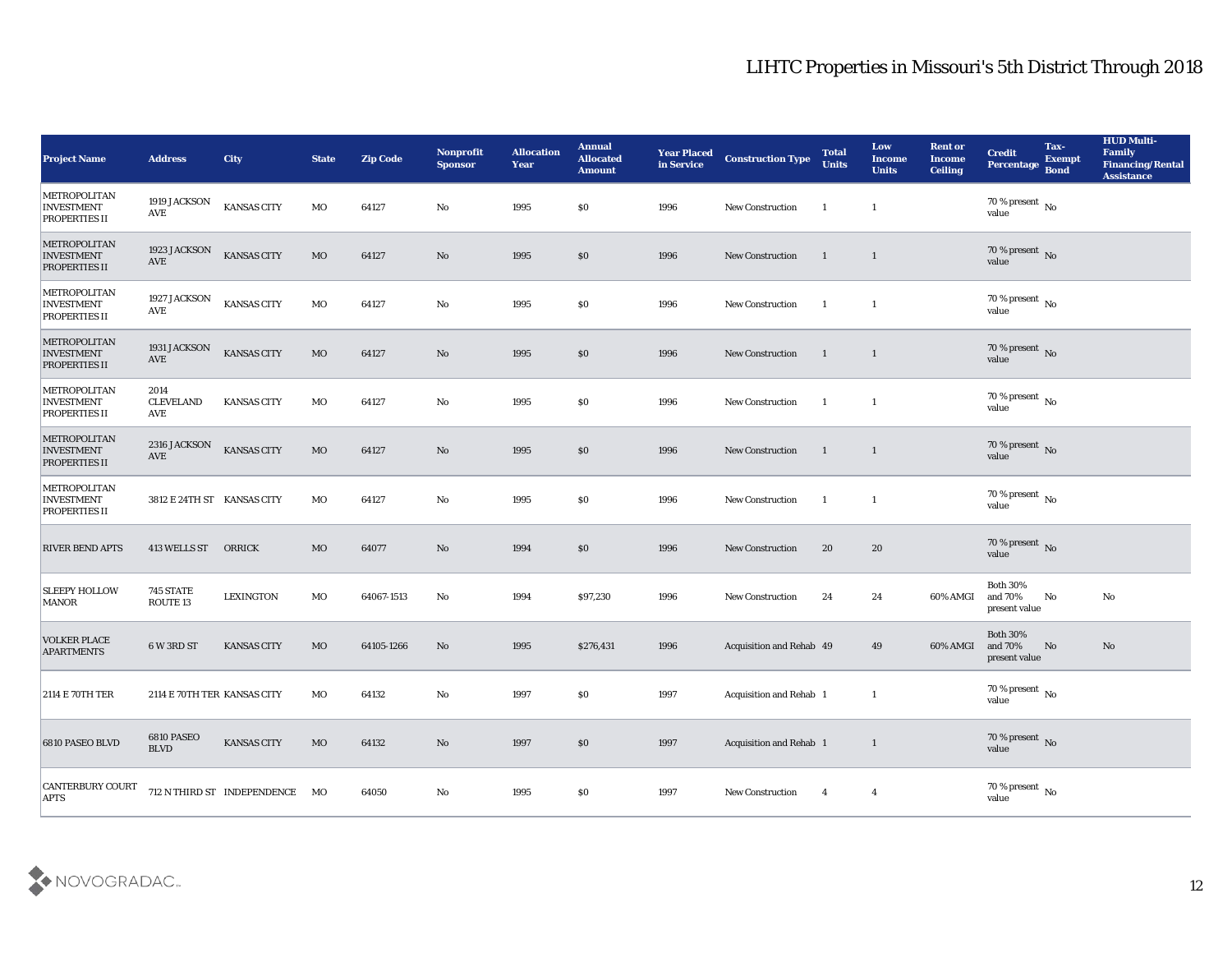| <b>Project Name</b>                                              | <b>Address</b>                       | <b>City</b>                    | <b>State</b> | <b>Zip Code</b> | <b>Nonprofit</b><br><b>Sponsor</b> | <b>Allocation</b><br><b>Year</b> | <b>Annual</b><br><b>Allocated</b><br><b>Amount</b> | <b>Year Placed</b><br>in Service | <b>Construction Type</b>       | <b>Total</b><br><b>Units</b> | Low<br><b>Income</b><br><b>Units</b> | <b>Rent or</b><br>Income<br><b>Ceiling</b> | <b>Credit</b><br>Percentage                 | Tax-<br><b>Exempt</b><br><b>Bond</b> | <b>HUD Multi-</b><br>Family<br><b>Financing/Rental</b><br><b>Assistance</b> |
|------------------------------------------------------------------|--------------------------------------|--------------------------------|--------------|-----------------|------------------------------------|----------------------------------|----------------------------------------------------|----------------------------------|--------------------------------|------------------------------|--------------------------------------|--------------------------------------------|---------------------------------------------|--------------------------------------|-----------------------------------------------------------------------------|
| METROPOLITAN<br><b>INVESTMENT</b><br><b>PROPERTIES II</b>        | 1919 JACKSON<br>AVE                  | KANSAS CITY                    | MO           | 64127           | No                                 | 1995                             | \$0                                                | 1996                             | <b>New Construction</b>        | -1                           | <sup>1</sup>                         |                                            | 70 % present $\,$ No $\,$<br>value          |                                      |                                                                             |
| METROPOLITAN<br><b>INVESTMENT</b><br><b>PROPERTIES II</b>        | 1923 JACKSON<br>$\operatorname{AVE}$ | <b>KANSAS CITY</b>             | <b>MO</b>    | 64127           | No                                 | 1995                             | \$0                                                | 1996                             | <b>New Construction</b>        | $\langle 1 \rangle$          | $\mathbf{1}$                         |                                            | 70 % present No<br>value                    |                                      |                                                                             |
| METROPOLITAN<br><b>INVESTMENT</b><br><b>PROPERTIES II</b>        | 1927 JACKSON<br>AVE                  | <b>KANSAS CITY</b>             | MO           | 64127           | No                                 | 1995                             | \$0                                                | 1996                             | <b>New Construction</b>        | -1                           | $\mathbf{1}$                         |                                            | 70 % present $\,$ No $\,$<br>value          |                                      |                                                                             |
| METROPOLITAN<br><b>INVESTMENT</b><br><b>PROPERTIES II</b>        | 1931 JACKSON<br>$\operatorname{AVE}$ | <b>KANSAS CITY</b>             | $_{\rm MO}$  | 64127           | No                                 | 1995                             | \$0                                                | 1996                             | <b>New Construction</b>        | $\mathbf{1}$                 | $\mathbf{1}$                         |                                            | $70\,\%$ present $\,$ No value              |                                      |                                                                             |
| METROPOLITAN<br><b>INVESTMENT</b><br><b>PROPERTIES II</b>        | 2014<br><b>CLEVELAND</b><br>AVE      | <b>KANSAS CITY</b>             | MO           | 64127           | No                                 | 1995                             | \$0                                                | 1996                             | <b>New Construction</b>        | -1                           | 1                                    |                                            | $70\,\%$ present $\,$ No value              |                                      |                                                                             |
| <b>METROPOLITAN</b><br><b>INVESTMENT</b><br><b>PROPERTIES II</b> | 2316 JACKSON<br>AVE                  | <b>KANSAS CITY</b>             | MO           | 64127           | No                                 | 1995                             | \$0                                                | 1996                             | <b>New Construction</b>        | $\mathbf{1}$                 | $\mathbf{1}$                         |                                            | $70\,\%$ present $\,$ No value              |                                      |                                                                             |
| METROPOLITAN<br><b>INVESTMENT</b><br><b>PROPERTIES II</b>        | 3812 E 24TH ST KANSAS CITY           |                                | MO           | 64127           | No                                 | 1995                             | \$0                                                | 1996                             | <b>New Construction</b>        | -1                           | $\mathbf{1}$                         |                                            | $70\,\%$ present $\,$ No value              |                                      |                                                                             |
| <b>RIVER BEND APTS</b>                                           | 413 WELLS ST                         | ORRICK                         | MO           | 64077           | No                                 | 1994                             | \$0                                                | 1996                             | <b>New Construction</b>        | 20                           | 20                                   |                                            | 70 % present $\,$ No $\,$<br>value          |                                      |                                                                             |
| <b>SLEEPY HOLLOW</b><br><b>MANOR</b>                             | 745 STATE<br>ROUTE <sub>13</sub>     | <b>LEXINGTON</b>               | MO           | 64067-1513      | No                                 | 1994                             | \$97,230                                           | 1996                             | <b>New Construction</b>        | 24                           | 24                                   | 60% AMGI                                   | <b>Both 30%</b><br>and 70%<br>present value | No                                   | No                                                                          |
| <b>VOLKER PLACE</b><br><b>APARTMENTS</b>                         | 6 W 3RD ST                           | <b>KANSAS CITY</b>             | MO           | 64105-1266      | No                                 | 1995                             | \$276,431                                          | 1996                             | Acquisition and Rehab 49       |                              | 49                                   | 60% AMGI                                   | <b>Both 30%</b><br>and 70%<br>present value | No                                   | No                                                                          |
| <b>2114 E 70TH TER</b>                                           | 2114 E 70TH TER KANSAS CITY          |                                | МO           | 64132           | No                                 | 1997                             | \$0                                                | 1997                             | <b>Acquisition and Rehab 1</b> |                              | 1                                    |                                            | 70 % present $\,$ No $\,$<br>value          |                                      |                                                                             |
| 6810 PASEO BLVD                                                  | 6810 PASEO<br><b>BLVD</b>            | KANSAS CITY                    | $_{\rm MO}$  | 64132           | $\rm\thinspace No$                 | 1997                             | $\$0$                                              | 1997                             | Acquisition and Rehab 1        |                              | $\mathbf{1}$                         |                                            | $70\,\%$ present $\,$ No value              |                                      |                                                                             |
| <b>CANTERBURY COURT</b><br><b>APTS</b>                           |                                      | 712 N THIRD ST INDEPENDENCE MO |              | 64050           | $\mathbf {No}$                     | 1995                             | $\$0$                                              | 1997                             | New Construction               | $\overline{4}$               | $\overline{4}$                       |                                            | $70\,\%$ present $\,$ No value              |                                      |                                                                             |

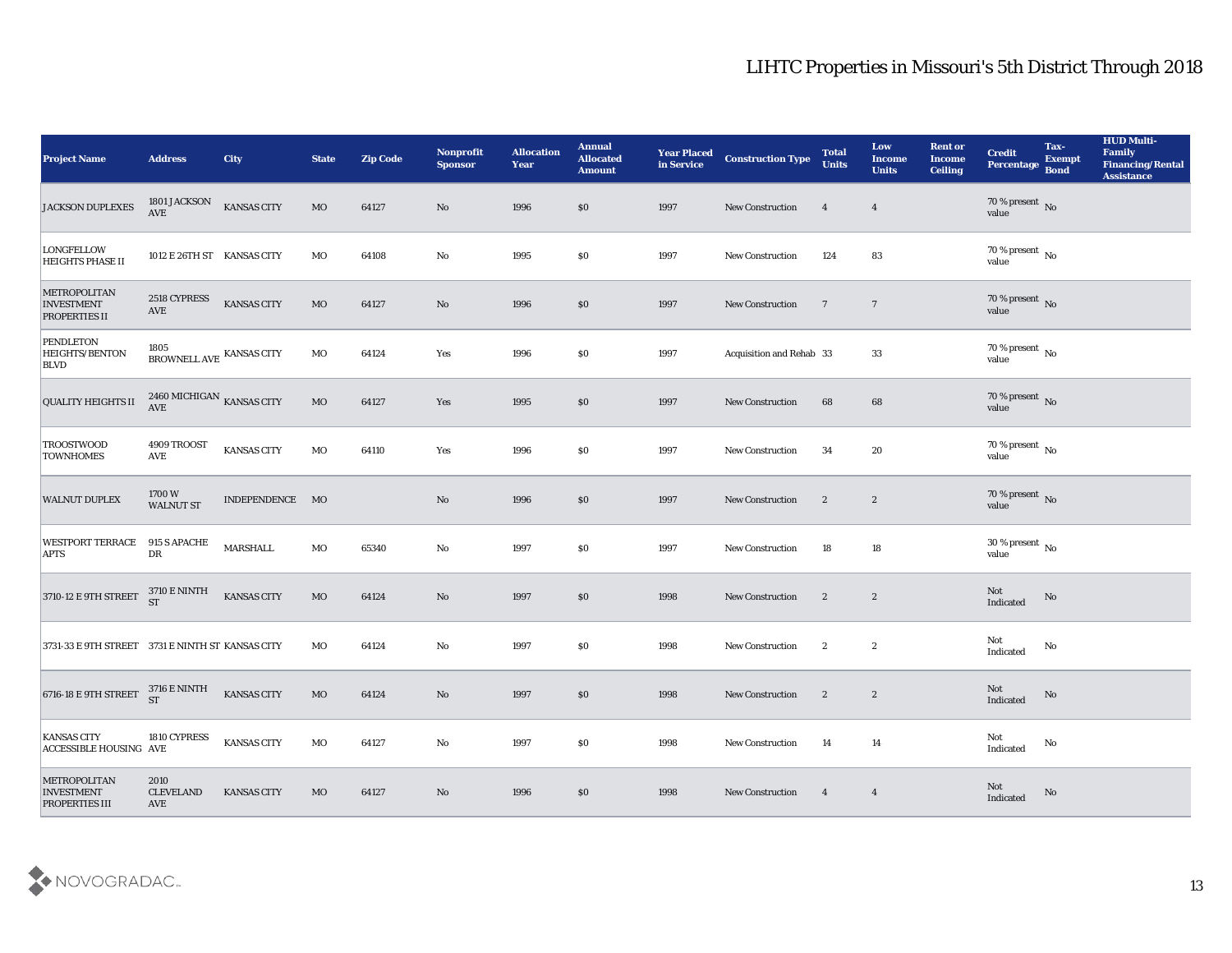| <b>Project Name</b>                                               | <b>Address</b>                                | <b>City</b>        | <b>State</b> | <b>Zip Code</b> | Nonprofit<br><b>Sponsor</b> | <b>Allocation</b><br><b>Year</b> | <b>Annual</b><br><b>Allocated</b><br><b>Amount</b> | <b>Year Placed</b><br>in Service | <b>Construction Type</b> | <b>Total</b><br><b>Units</b> | Low<br><b>Income</b><br><b>Units</b> | <b>Rent or</b><br><b>Income</b><br><b>Ceiling</b> | <b>Credit</b><br>Percentage    | Tax-<br><b>Exempt</b><br><b>Bond</b> | <b>HUD Multi-</b><br>Family<br><b>Financing/Rental</b><br><b>Assistance</b> |
|-------------------------------------------------------------------|-----------------------------------------------|--------------------|--------------|-----------------|-----------------------------|----------------------------------|----------------------------------------------------|----------------------------------|--------------------------|------------------------------|--------------------------------------|---------------------------------------------------|--------------------------------|--------------------------------------|-----------------------------------------------------------------------------|
| <b>JACKSON DUPLEXES</b>                                           | 1801 JACKSON<br>$\operatorname{\mathsf{AVE}}$ | <b>KANSAS CITY</b> | $_{\rm MO}$  | 64127           | No                          | 1996                             | $\$0$                                              | 1997                             | New Construction         | $\overline{4}$               | $\overline{4}$                       |                                                   | $70\,\%$ present $\,$ No value |                                      |                                                                             |
| <b>LONGFELLOW</b><br><b>HEIGHTS PHASE II</b>                      | 1012 E 26TH ST KANSAS CITY                    |                    | MO           | 64108           | No                          | 1995                             | $\$0$                                              | 1997                             | New Construction         | 124                          | 83                                   |                                                   | $70\,\%$ present $\,$ No value |                                      |                                                                             |
| METROPOLITAN<br><b>INVESTMENT</b><br><b>PROPERTIES II</b>         | 2518 CYPRESS<br>$\operatorname{AVE}$          | <b>KANSAS CITY</b> | $_{\rm MO}$  | 64127           | No                          | 1996                             | \$0                                                | 1997                             | New Construction         | $\overline{7}$               | $\overline{7}$                       |                                                   | $70\,\%$ present $\,$ No value |                                      |                                                                             |
| <b>PENDLETON</b><br><b>HEIGHTS/BENTON</b><br><b>BLVD</b>          | 1805<br>BROWNELL AVE KANSAS CITY              |                    | MO           | 64124           | Yes                         | 1996                             | \$0\$                                              | 1997                             | Acquisition and Rehab 33 |                              | 33                                   |                                                   | $70\,\%$ present $\,$ No value |                                      |                                                                             |
| <b>QUALITY HEIGHTS II</b>                                         | $2460\,{\rm MICHIGAN}$ KANSAS CITY AVE        |                    | $_{\rm MO}$  | 64127           | Yes                         | 1995                             | \$0\$                                              | 1997                             | <b>New Construction</b>  | 68                           | 68                                   |                                                   | $70\,\%$ present $\,$ No value |                                      |                                                                             |
| <b>TROOSTWOOD</b><br><b>TOWNHOMES</b>                             | 4909 TROOST<br>AVE                            | <b>KANSAS CITY</b> | MO           | 64110           | Yes                         | 1996                             | \$0\$                                              | 1997                             | New Construction         | 34                           | 20                                   |                                                   | $70\,\%$ present $\,$ No value |                                      |                                                                             |
| <b>WALNUT DUPLEX</b>                                              | $1700\,\mathrm{W}$<br><b>WALNUT ST</b>        | INDEPENDENCE MO    |              |                 | No                          | 1996                             | \$0\$                                              | 1997                             | <b>New Construction</b>  | $\boldsymbol{2}$             | $\mathbf{2}$                         |                                                   | $70\,\%$ present $\,$ No value |                                      |                                                                             |
| <b>WESTPORT TERRACE 915 S APACHE</b><br><b>APTS</b>               | DR                                            | <b>MARSHALL</b>    | MO           | 65340           | No                          | 1997                             | \$0\$                                              | 1997                             | <b>New Construction</b>  | 18                           | 18                                   |                                                   | $30\,\%$ present $\,$ No value |                                      |                                                                             |
| 3710-12 E 9TH STREET                                              | $3710\to\hbox{NINTH}$<br><b>ST</b>            | <b>KANSAS CITY</b> | $_{\rm MO}$  | 64124           | No                          | 1997                             | \$0\$                                              | 1998                             | <b>New Construction</b>  | $\boldsymbol{2}$             | $\boldsymbol{2}$                     |                                                   | Not<br>Indicated               | No                                   |                                                                             |
| 3731-33 E 9TH STREET 3731 E NINTH ST KANSAS CITY                  |                                               |                    | MO           | 64124           | No                          | 1997                             | \$0\$                                              | 1998                             | <b>New Construction</b>  | $\boldsymbol{2}$             | $\boldsymbol{2}$                     |                                                   | Not<br>Indicated               | No                                   |                                                                             |
| 6716-18 E 9TH STREET                                              | <b>3716 E NINTH</b><br><b>ST</b>              | <b>KANSAS CITY</b> | MO           | 64124           | No                          | 1997                             | $\$0$                                              | 1998                             | <b>New Construction</b>  | $\boldsymbol{2}$             | $\boldsymbol{2}$                     |                                                   | Not<br>Indicated               | No                                   |                                                                             |
| <b>KANSAS CITY</b><br>ACCESSIBLE HOUSING AVE                      | 1810 CYPRESS                                  | <b>KANSAS CITY</b> | MO           | 64127           | $\mathbf {No}$              | 1997                             | \$0\$                                              | 1998                             | <b>New Construction</b>  | 14                           | 14                                   |                                                   | Not<br>Indicated               | $\rm No$                             |                                                                             |
| <b>METROPOLITAN</b><br><b>INVESTMENT</b><br><b>PROPERTIES III</b> | 2010<br><b>CLEVELAND</b><br>AVE               | <b>KANSAS CITY</b> | MO           | 64127           | No                          | 1996                             | $\$0$                                              | 1998                             | <b>New Construction</b>  | $\overline{4}$               | $\overline{4}$                       |                                                   | Not<br>Indicated               | No                                   |                                                                             |

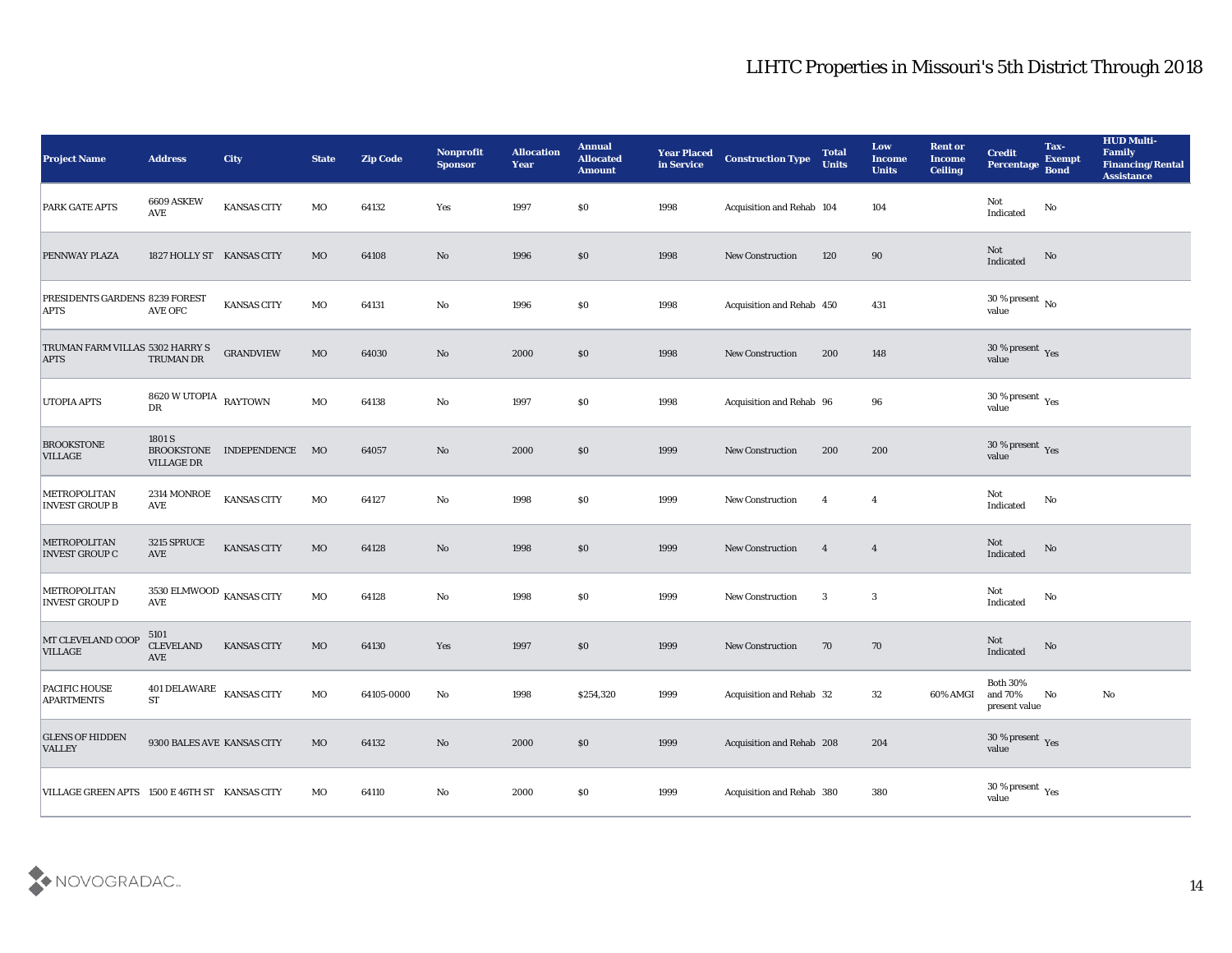| <b>Project Name</b>                            | <b>Address</b>                                  | City                       | <b>State</b> | <b>Zip Code</b> | <b>Nonprofit</b><br><b>Sponsor</b> | <b>Allocation</b><br><b>Year</b> | <b>Annual</b><br><b>Allocated</b><br><b>Amount</b> | <b>Year Placed</b><br>in Service | <b>Construction Type</b>  | <b>Total</b><br><b>Units</b> | Low<br><b>Income</b><br><b>Units</b> | <b>Rent or</b><br><b>Income</b><br>Ceiling | <b>Credit</b><br>Percentage                   | Tax-<br><b>Exempt</b><br><b>Bond</b> | <b>HUD Multi-</b><br>Family<br><b>Financing/Rental</b><br><b>Assistance</b> |
|------------------------------------------------|-------------------------------------------------|----------------------------|--------------|-----------------|------------------------------------|----------------------------------|----------------------------------------------------|----------------------------------|---------------------------|------------------------------|--------------------------------------|--------------------------------------------|-----------------------------------------------|--------------------------------------|-----------------------------------------------------------------------------|
| <b>PARK GATE APTS</b>                          | 6609 ASKEW<br>AVE                               | <b>KANSAS CITY</b>         | MO           | 64132           | Yes                                | 1997                             | $\$0$                                              | 1998                             | Acquisition and Rehab 104 |                              | 104                                  |                                            | Not<br>Indicated                              | No                                   |                                                                             |
| PENNWAY PLAZA                                  | 1827 HOLLY ST KANSAS CITY                       |                            | MO           | 64108           | No                                 | 1996                             | \$0                                                | 1998                             | <b>New Construction</b>   | 120                          | 90                                   |                                            | Not<br>Indicated                              | No                                   |                                                                             |
| PRESIDENTS GARDENS 8239 FOREST<br><b>APTS</b>  | <b>AVE OFC</b>                                  | <b>KANSAS CITY</b>         | MO           | 64131           | No                                 | 1996                             | \$0\$                                              | 1998                             | Acquisition and Rehab 450 |                              | 431                                  |                                            | $30\,\%$ present $\,$ No $\,$<br>value        |                                      |                                                                             |
| TRUMAN FARM VILLAS 5302 HARRY S<br><b>APTS</b> | TRUMAN DR                                       | <b>GRANDVIEW</b>           | MO           | 64030           | No                                 | 2000                             | \$0                                                | 1998                             | <b>New Construction</b>   | 200                          | 148                                  |                                            | $30\,\%$ present $\,$ Yes value               |                                      |                                                                             |
| <b>UTOPIA APTS</b>                             | 8620 W UTOPIA RAYTOWN<br>DR                     |                            | MO           | 64138           | No                                 | 1997                             | $\$0$                                              | 1998                             | Acquisition and Rehab 96  |                              | 96                                   |                                            | 30 % present $\,\rm \gamma_{\rm es}$<br>value |                                      |                                                                             |
| <b>BROOKSTONE</b><br><b>VILLAGE</b>            | 1801 S<br><b>VILLAGE DR</b>                     | BROOKSTONE INDEPENDENCE MO |              | 64057           | $\mathbf{N}\mathbf{o}$             | 2000                             | \$0                                                | 1999                             | <b>New Construction</b>   | 200                          | 200                                  |                                            | $30\,\%$ present $\,$ Yes value               |                                      |                                                                             |
| METROPOLITAN<br><b>INVEST GROUP B</b>          | 2314 MONROE<br><b>AVE</b>                       | <b>KANSAS CITY</b>         | MO           | 64127           | No                                 | 1998                             | $\$0$                                              | 1999                             | <b>New Construction</b>   | $\overline{4}$               | $\overline{\mathbf{4}}$              |                                            | Not<br>Indicated                              | No                                   |                                                                             |
| <b>METROPOLITAN</b><br><b>INVEST GROUP C</b>   | 3215 SPRUCE<br>AVE                              | <b>KANSAS CITY</b>         | MO           | 64128           | No                                 | 1998                             | \$0                                                | 1999                             | New Construction          | $\overline{4}$               | $\overline{4}$                       |                                            | Not<br>Indicated                              | No                                   |                                                                             |
| METROPOLITAN<br><b>INVEST GROUP D</b>          | 3530 ELMWOOD $_{\rm KANSAS}$ CITY<br><b>AVE</b> |                            | MO           | 64128           | No                                 | 1998                             | \$0\$                                              | 1999                             | <b>New Construction</b>   | 3                            | 3                                    |                                            | Not<br>Indicated                              | $\mathbf{No}$                        |                                                                             |
| MT CLEVELAND COOP<br><b>VILLAGE</b>            | 5101<br><b>CLEVELAND</b><br><b>AVE</b>          | <b>KANSAS CITY</b>         | MO           | 64130           | Yes                                | 1997                             | \$0                                                | 1999                             | <b>New Construction</b>   | 70                           | 70                                   |                                            | Not<br>Indicated                              | No                                   |                                                                             |
| <b>PACIFIC HOUSE</b><br><b>APARTMENTS</b>      | 401 DELAWARE KANSAS CITY<br><b>ST</b>           |                            | MO           | 64105-0000      | No                                 | 1998                             | \$254,320                                          | 1999                             | Acquisition and Rehab 32  |                              | 32                                   | 60% AMGI and 70%                           | <b>Both 30%</b><br>present value              | No                                   | No                                                                          |
| <b>GLENS OF HIDDEN</b><br><b>VALLEY</b>        | 9300 BALES AVE KANSAS CITY                      |                            | $_{\rm MO}$  | 64132           | $\rm\thinspace No$                 | 2000                             | $\$0$                                              | 1999                             | Acquisition and Rehab 208 |                              | 204                                  |                                            | $30\,\%$ present $\,$ Yes value               |                                      |                                                                             |
| VILLAGE GREEN APTS 1500 E 46TH ST KANSAS CITY  |                                                 |                            | $_{\rm MO}$  | 64110           | ${\bf No}$                         | 2000                             | $\$0$                                              | 1999                             | Acquisition and Rehab 380 |                              | 380                                  |                                            | 30 % present $\,\rm \gamma_{\rm es}$<br>value |                                      |                                                                             |

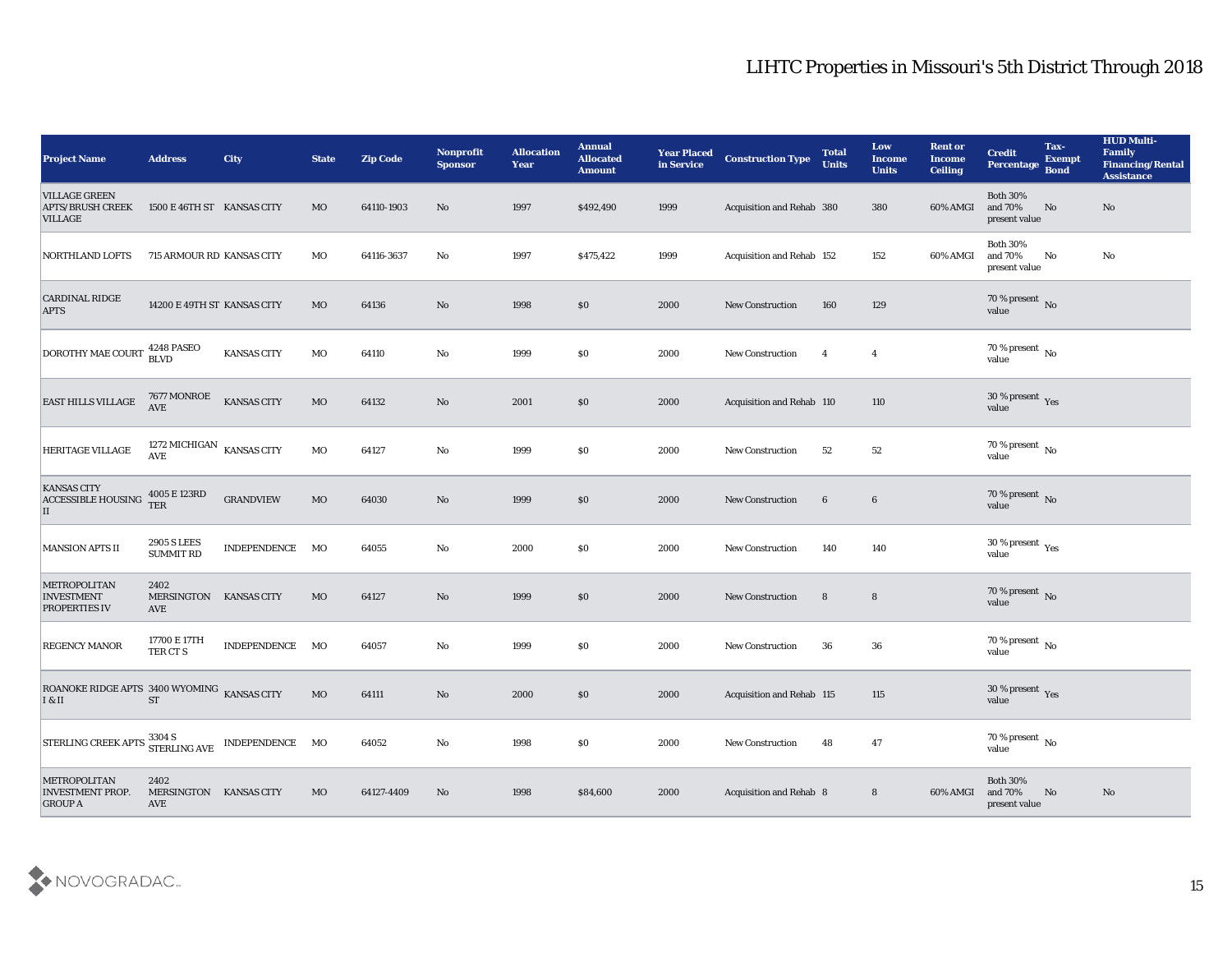| <b>Project Name</b>                                                                                                                                                                                                                                                                                                          | <b>Address</b>                               | <b>City</b>         | <b>State</b> | <b>Zip Code</b> | <b>Nonprofit</b><br><b>Sponsor</b> | <b>Allocation</b><br><b>Year</b> | <b>Annual</b><br><b>Allocated</b><br><b>Amount</b> | <b>Year Placed</b><br>in Service | <b>Construction Type</b>  | <b>Total</b><br><b>Units</b> | Low<br><b>Income</b><br><b>Units</b> | <b>Rent or</b><br><b>Income</b><br><b>Ceiling</b> | <b>Credit</b><br>Percentage                 | Tax-<br><b>Exempt</b><br><b>Bond</b> | <b>HUD Multi-</b><br>Family<br><b>Financing/Rental</b><br><b>Assistance</b> |
|------------------------------------------------------------------------------------------------------------------------------------------------------------------------------------------------------------------------------------------------------------------------------------------------------------------------------|----------------------------------------------|---------------------|--------------|-----------------|------------------------------------|----------------------------------|----------------------------------------------------|----------------------------------|---------------------------|------------------------------|--------------------------------------|---------------------------------------------------|---------------------------------------------|--------------------------------------|-----------------------------------------------------------------------------|
| <b>VILLAGE GREEN</b><br><b>APTS/BRUSH CREEK</b><br><b>VILLAGE</b>                                                                                                                                                                                                                                                            | 1500 E 46TH ST KANSAS CITY                   |                     | MO           | 64110-1903      | No                                 | 1997                             | \$492,490                                          | 1999                             | Acquisition and Rehab 380 |                              | 380                                  | 60% AMGI                                          | <b>Both 30%</b><br>and 70%<br>present value | No                                   | No                                                                          |
| <b>NORTHLAND LOFTS</b>                                                                                                                                                                                                                                                                                                       | 715 ARMOUR RD KANSAS CITY                    |                     | MO           | 64116-3637      | No                                 | 1997                             | \$475,422                                          | 1999                             | Acquisition and Rehab 152 |                              | 152                                  | 60% AMGI                                          | <b>Both 30%</b><br>and 70%<br>present value | No                                   | No                                                                          |
| <b>CARDINAL RIDGE</b><br><b>APTS</b>                                                                                                                                                                                                                                                                                         | 14200 E 49TH ST KANSAS CITY                  |                     | MO           | 64136           | No                                 | 1998                             | \$0                                                | 2000                             | <b>New Construction</b>   | 160                          | 129                                  |                                                   | 70 % present $\,$ No $\,$<br>value          |                                      |                                                                             |
| DOROTHY MAE COURT                                                                                                                                                                                                                                                                                                            | <b>4248 PASEO</b><br><b>BLVD</b>             | <b>KANSAS CITY</b>  | MO           | 64110           | No                                 | 1999                             | $\$0$                                              | 2000                             | New Construction          | $\overline{4}$               | $\overline{4}$                       |                                                   | $70\,\%$ present $\,$ No value              |                                      |                                                                             |
| <b>EAST HILLS VILLAGE</b>                                                                                                                                                                                                                                                                                                    | 7677 MONROE<br><b>AVE</b>                    | <b>KANSAS CITY</b>  | MO           | 64132           | $\mathbf{N}\mathbf{o}$             | 2001                             | \$0                                                | 2000                             | Acquisition and Rehab 110 |                              | 110                                  |                                                   | $30\,\%$ present $\,$ Yes value             |                                      |                                                                             |
| HERITAGE VILLAGE                                                                                                                                                                                                                                                                                                             | 1272 MICHIGAN $\,$ KANSAS CITY<br><b>AVE</b> |                     | MO           | 64127           | No                                 | 1999                             | \$0\$                                              | 2000                             | <b>New Construction</b>   | 52                           | 52                                   |                                                   | $70\,\%$ present $\,$ No value              |                                      |                                                                             |
| <b>KANSAS CITY</b><br><b>ACCESSIBLE HOUSING</b><br>ΙI                                                                                                                                                                                                                                                                        | 4005 E 123RD<br><b>TER</b>                   | <b>GRANDVIEW</b>    | MO           | 64030           | $\mathbf{N}\mathbf{o}$             | 1999                             | \$0                                                | 2000                             | <b>New Construction</b>   | $6\phantom{.}6$              | $6\phantom{1}6$                      |                                                   | $70\,\%$ present $\,$ No value              |                                      |                                                                             |
| <b>MANSION APTS II</b>                                                                                                                                                                                                                                                                                                       | <b>2905 S LEES</b><br><b>SUMMIT RD</b>       | <b>INDEPENDENCE</b> | MO           | 64055           | No                                 | 2000                             | $\$0$                                              | 2000                             | <b>New Construction</b>   | 140                          | 140                                  |                                                   | $30$ % present $\,$ $\rm Yes$<br>value      |                                      |                                                                             |
| <b>METROPOLITAN</b><br><b>INVESTMENT</b><br><b>PROPERTIES IV</b>                                                                                                                                                                                                                                                             | 2402<br>MERSINGTON KANSAS CITY<br>AVE        |                     | MO           | 64127           | No                                 | 1999                             | \$0                                                | 2000                             | New Construction          | 8                            | $8\phantom{1}$                       |                                                   | $70\,\%$ present $\,$ No value              |                                      |                                                                             |
| <b>REGENCY MANOR</b>                                                                                                                                                                                                                                                                                                         | 17700 E 17TH<br>TER CT S                     | <b>INDEPENDENCE</b> | MO           | 64057           | No                                 | 1999                             | \$0\$                                              | 2000                             | <b>New Construction</b>   | 36                           | 36                                   |                                                   | $70\,\%$ present $\,$ No value              |                                      |                                                                             |
| ROANOKE RIDGE APTS 3400 WYOMING KANSAS CITY<br>$\vert$ I & II                                                                                                                                                                                                                                                                | <b>ST</b>                                    |                     | MO           | 64111           | No                                 | 2000                             | \$0\$                                              | 2000                             | Acquisition and Rehab 115 |                              | 115                                  |                                                   | 30 % present Yes<br>value                   |                                      |                                                                             |
| $\begin{tabular}{ l l } \hline \texttt{STERLING CREEK APTS} \end{tabular} \begin{tabular}{c} \multicolumn{2}{c}{3304 S} \multicolumn{2}{c}{\textbf{STERLING AVE}} \end{tabular} \begin{tabular}{c} \multicolumn{2}{c}{\textbf{INDEPENDENCE}} \end{tabular} \begin{tabular}{c} \multicolumn{2}{c}{\textbf{MO}} \end{tabular}$ |                                              |                     |              | 64052           | $\rm\, No$                         | 1998                             | \$0                                                | 2000                             | <b>New Construction</b>   | 48                           | 47                                   |                                                   | 70 % present $\overline{N_0}$<br>value      |                                      |                                                                             |
| METROPOLITAN<br><b>INVESTMENT PROP.</b><br><b>GROUP A</b>                                                                                                                                                                                                                                                                    | 2402<br>MERSINGTON KANSAS CITY<br>AVE        |                     | MO           | 64127-4409      | $\mathbf{N}\mathbf{o}$             | 1998                             | \$84,600                                           | 2000                             | Acquisition and Rehab 8   |                              | 8                                    | 60% AMGI                                          | Both $30\%$<br>and 70%<br>present value     | No                                   | $\rm\thinspace No$                                                          |

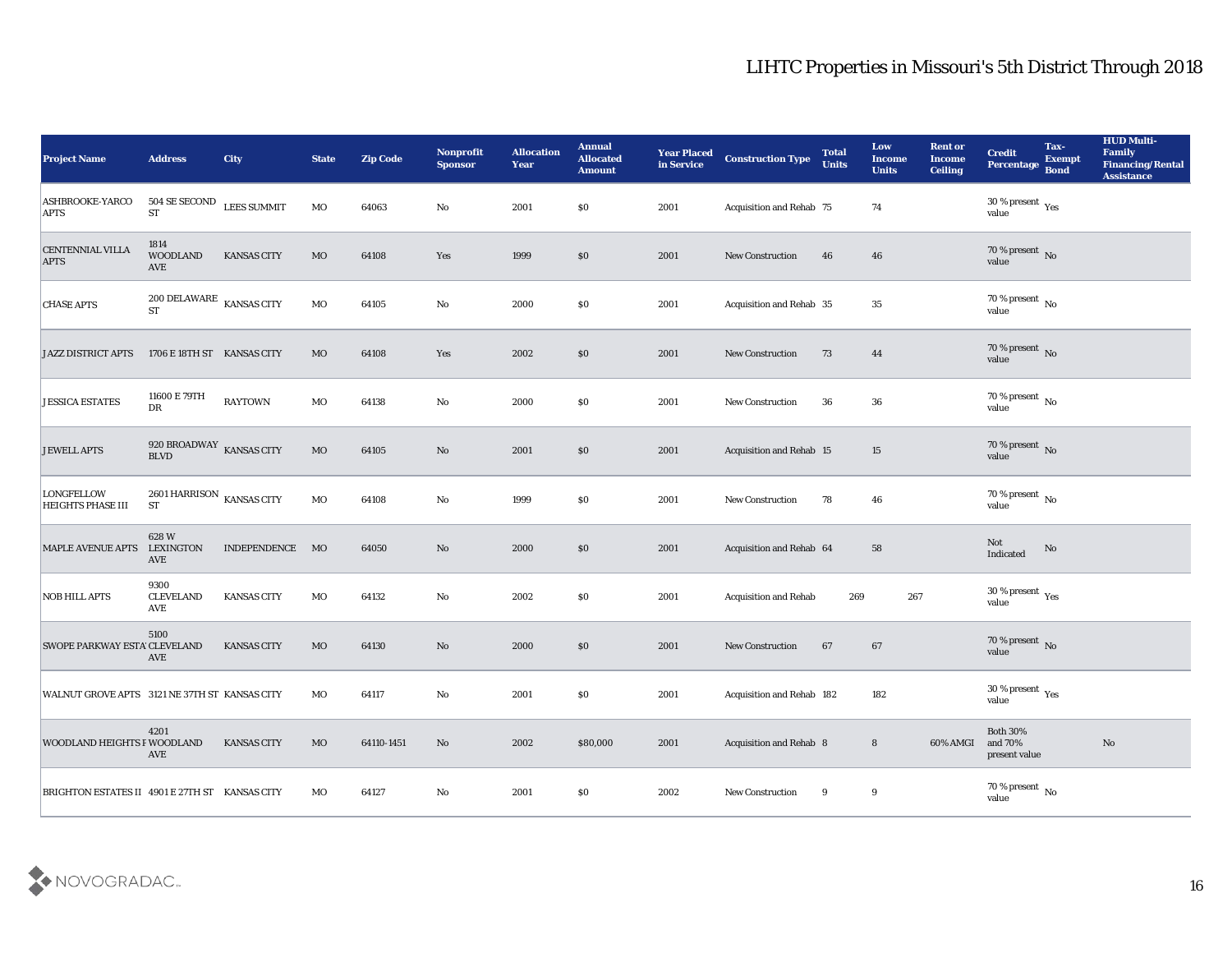| <b>Project Name</b>                            | <b>Address</b>                                               | <b>City</b>        | <b>State</b> | <b>Zip Code</b> | Nonprofit<br><b>Sponsor</b> | <b>Allocation</b><br><b>Year</b> | <b>Annual</b><br><b>Allocated</b><br><b>Amount</b> | <b>Year Placed</b><br>in Service | <b>Construction Type</b>         | <b>Total</b><br><b>Units</b> | Low<br>Income<br><b>Units</b> | <b>Rent or</b><br><b>Income</b><br><b>Ceiling</b> | <b>Credit</b><br>Percentage                | Tax-<br><b>Exempt</b><br><b>Bond</b> | <b>HUD Multi-</b><br>Family<br><b>Financing/Rental</b><br><b>Assistance</b> |
|------------------------------------------------|--------------------------------------------------------------|--------------------|--------------|-----------------|-----------------------------|----------------------------------|----------------------------------------------------|----------------------------------|----------------------------------|------------------------------|-------------------------------|---------------------------------------------------|--------------------------------------------|--------------------------------------|-----------------------------------------------------------------------------|
| <b>ASHBROOKE-YARCO</b><br><b>APTS</b>          | $504$ SE SECOND $$\tt LEES$ SUMMIT $$ST$$                    |                    | MO           | 64063           | No                          | 2001                             | \$0                                                | 2001                             | Acquisition and Rehab 75         |                              | 74                            |                                                   | $30\,\%$ present $\,$ Yes value            |                                      |                                                                             |
| <b>CENTENNIAL VILLA</b><br><b>APTS</b>         | 1814<br><b>WOODLAND</b><br><b>AVE</b>                        | <b>KANSAS CITY</b> | $_{\rm MO}$  | 64108           | Yes                         | 1999                             | \$0                                                | 2001                             | <b>New Construction</b>          | 46                           | 46                            |                                                   | $70\,\%$ present $\,$ No value             |                                      |                                                                             |
| <b>CHASE APTS</b>                              | $200$ DELAWARE $$\,{\rm KANSAS\,}\,{\rm CITY}$$<br><b>ST</b> |                    | MO           | 64105           | $\mathbf {No}$              | 2000                             | \$0                                                | 2001                             | Acquisition and Rehab 35         |                              | 35                            |                                                   | 70 % present No<br>value                   |                                      |                                                                             |
| <b>JAZZ DISTRICT APTS</b>                      | 1706 E 18TH ST KANSAS CITY                                   |                    | MO           | 64108           | Yes                         | 2002                             | \$0                                                | 2001                             | New Construction                 | 73                           | 44                            |                                                   | $70\,\%$ present $\,$ No value             |                                      |                                                                             |
| <b>JESSICA ESTATES</b>                         | 11600 E 79TH<br>DR                                           | <b>RAYTOWN</b>     | MO           | 64138           | $\mathbf{No}$               | 2000                             | \$0                                                | 2001                             | <b>New Construction</b>          | 36                           | 36                            |                                                   | $70\,\%$ present $\,$ No value             |                                      |                                                                             |
| <b>JEWELL APTS</b>                             | 920 BROADWAY $$\tt KANSAS$ CITY BLVD                         |                    | $_{\rm MO}$  | 64105           | No                          | 2001                             | \$0                                                | 2001                             | <b>Acquisition and Rehab 15</b>  |                              | 15                            |                                                   | $70\,\%$ present $\,$ No value             |                                      |                                                                             |
| <b>LONGFELLOW</b><br><b>HEIGHTS PHASE III</b>  | 2601 HARRISON $_{\,$ KANSAS CITY<br><b>ST</b>                |                    | $_{\rm MO}$  | 64108           | $\mathbf{No}$               | 1999                             | \$0                                                | 2001                             | New Construction                 | 78                           | 46                            |                                                   | $70\,\%$ present $\,$ No value             |                                      |                                                                             |
| <b>MAPLE AVENUE APTS</b>                       | 628W<br><b>LEXINGTON</b><br>AVE                              | INDEPENDENCE       | MO           | 64050           | No                          | 2000                             | \$0                                                | 2001                             | Acquisition and Rehab 64         |                              | 58                            |                                                   | Not<br>Indicated                           | No                                   |                                                                             |
| <b>NOB HILL APTS</b>                           | 9300<br><b>CLEVELAND</b><br>AVE                              | <b>KANSAS CITY</b> | MO           | 64132           | $\mathbf {No}$              | 2002                             | \$0                                                | 2001                             | <b>Acquisition and Rehab</b>     | 269                          | 267                           |                                                   | $30\,\%$ present $\,$ Yes value            |                                      |                                                                             |
| <b>SWOPE PARKWAY ESTA CLEVELAND</b>            | 5100<br><b>AVE</b>                                           | <b>KANSAS CITY</b> | $_{\rm MO}$  | 64130           | No                          | 2000                             | \$0                                                | 2001                             | <b>New Construction</b>          | 67                           | 67                            |                                                   | $70\,\%$ present $\,$ No value             |                                      |                                                                             |
| WALNUT GROVE APTS 3121 NE 37TH ST KANSAS CITY  |                                                              |                    | MO           | 64117           | No                          | 2001                             | \$0                                                | 2001                             | <b>Acquisition and Rehab 182</b> |                              | 182                           |                                                   | 30 % present $_{\rm Yes}$<br>value         |                                      |                                                                             |
| <b>WOODLAND HEIGHTS F WOODLAND</b>             | 4201<br>AVE                                                  | KANSAS CITY        | $\rm MO$     | 64110-1451      | $\mathbf{N}\mathbf{o}$      | 2002                             | \$80,000                                           | 2001                             | Acquisition and Rehab 8          |                              | $\bf 8$                       | 60% AMGI                                          | Both $30\%$<br>and $70\%$<br>present value |                                      | $\mathbf{N}\mathbf{o}$                                                      |
| BRIGHTON ESTATES II 4901 E 27TH ST KANSAS CITY |                                                              |                    | MO           | 64127           | $\rm\thinspace No$          | 2001                             | $\$0$                                              | 2002                             | New Construction                 | 9                            | 9                             |                                                   | 70 % present No<br>value                   |                                      |                                                                             |

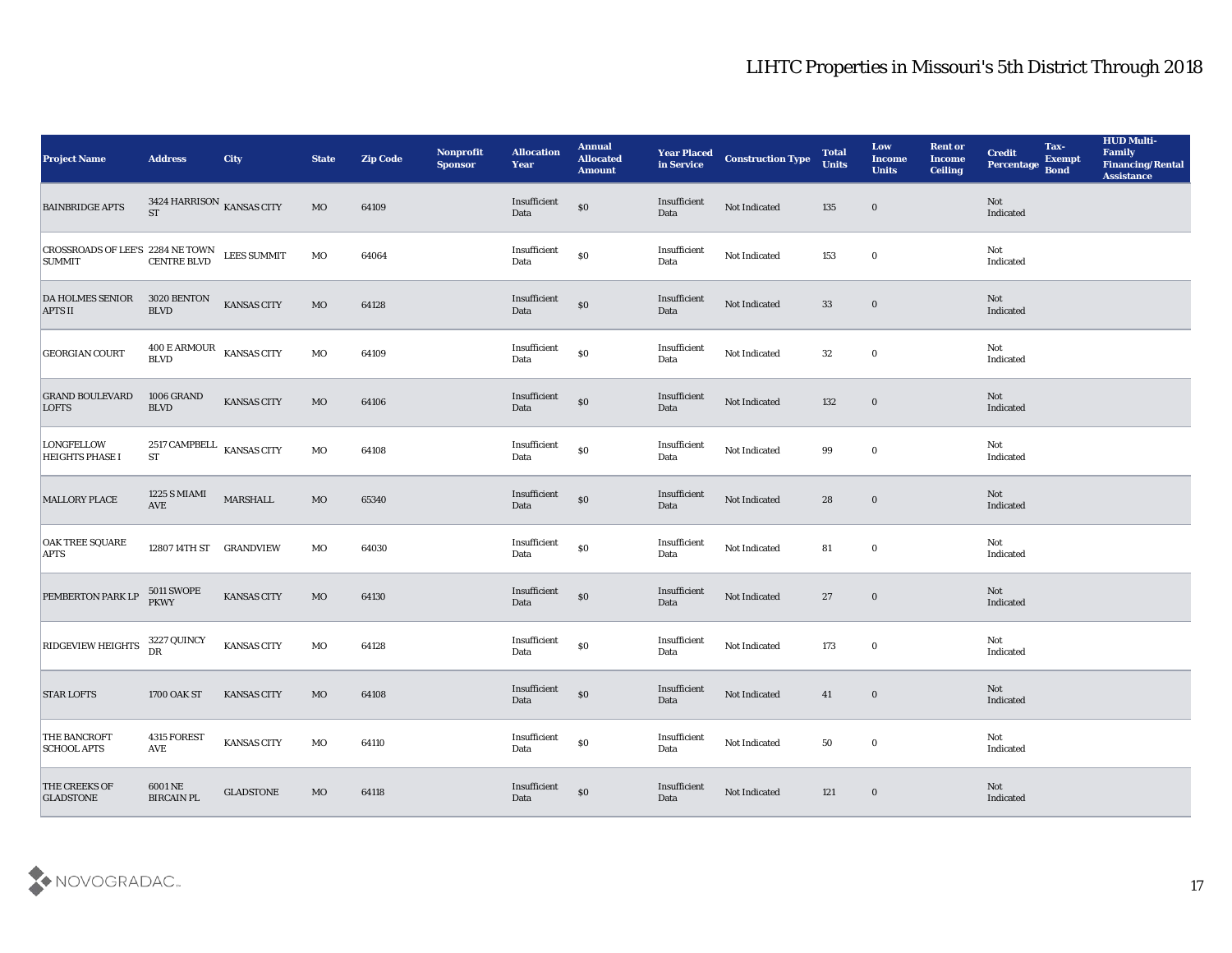| <b>Project Name</b>                                                                                                                                                                         | <b>Address</b>                               | City               | <b>State</b> | <b>Zip Code</b> | Nonprofit<br><b>Sponsor</b> | <b>Allocation</b><br><b>Year</b>            | <b>Annual</b><br><b>Allocated</b><br><b>Amount</b> | <b>Year Placed</b><br>in Service | <b>Construction Type</b> | <b>Total</b><br><b>Units</b> | Low<br><b>Income</b><br><b>Units</b> | <b>Rent or</b><br><b>Income</b><br><b>Ceiling</b> | <b>Credit</b><br>Percentage | Tax-<br><b>Exempt</b><br><b>Bond</b> | <b>HUD Multi-</b><br>Family<br><b>Financing/Rental</b><br><b>Assistance</b> |
|---------------------------------------------------------------------------------------------------------------------------------------------------------------------------------------------|----------------------------------------------|--------------------|--------------|-----------------|-----------------------------|---------------------------------------------|----------------------------------------------------|----------------------------------|--------------------------|------------------------------|--------------------------------------|---------------------------------------------------|-----------------------------|--------------------------------------|-----------------------------------------------------------------------------|
| <b>BAINBRIDGE APTS</b>                                                                                                                                                                      | $3424$ HARRISON $\,$ KANSAS CITY ST          |                    | $_{\rm MO}$  | 64109           |                             | Insufficient<br>Data                        | \$0                                                | Insufficient<br>Data             | Not Indicated            | 135                          | $\bf{0}$                             |                                                   | Not<br>Indicated            |                                      |                                                                             |
| $\begin{array}{ l } \hline \textbf{CROSSROADS OF LEES} & 2284 \textbf{ NE TOWN} & \textbf{LEES SUMMIT} \\ \hline \textbf{SUMMIT} & \textbf{CENTRE BLVD} & \textbf{LEES SUMMIT} \end{array}$ |                                              |                    | MO           | 64064           |                             | Insufficient<br>Data                        | $\$0$                                              | Insufficient<br>Data             | Not Indicated            | 153                          | $\bf{0}$                             |                                                   | Not<br>Indicated            |                                      |                                                                             |
| <b>DA HOLMES SENIOR</b><br><b>APTS II</b>                                                                                                                                                   | 3020 BENTON<br><b>BLVD</b>                   | <b>KANSAS CITY</b> | $_{\rm MO}$  | 64128           |                             | Insufficient<br>Data                        | $\$0$                                              | Insufficient<br>Data             | Not Indicated            | 33                           | $\bf{0}$                             |                                                   | Not<br>Indicated            |                                      |                                                                             |
| <b>GEORGIAN COURT</b>                                                                                                                                                                       | 400 E ARMOUR<br>KANSAS CITY<br><b>BLVD</b>   |                    | MO           | 64109           |                             | Insufficient<br>Data                        | $\$0$                                              | Insufficient<br>Data             | Not Indicated            | 32                           | $\bf{0}$                             |                                                   | Not<br>Indicated            |                                      |                                                                             |
| <b>GRAND BOULEVARD</b><br><b>LOFTS</b>                                                                                                                                                      | 1006 GRAND<br><b>BLVD</b>                    | <b>KANSAS CITY</b> | MO           | 64106           |                             | Insufficient<br>Data                        | $\$0$                                              | Insufficient<br>Data             | Not Indicated            | 132                          | $\bf{0}$                             |                                                   | Not<br>Indicated            |                                      |                                                                             |
| <b>LONGFELLOW</b><br><b>HEIGHTS PHASE I</b>                                                                                                                                                 | 2517 CAMPBELL $\,$ KANSAS CITY<br>${\rm ST}$ |                    | MO           | 64108           |                             | Insufficient<br>Data                        | $\$0$                                              | Insufficient<br>Data             | Not Indicated            | 99                           | $\bf{0}$                             |                                                   | Not<br>Indicated            |                                      |                                                                             |
| <b>MALLORY PLACE</b>                                                                                                                                                                        | 1225 S MIAMI<br>AVE                          | MARSHALL           | MO           | 65340           |                             | Insufficient<br>Data                        | $\$0$                                              | Insufficient<br>Data             | Not Indicated            | 28                           | $\bf{0}$                             |                                                   | Not<br>Indicated            |                                      |                                                                             |
| <b>OAK TREE SQUARE</b><br><b>APTS</b>                                                                                                                                                       | 12807 14TH ST GRANDVIEW                      |                    | MO           | 64030           |                             | Insufficient<br>Data                        | $\$0$                                              | Insufficient<br>Data             | Not Indicated            | 81                           | $\bf{0}$                             |                                                   | Not<br>Indicated            |                                      |                                                                             |
| PEMBERTON PARK LP                                                                                                                                                                           | 5011 SWOPE<br>PKWY                           | <b>KANSAS CITY</b> | MO           | 64130           |                             | Insufficient<br>Data                        | \$0                                                | Insufficient<br>Data             | Not Indicated            | 27                           | $\bf{0}$                             |                                                   | Not<br>Indicated            |                                      |                                                                             |
| <b>RIDGEVIEW HEIGHTS</b>                                                                                                                                                                    | 3227 QUINCY<br>DR                            | <b>KANSAS CITY</b> | MO           | 64128           |                             | Insufficient<br>Data                        | $\$0$                                              | Insufficient<br>Data             | Not Indicated            | 173                          | $\bf{0}$                             |                                                   | Not<br>Indicated            |                                      |                                                                             |
| <b>STAR LOFTS</b>                                                                                                                                                                           | 1700 OAK ST                                  | <b>KANSAS CITY</b> | MO           | 64108           |                             | Insufficient<br>Data                        | $\$0$                                              | Insufficient<br>Data             | Not Indicated            | 41                           | $\bf{0}$                             |                                                   | Not<br>Indicated            |                                      |                                                                             |
| <b>THE BANCROFT</b><br><b>SCHOOL APTS</b>                                                                                                                                                   | 4315 FOREST<br>AVE                           | KANSAS CITY        | MO           | 64110           |                             | $\label{lem:optimal} In sufficient$<br>Data | $\$0$                                              | Insufficient<br>Data             | Not Indicated            | 50                           | $\bf{0}$                             |                                                   | Not<br>Indicated            |                                      |                                                                             |
| <b>THE CREEKS OF</b><br><b>GLADSTONE</b>                                                                                                                                                    | <b>6001 NE</b><br><b>BIRCAIN PL</b>          | <b>GLADSTONE</b>   | MO           | 64118           |                             | Insufficient<br>Data                        | $\$0$                                              | Insufficient<br>Data             | Not Indicated            | 121                          | $\bf{0}$                             |                                                   | <b>Not</b><br>Indicated     |                                      |                                                                             |

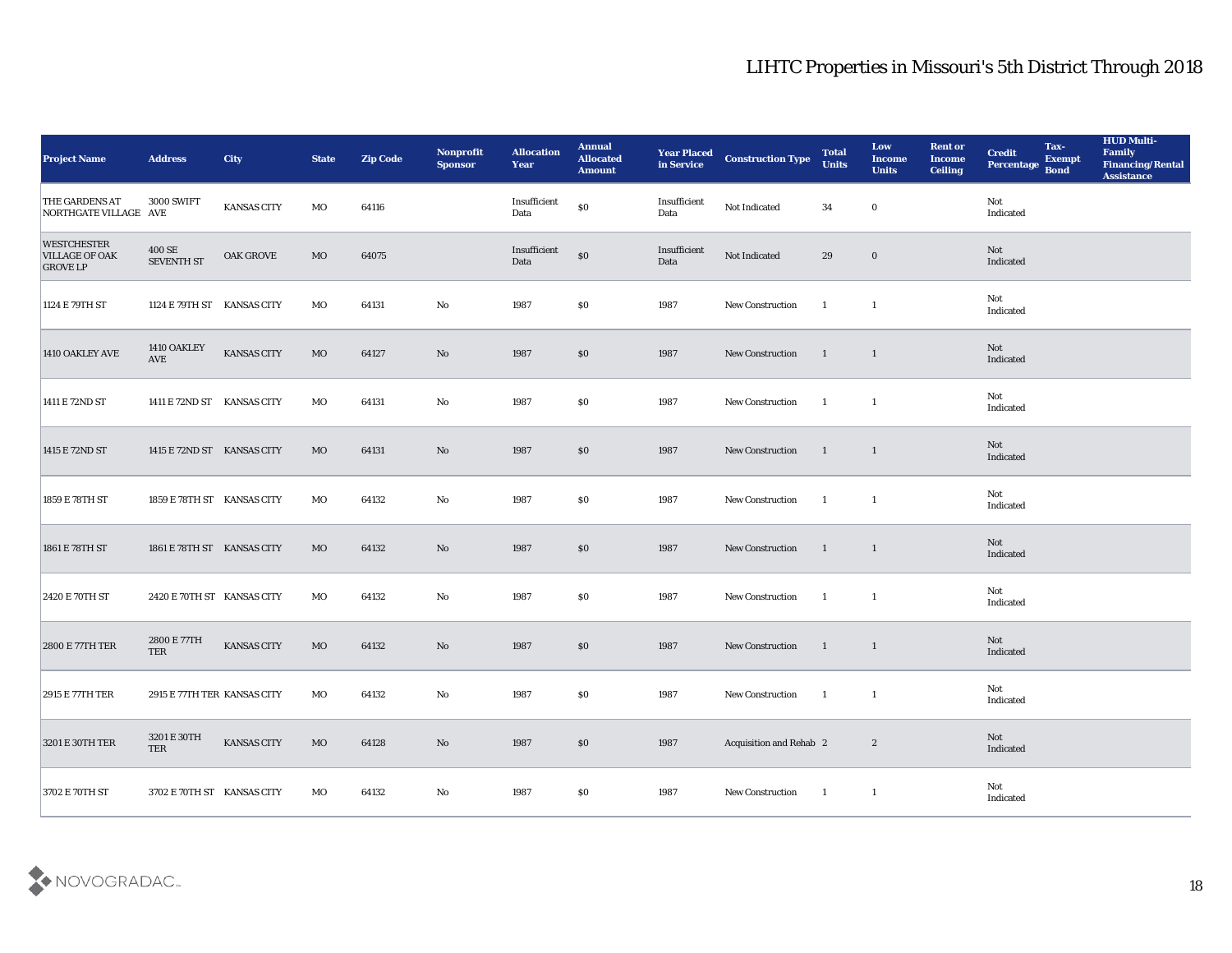| <b>Project Name</b>                                            | <b>Address</b>              | City               | <b>State</b> | <b>Zip Code</b> | Nonprofit<br><b>Sponsor</b> | <b>Allocation</b><br><b>Year</b> | <b>Annual</b><br><b>Allocated</b><br><b>Amount</b> | <b>Year Placed</b><br>in Service | <b>Construction Type</b> | <b>Total</b><br><b>Units</b> | Low<br><b>Income</b><br><b>Units</b> | <b>Rent or</b><br><b>Income</b><br><b>Ceiling</b> | Tax-<br><b>Credit</b><br><b>Exempt</b><br>Percentage<br><b>Bond</b> | <b>HUD Multi-</b><br>Family<br><b>Financing/Rental</b><br><b>Assistance</b> |
|----------------------------------------------------------------|-----------------------------|--------------------|--------------|-----------------|-----------------------------|----------------------------------|----------------------------------------------------|----------------------------------|--------------------------|------------------------------|--------------------------------------|---------------------------------------------------|---------------------------------------------------------------------|-----------------------------------------------------------------------------|
| <b>THE GARDENS AT</b><br>NORTHGATE VILLAGE AVE                 | <b>3000 SWIFT</b>           | <b>KANSAS CITY</b> | MO           | 64116           |                             | Insufficient<br>Data             | \$0                                                | Insufficient<br>Data             | Not Indicated            | 34                           | $\bf{0}$                             |                                                   | Not<br>Indicated                                                    |                                                                             |
| <b>WESTCHESTER</b><br><b>VILLAGE OF OAK</b><br><b>GROVE LP</b> | 400 SE<br><b>SEVENTH ST</b> | <b>OAK GROVE</b>   | MO           | 64075           |                             | Insufficient<br>Data             | $\$0$                                              | Insufficient<br>Data             | Not Indicated            | 29                           | $\bf{0}$                             |                                                   | Not<br>Indicated                                                    |                                                                             |
| 1124 E 79TH ST                                                 | 1124 E 79TH ST KANSAS CITY  |                    | MO           | 64131           | No                          | 1987                             | \$0                                                | 1987                             | New Construction         | $\overline{1}$               | $\mathbf{1}$                         |                                                   | Not<br>Indicated                                                    |                                                                             |
| 1410 OAKLEY AVE                                                | 1410 OAKLEY<br>AVE          | <b>KANSAS CITY</b> | MO           | 64127           | $\mathbf{N}\mathbf{o}$      | 1987                             | $\$0$                                              | 1987                             | <b>New Construction</b>  | $\mathbf{1}$                 | $\overline{1}$                       |                                                   | Not<br>Indicated                                                    |                                                                             |
| 1411 E 72ND ST                                                 | 1411 E 72ND ST KANSAS CITY  |                    | MO           | 64131           | No                          | 1987                             | \$0\$                                              | 1987                             | <b>New Construction</b>  | - 1                          | -1                                   |                                                   | Not<br>Indicated                                                    |                                                                             |
| 1415 E 72ND ST                                                 | 1415 E 72ND ST KANSAS CITY  |                    | MO           | 64131           | $\mathbf{N}\mathbf{o}$      | 1987                             | $\$0$                                              | 1987                             | <b>New Construction</b>  | $\blacksquare$               | $\overline{1}$                       |                                                   | Not<br>Indicated                                                    |                                                                             |
| 1859 E 78TH ST                                                 | 1859 E 78TH ST KANSAS CITY  |                    | MO           | 64132           | $\mathbf{No}$               | 1987                             | $\$0$                                              | 1987                             | New Construction         | $\mathbf{1}$                 | $\mathbf{1}$                         |                                                   | Not<br>Indicated                                                    |                                                                             |
| 1861 E 78TH ST                                                 | 1861 E 78TH ST KANSAS CITY  |                    | MO           | 64132           | No                          | 1987                             | \$0                                                | 1987                             | New Construction         | $\mathbf{1}$                 | $\mathbf{1}$                         |                                                   | Not<br>Indicated                                                    |                                                                             |
| 2420 E 70TH ST                                                 | 2420 E 70TH ST KANSAS CITY  |                    | MO           | 64132           | No                          | 1987                             | \$0\$                                              | 1987                             | <b>New Construction</b>  | $\overline{1}$               | $\mathbf{1}$                         |                                                   | Not<br>Indicated                                                    |                                                                             |
| 2800 E 77TH TER                                                | 2800 E 77TH<br>TER          | KANSAS CITY        | MO           | 64132           | $\mathbf{N}\mathbf{o}$      | 1987                             | \$0\$                                              | 1987                             | <b>New Construction</b>  | $\blacksquare$               | 1                                    |                                                   | Not<br>Indicated                                                    |                                                                             |
| 2915 E 77TH TER                                                | 2915 E 77TH TER KANSAS CITY |                    | MO           | 64132           | No                          | 1987                             | $\$0$                                              | 1987                             | <b>New Construction</b>  | - 1                          | -1                                   |                                                   | Not<br>Indicated                                                    |                                                                             |
| 3201 E 30TH TER                                                | $3201\to 30TH$<br>TER       | <b>KANSAS CITY</b> | $\rm MO$     | 64128           | $\mathbf {No}$              | 1987                             | $\$0$                                              | 1987                             | Acquisition and Rehab 2  |                              | $\mathbf{2}$                         |                                                   | Not<br>Indicated                                                    |                                                                             |
| 3702 E 70TH ST                                                 | 3702 E 70TH ST KANSAS CITY  |                    | $_{\rm MO}$  | 64132           | $\mathbf {No}$              | 1987                             | $\$0$                                              | 1987                             | New Construction         | $\overline{\phantom{a}}$     | $\mathbf{1}$                         |                                                   | Not<br>Indicated                                                    |                                                                             |

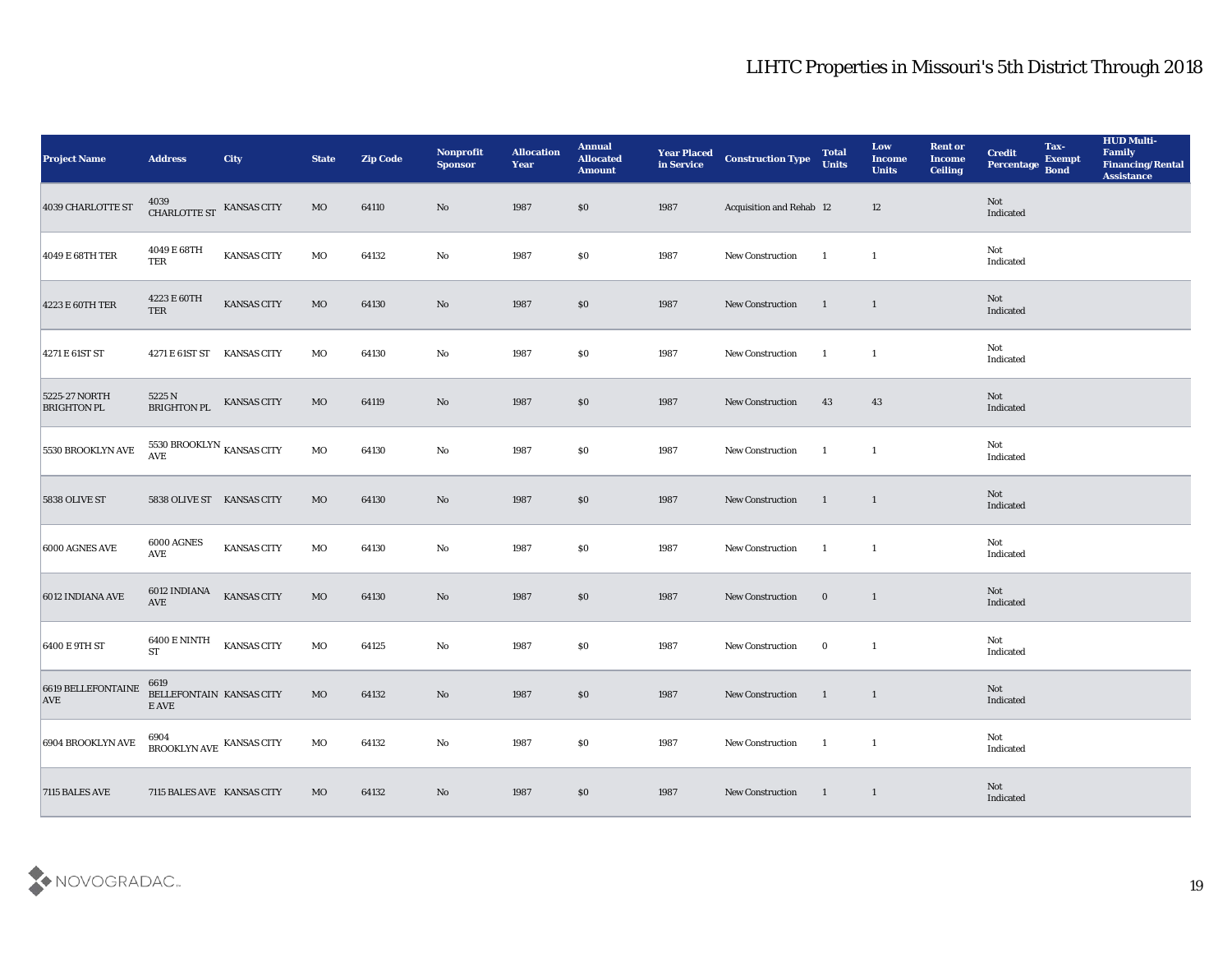| <b>Project Name</b>                 | <b>Address</b>                            | City               | <b>State</b> | <b>Zip Code</b> | Nonprofit<br><b>Sponsor</b> | <b>Allocation</b><br>Year | <b>Annual</b><br><b>Allocated</b><br><b>Amount</b> | <b>Year Placed</b><br>in Service | <b>Construction Type</b> | <b>Total</b><br><b>Units</b> | Low<br><b>Income</b><br><b>Units</b> | <b>Rent or</b><br><b>Income</b><br>Ceiling | <b>Credit</b><br>Percentage Bond | Tax-<br><b>Exempt</b> | <b>HUD Multi-</b><br>Family<br><b>Financing/Rental</b><br><b>Assistance</b> |
|-------------------------------------|-------------------------------------------|--------------------|--------------|-----------------|-----------------------------|---------------------------|----------------------------------------------------|----------------------------------|--------------------------|------------------------------|--------------------------------------|--------------------------------------------|----------------------------------|-----------------------|-----------------------------------------------------------------------------|
| 4039 CHARLOTTE ST                   | $4039$ CHARLOTTE ST $\,$ KANSAS CITY      |                    | MO           | 64110           | No                          | 1987                      | \$0                                                | 1987                             | Acquisition and Rehab 12 |                              | 12                                   |                                            | Not<br>Indicated                 |                       |                                                                             |
| 4049 E 68TH TER                     | $4049 \to 68 \mathrm{TH}$<br>TER          | <b>KANSAS CITY</b> | MO           | 64132           | No                          | 1987                      | \$0                                                | 1987                             | <b>New Construction</b>  | $\blacksquare$               | $\mathbf{1}$                         |                                            | Not<br>Indicated                 |                       |                                                                             |
| 4223 E 60TH TER                     | 4223 E 60TH<br><b>TER</b>                 | <b>KANSAS CITY</b> | MO           | 64130           | $\rm\thinspace No$          | 1987                      | \$0                                                | 1987                             | <b>New Construction</b>  | $\overline{1}$               | $\overline{1}$                       |                                            | Not<br>Indicated                 |                       |                                                                             |
| 4271 E 61ST ST                      | 4271 E 61ST ST KANSAS CITY                |                    | MO           | 64130           | $\mathbf {No}$              | 1987                      | \$0                                                | 1987                             | New Construction         | $\mathbf{1}$                 | $\mathbf{1}$                         |                                            | Not<br>Indicated                 |                       |                                                                             |
| 5225-27 NORTH<br><b>BRIGHTON PL</b> | 5225 N<br><b>BRIGHTON PL</b>              | KANSAS CITY        | MO           | 64119           | No                          | 1987                      | \$0\$                                              | 1987                             | New Construction         | 43                           | 43                                   |                                            | Not<br>Indicated                 |                       |                                                                             |
| 5530 BROOKLYN AVE                   | 5530 BROOKLYN $_{\rm KANSAS}$ CITY AVE    |                    | $_{\rm MO}$  | 64130           | $\rm\thinspace No$          | 1987                      | \$0\$                                              | 1987                             | <b>New Construction</b>  | $\blacksquare$               | $\mathbf{1}$                         |                                            | Not<br>Indicated                 |                       |                                                                             |
| 5838 OLIVE ST                       | 5838 OLIVE ST KANSAS CITY                 |                    | MO           | 64130           | No                          | 1987                      | \$0                                                | 1987                             | <b>New Construction</b>  | $\blacksquare$               | $\overline{1}$                       |                                            | Not<br>Indicated                 |                       |                                                                             |
| 6000 AGNES AVE                      | 6000 AGNES<br><b>AVE</b>                  | KANSAS CITY        | MO           | 64130           | $\mathbf {No}$              | 1987                      | \$0                                                | 1987                             | <b>New Construction</b>  | $\blacksquare$               | $\mathbf{1}$                         |                                            | Not<br>Indicated                 |                       |                                                                             |
| 6012 INDIANA AVE                    | 6012 INDIANA<br>AVE                       | <b>KANSAS CITY</b> | MO           | 64130           | $\mathbf{N}\mathbf{o}$      | 1987                      | \$0\$                                              | 1987                             | New Construction         | $\bf{0}$                     | $\overline{1}$                       |                                            | Not<br>Indicated                 |                       |                                                                             |
| 6400 E 9TH ST                       | 6400 E NINTH<br><b>ST</b>                 | <b>KANSAS CITY</b> | $_{\rm MO}$  | 64125           | $\mathbf{No}$               | 1987                      | \$0\$                                              | 1987                             | New Construction         | $\bf{0}$                     | $\mathbf{1}$                         |                                            | Not<br>Indicated                 |                       |                                                                             |
| 6619 BELLEFONTAINE<br><b>AVE</b>    | 6619<br>BELLEFONTAIN KANSAS CITY<br>E AVE |                    | MO           | 64132           | No                          | 1987                      | \$0                                                | 1987                             | <b>New Construction</b>  | $\overline{1}$               | $\overline{1}$                       |                                            | Not<br>Indicated                 |                       |                                                                             |
| 6904 BROOKLYN AVE                   | $6904$ BROOKLYN AVE $\,$ KANSAS CITY      |                    | $_{\rm MO}$  | 64132           | $\mathbf {No}$              | 1987                      | $\$0$                                              | 1987                             | New Construction         | $\overline{\phantom{a}}$     | $\mathbf{1}$                         |                                            | Not<br>Indicated                 |                       |                                                                             |
| 7115 BALES AVE                      | 7115 BALES AVE KANSAS CITY                |                    | MO           | 64132           | $\mathbf {No}$              | 1987                      | \$0                                                | 1987                             | <b>New Construction</b>  | $\blacksquare$               | $\overline{1}$                       |                                            | Not<br>Indicated                 |                       |                                                                             |

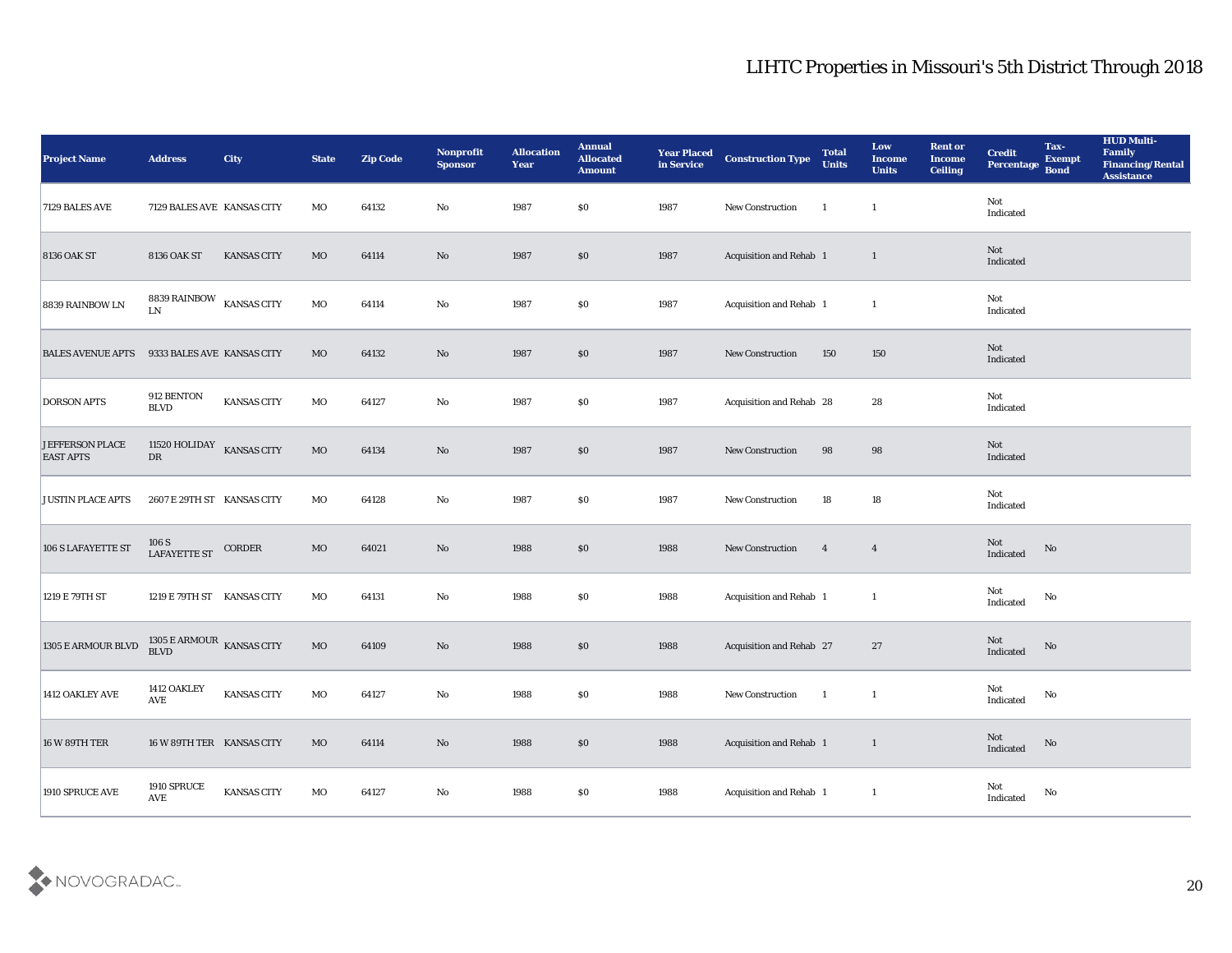| <b>Project Name</b>                        | <b>Address</b>                        | <b>City</b>        | <b>State</b> | <b>Zip Code</b> | Nonprofit<br><b>Sponsor</b> | <b>Allocation</b><br><b>Year</b> | <b>Annual</b><br><b>Allocated</b><br><b>Amount</b> | <b>Year Placed</b><br>in Service | <b>Construction Type</b> | <b>Total</b><br><b>Units</b> | Low<br><b>Income</b><br><b>Units</b> | <b>Rent or</b><br><b>Income</b><br><b>Ceiling</b> | <b>Credit</b><br>Percentage                | Tax-<br><b>Exempt</b><br><b>Bond</b> | <b>HUD Multi-</b><br>Family<br><b>Financing/Rental</b><br><b>Assistance</b> |
|--------------------------------------------|---------------------------------------|--------------------|--------------|-----------------|-----------------------------|----------------------------------|----------------------------------------------------|----------------------------------|--------------------------|------------------------------|--------------------------------------|---------------------------------------------------|--------------------------------------------|--------------------------------------|-----------------------------------------------------------------------------|
| 7129 BALES AVE                             | 7129 BALES AVE KANSAS CITY            |                    | MO           | 64132           | No                          | 1987                             | $\$0$                                              | 1987                             | New Construction         | $\mathbf{1}$                 | $\mathbf{1}$                         |                                                   | Not<br>Indicated                           |                                      |                                                                             |
| <b>8136 OAK ST</b>                         | <b>8136 OAK ST</b>                    | <b>KANSAS CITY</b> | MO           | 64114           | No                          | 1987                             | $\$0$                                              | 1987                             | Acquisition and Rehab 1  |                              | $\mathbf{1}$                         |                                                   | Not<br>Indicated                           |                                      |                                                                             |
| 8839 RAINBOW LN                            | 8839 RAINBOW KANSAS CITY<br>LN.       |                    | MO           | 64114           | $\mathbf{No}$               | 1987                             | \$0                                                | 1987                             | Acquisition and Rehab 1  |                              | $\mathbf{1}$                         |                                                   | Not<br>Indicated                           |                                      |                                                                             |
| <b>BALES AVENUE APTS</b>                   | 9333 BALES AVE KANSAS CITY            |                    | MO           | 64132           | No                          | 1987                             | \$0\$                                              | 1987                             | New Construction         | 150                          | 150                                  |                                                   | Not<br>Indicated                           |                                      |                                                                             |
| <b>DORSON APTS</b>                         | 912 BENTON<br><b>BLVD</b>             | <b>KANSAS CITY</b> | MO           | 64127           | No                          | 1987                             | \$0                                                | 1987                             | Acquisition and Rehab 28 |                              | 28                                   |                                                   | Not<br>Indicated                           |                                      |                                                                             |
| <b>JEFFERSON PLACE</b><br><b>EAST APTS</b> | 11520 HOLIDAY<br>${\rm DR}$           | <b>KANSAS CITY</b> | $_{\rm MO}$  | 64134           | No                          | 1987                             | $\$0$                                              | 1987                             | New Construction         | 98                           | 98                                   |                                                   | Not<br>Indicated                           |                                      |                                                                             |
| <b>JUSTIN PLACE APTS</b>                   | 2607 E 29TH ST KANSAS CITY            |                    | MO           | 64128           | No                          | 1987                             | \$0                                                | 1987                             | New Construction         | 18                           | 18                                   |                                                   | Not<br>Indicated                           |                                      |                                                                             |
| 106 S LAFAYETTE ST                         | $106~\mathrm{S}$ LAFAYETTE ST         | CORDER             | $_{\rm MO}$  | 64021           | No                          | 1988                             | \$0                                                | 1988                             | New Construction         | $\overline{4}$               | $\overline{4}$                       |                                                   | Not<br>Indicated                           | No                                   |                                                                             |
| 1219 E 79TH ST                             | 1219 E 79TH ST KANSAS CITY            |                    | MO           | 64131           | No                          | 1988                             | \$0                                                | 1988                             | Acquisition and Rehab 1  |                              | $\mathbf{1}$                         |                                                   | Not<br>Indicated                           | No                                   |                                                                             |
| 1305 E ARMOUR BLVD                         | $1305$ E ARMOUR $\,$ KANSAS CITY BLVD |                    | $_{\rm MO}$  | 64109           | No                          | 1988                             | \$0                                                | 1988                             | Acquisition and Rehab 27 |                              | 27                                   |                                                   | Not<br>Indicated                           | No                                   |                                                                             |
| 1412 OAKLEY AVE                            | 1412 OAKLEY<br><b>AVE</b>             | <b>KANSAS CITY</b> | MO           | 64127           | No                          | 1988                             | $\$0$                                              | 1988                             | <b>New Construction</b>  | - 1                          | -1                                   |                                                   | Not<br>Indicated                           | No                                   |                                                                             |
| 16 W 89TH TER                              | 16 W 89TH TER KANSAS CITY             |                    | $_{\rm MO}$  | 64114           | $\mathbf {No}$              | 1988                             | $\$0$                                              | 1988                             | Acquisition and Rehab 1  |                              | $\mathbf{1}$                         |                                                   | $\operatorname{\mathsf{Not}}$<br>Indicated | $\rm\thinspace No$                   |                                                                             |
| 1910 SPRUCE AVE                            | 1910 SPRUCE<br>$\operatorname{AVE}$   | KANSAS CITY        | $_{\rm MO}$  | 64127           | $\mathbf {No}$              | 1988                             | $\$0$                                              | 1988                             | Acquisition and Rehab 1  |                              | $\mathbf{1}$                         |                                                   | Not<br>Indicated                           | ${\bf No}$                           |                                                                             |

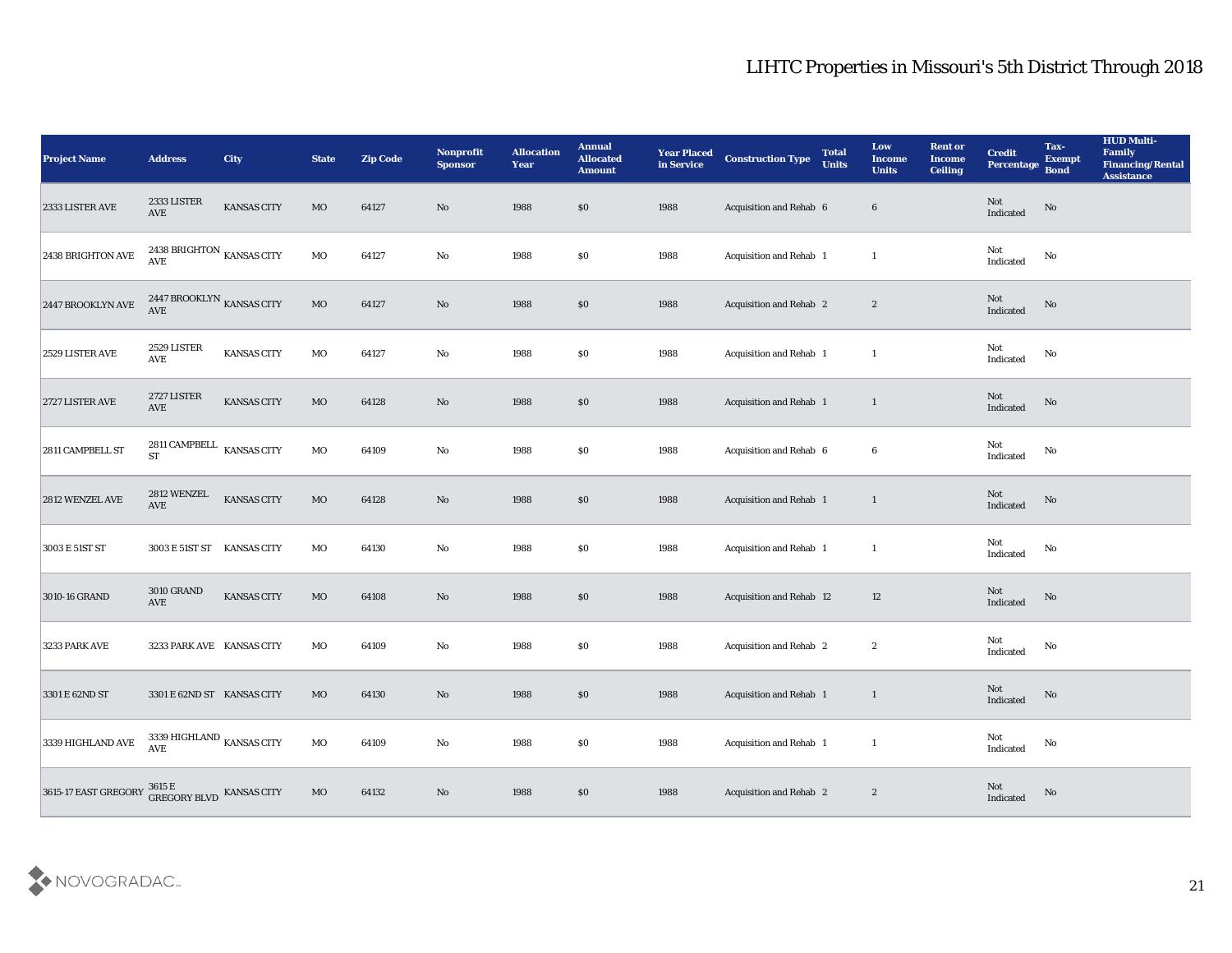| <b>Project Name</b>                                                           | <b>Address</b>                                   | <b>City</b>        | <b>State</b> | <b>Zip Code</b> | Nonprofit<br><b>Sponsor</b> | <b>Allocation</b><br><b>Year</b> | <b>Annual</b><br><b>Allocated</b><br><b>Amount</b> | <b>Year Placed</b><br>in Service | <b>Construction Type</b>        | <b>Total</b><br><b>Units</b> | Low<br><b>Income</b><br><b>Units</b> | <b>Rent or</b><br><b>Income</b><br><b>Ceiling</b> | <b>Credit</b><br>Percentage       | Tax-<br><b>Exempt</b><br><b>Bond</b> | <b>HUD Multi-</b><br>Family<br><b>Financing/Rental</b><br><b>Assistance</b> |
|-------------------------------------------------------------------------------|--------------------------------------------------|--------------------|--------------|-----------------|-----------------------------|----------------------------------|----------------------------------------------------|----------------------------------|---------------------------------|------------------------------|--------------------------------------|---------------------------------------------------|-----------------------------------|--------------------------------------|-----------------------------------------------------------------------------|
| 2333 LISTER AVE                                                               | 2333 LISTER<br>$\operatorname{AVE}$              | <b>KANSAS CITY</b> | MO           | 64127           | No                          | 1988                             | \$0                                                | 1988                             | Acquisition and Rehab 6         |                              | $6\phantom{.}6$                      |                                                   | Not<br>Indicated                  | No                                   |                                                                             |
| 2438 BRIGHTON AVE                                                             | 2438 BRIGHTON $\,$ KANSAS CITY AVE               |                    | $\rm MO$     | 64127           | No                          | 1988                             | \$0                                                | 1988                             | Acquisition and Rehab 1         |                              | -1                                   |                                                   | Not<br>Indicated                  | No                                   |                                                                             |
| 2447 BROOKLYN AVE                                                             | 2447 BROOKLYN $_{\rm KANSAS}$ CITY<br><b>AVE</b> |                    | $_{\rm MO}$  | 64127           | No                          | 1988                             | \$0                                                | 1988                             | Acquisition and Rehab 2         |                              | $\boldsymbol{2}$                     |                                                   | <b>Not</b><br>Indicated           | No                                   |                                                                             |
| 2529 LISTER AVE                                                               | 2529 LISTER<br>AVE                               | <b>KANSAS CITY</b> | $\rm MO$     | 64127           | $\mathbf {No}$              | 1988                             | \$0                                                | 1988                             | Acquisition and Rehab 1         |                              | -1                                   |                                                   | Not<br>Indicated                  | No                                   |                                                                             |
| 2727 LISTER AVE                                                               | 2727 LISTER<br>$\operatorname{AVE}$              | <b>KANSAS CITY</b> | MO           | 64128           | No                          | 1988                             | $\$0$                                              | 1988                             | Acquisition and Rehab 1         |                              | $\mathbf{1}$                         |                                                   | <b>Not</b><br>Indicated           | No                                   |                                                                             |
| 2811 CAMPBELL ST                                                              | 2811 CAMPBELL $\;$ KANSAS CITY ST                |                    | $\rm MO$     | 64109           | $\rm\thinspace No$          | 1988                             | \$0                                                | 1988                             | Acquisition and Rehab 6         |                              | 6                                    |                                                   | Not<br>Indicated                  | No                                   |                                                                             |
| 2812 WENZEL AVE                                                               | 2812 WENZEL<br>$\operatorname{AVE}$              | <b>KANSAS CITY</b> | $\rm MO$     | 64128           | No                          | 1988                             | $\$0$                                              | 1988                             | Acquisition and Rehab 1         |                              | $\mathbf{1}$                         |                                                   | Not<br>Indicated                  | No                                   |                                                                             |
| 3003 E 51ST ST                                                                | 3003 E 51ST ST KANSAS CITY                       |                    | $_{\rm MO}$  | 64130           | No                          | 1988                             | \$0                                                | 1988                             | Acquisition and Rehab 1         |                              | -1                                   |                                                   | Not<br>Indicated                  | No                                   |                                                                             |
| 3010-16 GRAND                                                                 | <b>3010 GRAND</b><br>AVE                         | <b>KANSAS CITY</b> | $_{\rm MO}$  | 64108           | No                          | 1988                             | \$0                                                | 1988                             | <b>Acquisition and Rehab 12</b> |                              | 12                                   |                                                   | Not<br>Indicated                  | No                                   |                                                                             |
| 3233 PARK AVE                                                                 | 3233 PARK AVE KANSAS CITY                        |                    | MO           | 64109           | $\mathbf {No}$              | 1988                             | \$0                                                | 1988                             | Acquisition and Rehab 2         |                              | $\boldsymbol{2}$                     |                                                   | Not<br>Indicated                  | No                                   |                                                                             |
| 3301 E 62ND ST                                                                | 3301 E 62ND ST KANSAS CITY                       |                    | MO           | 64130           | No                          | 1988                             | \$0                                                | 1988                             | <b>Acquisition and Rehab 1</b>  |                              | 1                                    |                                                   | Not<br>Indicated                  | No                                   |                                                                             |
| 3339 HIGHLAND AVE                                                             | 3339 HIGHLAND $_{\rm KANSAS}$ CITY AVE           |                    | $\rm MO$     | 64109           | $\rm\thinspace No$          | 1988                             | $\$0$                                              | 1988                             | Acquisition and Rehab 1         |                              | $\mathbf{1}$                         |                                                   | Not<br>$\operatorname{Indicated}$ | $\mathbf {No}$                       |                                                                             |
| 3615-17 EAST GREGORY $\frac{3615 \text{ E}}{\text{GREGORY BLVD}}$ KANSAS CITY |                                                  |                    | $_{\rm MO}$  | 64132           | $\rm\thinspace No$          | 1988                             | $\$0$                                              | 1988                             | Acquisition and Rehab 2         |                              | $\boldsymbol{2}$                     |                                                   | Not<br>Indicated                  | $\rm\thinspace No$                   |                                                                             |

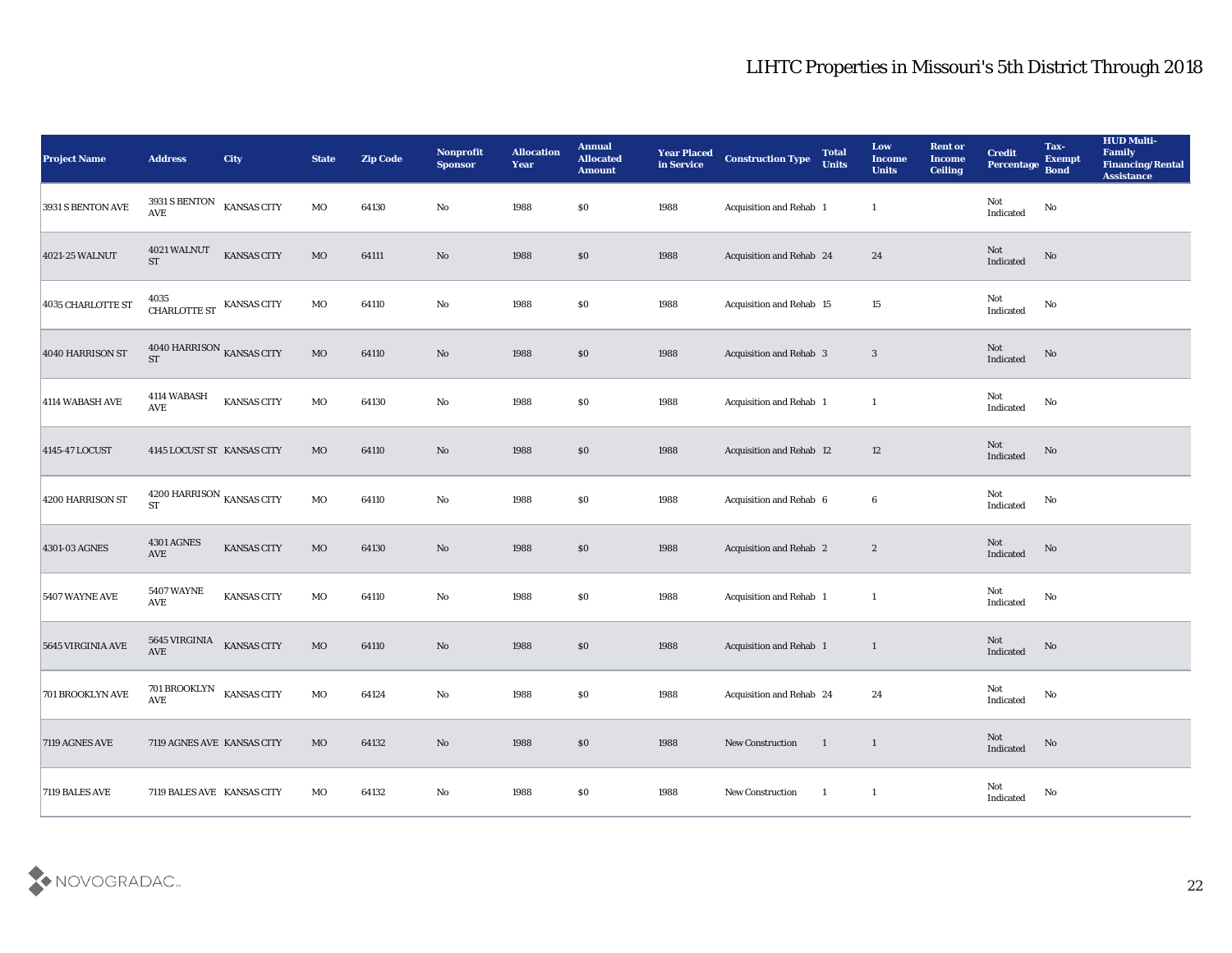| <b>Project Name</b>   | <b>Address</b>                                    | City               | <b>State</b> | <b>Zip Code</b> | Nonprofit<br>Sponsor | <b>Allocation</b><br><b>Year</b> | <b>Annual</b><br><b>Allocated</b><br><b>Amount</b> | <b>Year Placed</b><br>in Service | <b>Construction Type</b> | <b>Total</b><br><b>Units</b> | Low<br><b>Income</b><br><b>Units</b> | <b>Rent or</b><br><b>Income</b><br><b>Ceiling</b> | <b>Credit</b><br>Percentage | Tax-<br><b>Exempt</b><br><b>Bond</b> | <b>HUD Multi-</b><br>Family<br><b>Financing/Rental</b><br><b>Assistance</b> |
|-----------------------|---------------------------------------------------|--------------------|--------------|-----------------|----------------------|----------------------------------|----------------------------------------------------|----------------------------------|--------------------------|------------------------------|--------------------------------------|---------------------------------------------------|-----------------------------|--------------------------------------|-----------------------------------------------------------------------------|
| 3931 S BENTON AVE     | $3931\,\mathrm{S}$ BENTON<br><b>AVE</b>           | <b>KANSAS CITY</b> | $_{\rm MO}$  | 64130           | No                   | 1988                             | \$0\$                                              | 1988                             | Acquisition and Rehab 1  |                              | $\mathbf{1}$                         |                                                   | Not<br>Indicated            | $\rm\thinspace No$                   |                                                                             |
| 4021-25 WALNUT        | 4021 WALNUT<br><b>ST</b>                          | KANSAS CITY        | <b>MO</b>    | 64111           | No                   | 1988                             | \$0                                                | 1988                             | Acquisition and Rehab 24 |                              | 24                                   |                                                   | Not<br>Indicated            | No                                   |                                                                             |
| 4035 CHARLOTTE ST     | CHARLOTTE ST KANSAS CITY                          |                    | MO           | 64110           | $\rm\thinspace No$   | 1988                             | \$0                                                | 1988                             | Acquisition and Rehab 15 |                              | 15                                   |                                                   | Not<br>Indicated            | No                                   |                                                                             |
| 4040 HARRISON ST      | 4040 HARRISON KANSAS CITY<br><b>ST</b>            |                    | $_{\rm MO}$  | 64110           | No                   | 1988                             | \$0                                                | 1988                             | Acquisition and Rehab 3  |                              | 3                                    |                                                   | Not<br>Indicated            | $\rm\thinspace No$                   |                                                                             |
| 4114 WABASH AVE       | 4114 WABASH<br>AVE                                | <b>KANSAS CITY</b> | MO           | 64130           | $\rm\thinspace No$   | 1988                             | \$0\$                                              | 1988                             | Acquisition and Rehab 1  |                              | $\mathbf{1}$                         |                                                   | Not<br>Indicated            | $\rm\thinspace No$                   |                                                                             |
| 4145-47 LOCUST        | 4145 LOCUST ST KANSAS CITY                        |                    | MO           | 64110           | No                   | 1988                             | \$0                                                | 1988                             | Acquisition and Rehab 12 |                              | 12                                   |                                                   | Not<br>Indicated            | $\rm No$                             |                                                                             |
| 4200 HARRISON ST      | $4200$ HARRISON $_{\rm KANSAS}$ CITY<br><b>ST</b> |                    | MO           | 64110           | No                   | 1988                             | \$0                                                | 1988                             | Acquisition and Rehab 6  |                              | 6                                    |                                                   | Not<br>Indicated            | No                                   |                                                                             |
| 4301-03 AGNES         | <b>4301 AGNES</b><br><b>AVE</b>                   | <b>KANSAS CITY</b> | $_{\rm MO}$  | 64130           | No                   | 1988                             | \$0                                                | 1988                             | Acquisition and Rehab 2  |                              | $\mathbf{2}$                         |                                                   | Not<br>Indicated            | No                                   |                                                                             |
| <b>5407 WAYNE AVE</b> | <b>5407 WAYNE</b><br><b>AVE</b>                   | KANSAS CITY        | MO           | 64110           | $\mathbf{No}$        | 1988                             | \$0\$                                              | 1988                             | Acquisition and Rehab 1  |                              | $\mathbf{1}$                         |                                                   | Not<br>Indicated            | $\mathbf {No}$                       |                                                                             |
| 5645 VIRGINIA AVE     | <b>5645 VIRGINIA</b><br>AVE                       | <b>KANSAS CITY</b> | $_{\rm MO}$  | 64110           | No                   | 1988                             | \$0                                                | 1988                             | Acquisition and Rehab 1  |                              | $\mathbf{1}$                         |                                                   | Not<br>Indicated            | No                                   |                                                                             |
| 701 BROOKLYN AVE      | 701 BROOKLYN KANSAS CITY<br><b>AVE</b>            |                    | MO           | 64124           | No                   | 1988                             | \$0                                                | 1988                             | Acquisition and Rehab 24 |                              | 24                                   |                                                   | Not<br>Indicated            | No                                   |                                                                             |
| 7119 AGNES AVE        | 7119 AGNES AVE KANSAS CITY                        |                    | $_{\rm MO}$  | 64132           | $\rm\thinspace No$   | 1988                             | $\boldsymbol{\mathsf{S}}\boldsymbol{\mathsf{O}}$   | 1988                             | New Construction         | $\blacksquare$               | $\overline{1}$                       |                                                   | Not<br>Indicated            | $\rm No$                             |                                                                             |
| 7119 BALES AVE        | 7119 BALES AVE KANSAS CITY                        |                    | $_{\rm MO}$  | 64132           | $\mathbf {No}$       | 1988                             | \$0                                                | 1988                             | New Construction         | $\blacksquare$               | $\mathbf{1}$                         |                                                   | Not<br>Indicated            | $\mathbf{No}$                        |                                                                             |

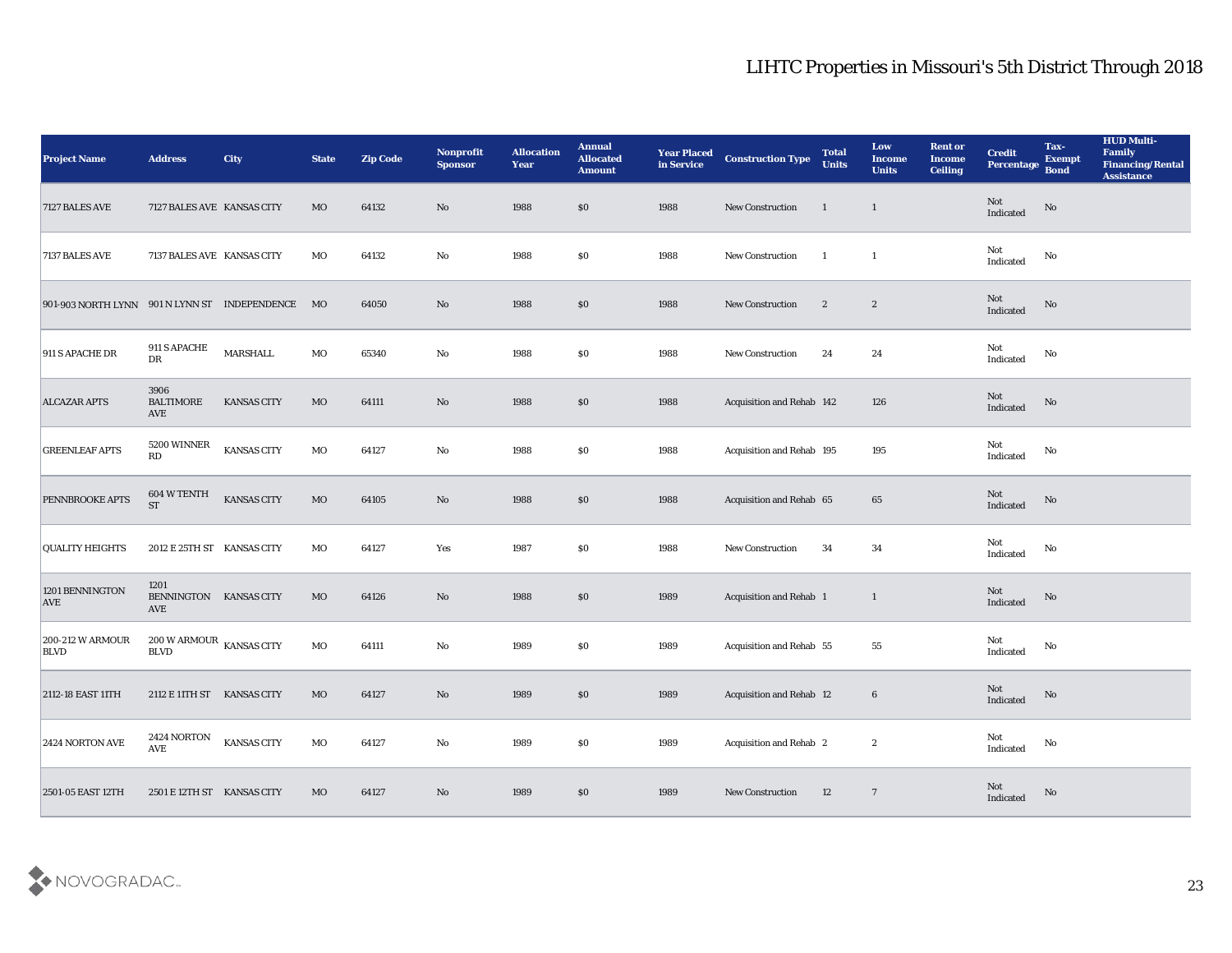| <b>Project Name</b>                           | <b>Address</b>                                 | <b>City</b>        | <b>State</b> | <b>Zip Code</b> | Nonprofit<br><b>Sponsor</b> | <b>Allocation</b><br><b>Year</b> | <b>Annual</b><br><b>Allocated</b><br><b>Amount</b> | <b>Year Placed</b><br>in Service | <b>Construction Type</b>        | <b>Total</b><br><b>Units</b> | Low<br><b>Income</b><br><b>Units</b> | <b>Rent or</b><br><b>Income</b><br><b>Ceiling</b> | <b>Credit</b><br>Percentage       | Tax-<br><b>Exempt</b><br><b>Bond</b> | <b>HUD Multi-</b><br>Family<br><b>Financing/Rental</b><br><b>Assistance</b> |
|-----------------------------------------------|------------------------------------------------|--------------------|--------------|-----------------|-----------------------------|----------------------------------|----------------------------------------------------|----------------------------------|---------------------------------|------------------------------|--------------------------------------|---------------------------------------------------|-----------------------------------|--------------------------------------|-----------------------------------------------------------------------------|
| 7127 BALES AVE                                | 7127 BALES AVE KANSAS CITY                     |                    | MO           | 64132           | No                          | 1988                             | \$0                                                | 1988                             | <b>New Construction</b>         | $\mathbf{1}$                 | $\mathbf{1}$                         |                                                   | Not<br>Indicated                  | No                                   |                                                                             |
| 7137 BALES AVE                                | 7137 BALES AVE KANSAS CITY                     |                    | MO           | 64132           | No                          | 1988                             | \$0                                                | 1988                             | ${\hbox{New Construction}}$     | - 1                          | -1                                   |                                                   | Not<br>Indicated                  | No                                   |                                                                             |
| 901-903 NORTH LYNN 901 N LYNN ST INDEPENDENCE |                                                |                    | MO           | 64050           | No                          | 1988                             | \$0                                                | 1988                             | New Construction                | $\mathbf{2}$                 | $\boldsymbol{2}$                     |                                                   | <b>Not</b><br>Indicated           | No                                   |                                                                             |
| 911 S APACHE DR                               | 911 S APACHE<br>DR                             | MARSHALL           | $_{\rm MO}$  | 65340           | $\mathbf{N}\mathbf{o}$      | 1988                             | \$0\$                                              | 1988                             | New Construction                | 24                           | 24                                   |                                                   | Not<br>Indicated                  | No                                   |                                                                             |
| <b>ALCAZAR APTS</b>                           | 3906<br><b>BALTIMORE</b><br>AVE                | <b>KANSAS CITY</b> | MO           | 64111           | No                          | 1988                             | \$0                                                | 1988                             | Acquisition and Rehab 142       |                              | 126                                  |                                                   | <b>Not</b><br>Indicated           | No                                   |                                                                             |
| <b>GREENLEAF APTS</b>                         | 5200 WINNER<br>$\mathbf{R}\mathbf{D}$          | <b>KANSAS CITY</b> | MO           | 64127           | $\rm\thinspace No$          | 1988                             | \$0                                                | 1988                             | Acquisition and Rehab 195       |                              | 195                                  |                                                   | Not<br>Indicated                  | No                                   |                                                                             |
| PENNBROOKE APTS                               | 604 W TENTH<br><b>ST</b>                       | <b>KANSAS CITY</b> | $_{\rm MO}$  | 64105           | No                          | 1988                             | $\$0$                                              | 1988                             | Acquisition and Rehab 65        |                              | 65                                   |                                                   | Not<br>Indicated                  | No                                   |                                                                             |
| <b>QUALITY HEIGHTS</b>                        | 2012 E 25TH ST KANSAS CITY                     |                    | MO           | 64127           | Yes                         | 1987                             | \$0                                                | 1988                             | <b>New Construction</b>         | 34                           | 34                                   |                                                   | Not<br>Indicated                  | No                                   |                                                                             |
| 1201 BENNINGTON<br><b>AVE</b>                 | 1201<br>BENNINGTON KANSAS CITY<br><b>AVE</b>   |                    | MO           | 64126           | No                          | 1988                             | \$0                                                | 1989                             | <b>Acquisition and Rehab 1</b>  |                              | $\mathbf{1}$                         |                                                   | Not<br>Indicated                  | No                                   |                                                                             |
| <b>200-212 W ARMOUR</b><br><b>BLVD</b>        | $200$ W ARMOUR $\,$ KANSAS CITY<br><b>BLVD</b> |                    | MO           | 64111           | $\rm\thinspace No$          | 1989                             | \$0                                                | 1989                             | Acquisition and Rehab 55        |                              | 55                                   |                                                   | Not<br>Indicated                  | No                                   |                                                                             |
| 2112-18 EAST 11TH                             | 2112 E 11TH ST KANSAS CITY                     |                    | <b>MO</b>    | 64127           | No                          | 1989                             | \$0                                                | 1989                             | <b>Acquisition and Rehab 12</b> |                              | $6\phantom{.}6$                      |                                                   | Not<br>Indicated                  | No                                   |                                                                             |
| $2424$ NORTON AVE                             | 2424 NORTON<br>AVE                             | <b>KANSAS CITY</b> | $_{\rm MO}$  | 64127           | $\mathbf {No}$              | 1989                             | \$0                                                | 1989                             | Acquisition and Rehab 2         |                              | $\boldsymbol{2}$                     |                                                   | Not<br>$\operatorname{Indicated}$ | No                                   |                                                                             |
| 2501-05 EAST 12TH                             | 2501 E 12TH ST KANSAS CITY                     |                    | $_{\rm MO}$  | 64127           | $\rm\thinspace No$          | 1989                             | \$0                                                | 1989                             | New Construction                | 12                           | $\overline{7}$                       |                                                   | ${\rm Not}$ Indicated             | No                                   |                                                                             |

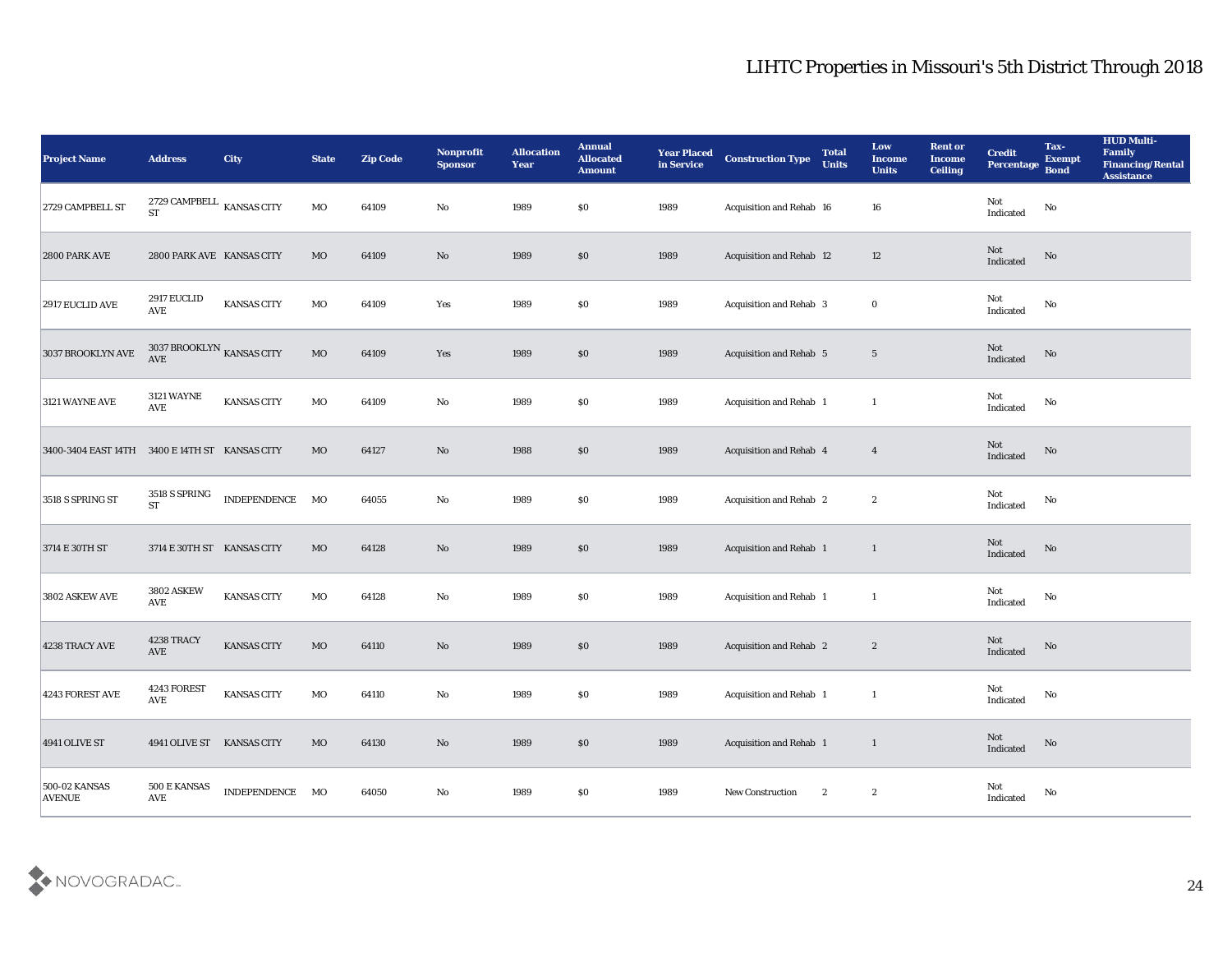| <b>Project Name</b>                            | <b>Address</b>                                   | City               | <b>State</b> | <b>Zip Code</b> | Nonprofit<br><b>Sponsor</b> | <b>Allocation</b><br><b>Year</b> | <b>Annual</b><br><b>Allocated</b><br><b>Amount</b> | <b>Year Placed</b><br>in Service | <b>Construction Type</b> | <b>Total</b><br><b>Units</b> | Low<br><b>Income</b><br><b>Units</b> | <b>Rent or</b><br><b>Income</b><br><b>Ceiling</b> | <b>Credit</b><br>Percentage       | Tax-<br><b>Exempt</b><br><b>Bond</b> | <b>HUD Multi-</b><br>Family<br>Financing/Rental<br><b>Assistance</b> |
|------------------------------------------------|--------------------------------------------------|--------------------|--------------|-----------------|-----------------------------|----------------------------------|----------------------------------------------------|----------------------------------|--------------------------|------------------------------|--------------------------------------|---------------------------------------------------|-----------------------------------|--------------------------------------|----------------------------------------------------------------------|
| 2729 CAMPBELL ST                               | 2729 CAMPBELL $\,$ KANSAS CITY<br><b>ST</b>      |                    | MO           | 64109           | No                          | 1989                             | \$0                                                | 1989                             | Acquisition and Rehab 16 |                              | 16                                   |                                                   | Not<br>Indicated                  | $\rm\thinspace No$                   |                                                                      |
| 2800 PARK AVE                                  | 2800 PARK AVE KANSAS CITY                        |                    | MO           | 64109           | No                          | 1989                             | \$0                                                | 1989                             | Acquisition and Rehab 12 |                              | 12                                   |                                                   | Not<br>Indicated                  | No                                   |                                                                      |
| 2917 EUCLID AVE                                | 2917 EUCLID<br><b>AVE</b>                        | <b>KANSAS CITY</b> | MO           | 64109           | Yes                         | 1989                             | \$0                                                | 1989                             | Acquisition and Rehab 3  |                              | $\bf{0}$                             |                                                   | Not<br>Indicated                  | No                                   |                                                                      |
| $3037$ BROOKLYN $\operatorname{AVE}$           | 3037 BROOKLYN $_{\rm KANSAS}$ CITY<br><b>AVE</b> |                    | $_{\rm MO}$  | 64109           | Yes                         | 1989                             | \$0                                                | 1989                             | Acquisition and Rehab 5  |                              | $5\phantom{.0}$                      |                                                   | Not<br>Indicated                  | $\rm\thinspace No$                   |                                                                      |
| 3121 WAYNE AVE                                 | <b>3121 WAYNE</b><br>AVE                         | KANSAS CITY        | MO           | 64109           | No                          | 1989                             | \$0                                                | 1989                             | Acquisition and Rehab 1  |                              | -1                                   |                                                   | Not<br>Indicated                  | No                                   |                                                                      |
| 3400-3404 EAST 14TH 3400 E 14TH ST KANSAS CITY |                                                  |                    | MO           | 64127           | No                          | 1988                             | \$0                                                | 1989                             | Acquisition and Rehab 4  |                              | $\overline{4}$                       |                                                   | Not<br>Indicated                  | No                                   |                                                                      |
| 3518 S SPRING ST                               | 3518 S SPRING<br><b>ST</b>                       | INDEPENDENCE       | MO           | 64055           | No                          | 1989                             | $\$0$                                              | 1989                             | Acquisition and Rehab 2  |                              | $\boldsymbol{2}$                     |                                                   | Not<br>Indicated                  | No                                   |                                                                      |
| 3714 E 30TH ST                                 | 3714 E 30TH ST KANSAS CITY                       |                    | MO           | 64128           | No                          | 1989                             | \$0                                                | 1989                             | Acquisition and Rehab 1  |                              | $\mathbf{1}$                         |                                                   | Not<br>Indicated                  | No                                   |                                                                      |
| 3802 ASKEW AVE                                 | <b>3802 ASKEW</b><br><b>AVE</b>                  | KANSAS CITY        | MO           | 64128           | No                          | 1989                             | \$0                                                | 1989                             | Acquisition and Rehab 1  |                              | 1                                    |                                                   | Not<br>Indicated                  | $\mathbf{No}$                        |                                                                      |
| 4238 TRACY AVE                                 | 4238 TRACY<br>AVE                                | KANSAS CITY        | $_{\rm MO}$  | 64110           | No                          | 1989                             | \$0                                                | 1989                             | Acquisition and Rehab 2  |                              | $\mathbf{2}$                         |                                                   | Not<br>Indicated                  | No                                   |                                                                      |
| 4243 FOREST AVE                                | 4243 FOREST<br><b>AVE</b>                        | <b>KANSAS CITY</b> | MO           | 64110           | No                          | 1989                             | \$0                                                | 1989                             | Acquisition and Rehab 1  |                              | $\mathbf{1}$                         |                                                   | Not<br>$\operatorname{Indicated}$ | No                                   |                                                                      |
| 4941 OLIVE ST                                  | 4941 OLIVE ST KANSAS CITY                        |                    | $_{\rm MO}$  | 64130           | $\mathbf {No}$              | 1989                             | \$0                                                | 1989                             | Acquisition and Rehab 1  |                              | $\mathbf{1}$                         |                                                   | Not<br>Indicated                  | $\rm\thinspace No$                   |                                                                      |
| <b>500-02 KANSAS</b><br><b>AVENUE</b>          | 500 E KANSAS<br>$\operatorname{AVE}$             | INDEPENDENCE MO    |              | 64050           | $\mathbf {No}$              | 1989                             | \$0                                                | 1989                             | New Construction         | $\mathbf{2}$                 | $\boldsymbol{2}$                     |                                                   | ${\rm Not}$ Indicated             | $\rm No$                             |                                                                      |

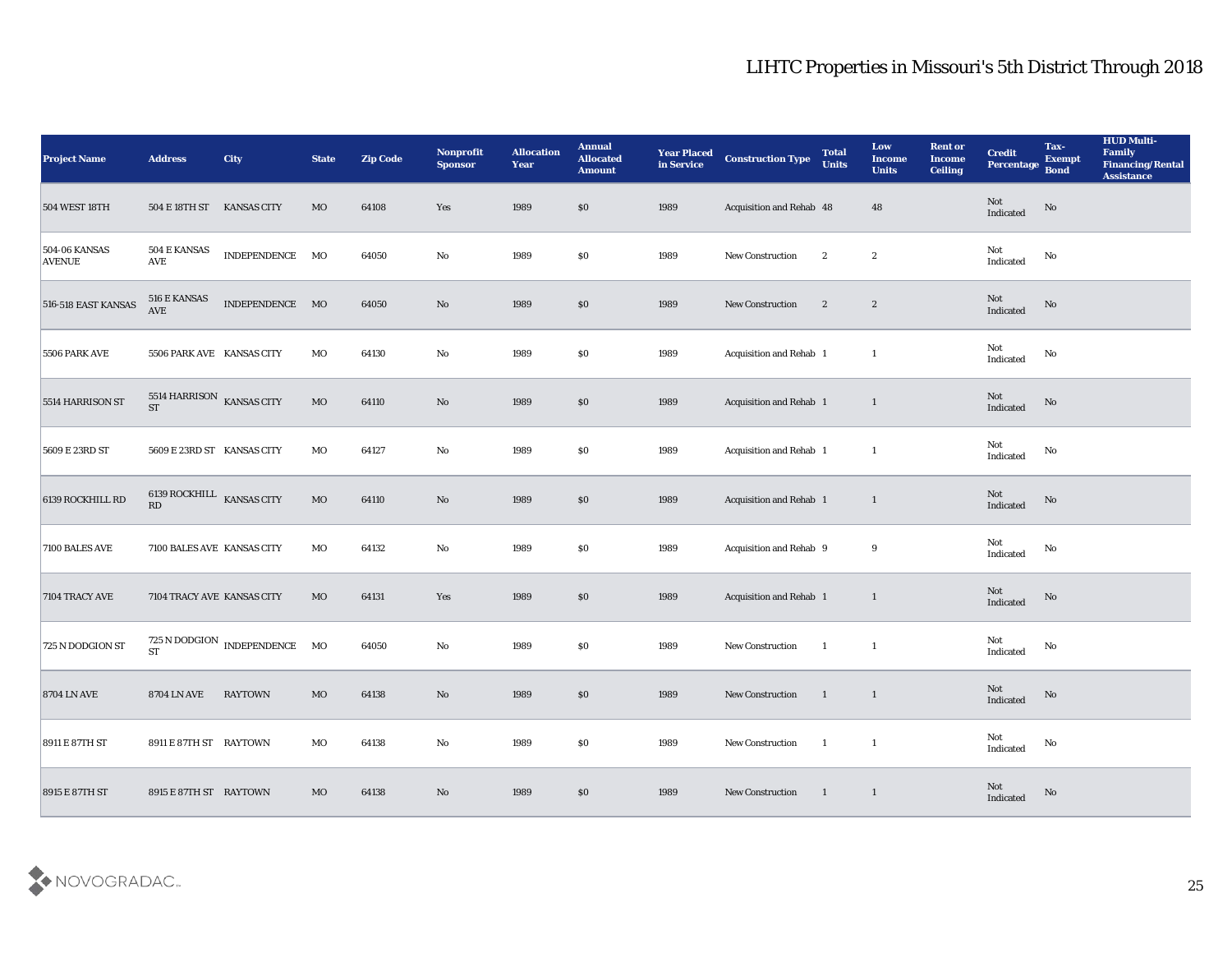| <b>Project Name</b>                   | <b>Address</b>                         | <b>City</b>                                     | <b>State</b> | <b>Zip Code</b> | Nonprofit<br><b>Sponsor</b> | <b>Allocation</b><br>Year | <b>Annual</b><br><b>Allocated</b><br><b>Amount</b> | <b>Year Placed</b><br>in Service | <b>Construction Type</b> | <b>Total</b><br><b>Units</b> | Low<br><b>Income</b><br><b>Units</b> | <b>Rent or</b><br><b>Income</b><br><b>Ceiling</b> | <b>Credit</b><br>Percentage | Tax-<br><b>Exempt</b><br><b>Bond</b> | <b>HUD Multi-</b><br>Family<br><b>Financing/Rental</b><br><b>Assistance</b> |
|---------------------------------------|----------------------------------------|-------------------------------------------------|--------------|-----------------|-----------------------------|---------------------------|----------------------------------------------------|----------------------------------|--------------------------|------------------------------|--------------------------------------|---------------------------------------------------|-----------------------------|--------------------------------------|-----------------------------------------------------------------------------|
| 504 WEST 18TH                         | 504 E 18TH ST KANSAS CITY              |                                                 | MO           | 64108           | Yes                         | 1989                      | $\$0$                                              | 1989                             | Acquisition and Rehab 48 |                              | 48                                   |                                                   | Not<br>Indicated            | No                                   |                                                                             |
| <b>504-06 KANSAS</b><br><b>AVENUE</b> | 504 E KANSAS<br>AVE                    | INDEPENDENCE MO                                 |              | 64050           | No                          | 1989                      | \$0                                                | 1989                             | New Construction         | $\boldsymbol{2}$             | $\boldsymbol{2}$                     |                                                   | Not<br>Indicated            | No                                   |                                                                             |
| 516-518 EAST KANSAS                   | 516 E KANSAS<br><b>AVE</b>             | INDEPENDENCE MO                                 |              | 64050           | $\rm No$                    | 1989                      | \$0                                                | 1989                             | <b>New Construction</b>  | $\mathbf{2}$                 | $\mathbf{2}$                         |                                                   | Not<br>Indicated            | No                                   |                                                                             |
| <b>5506 PARK AVE</b>                  | 5506 PARK AVE KANSAS CITY              |                                                 | MO           | 64130           | $\rm\thinspace No$          | 1989                      | \$0                                                | 1989                             | Acquisition and Rehab 1  |                              | <sup>1</sup>                         |                                                   | Not<br>Indicated            | $\mathbf{N}\mathbf{o}$               |                                                                             |
| 5514 HARRISON ST                      | 5514 HARRISON KANSAS CITY<br><b>ST</b> |                                                 | MO           | 64110           | No                          | 1989                      | $\$0$                                              | 1989                             | Acquisition and Rehab 1  |                              | $\mathbf{1}$                         |                                                   | Not<br>Indicated            | No                                   |                                                                             |
| 5609 E 23RD ST                        | 5609 E 23RD ST KANSAS CITY             |                                                 | MO           | 64127           | $\mathbf {No}$              | 1989                      | \$0                                                | 1989                             | Acquisition and Rehab 1  |                              | <sup>1</sup>                         |                                                   | Not<br>Indicated            | No                                   |                                                                             |
| 6139 ROCKHILL RD                      | 6139 ROCKHILL KANSAS CITY<br>RD        |                                                 | $_{\rm MO}$  | 64110           | No                          | 1989                      | $\$0$                                              | 1989                             | Acquisition and Rehab 1  |                              | $\mathbf{1}$                         |                                                   | Not<br>Indicated            | No                                   |                                                                             |
| 7100 BALES AVE                        | 7100 BALES AVE KANSAS CITY             |                                                 | MO           | 64132           | No                          | 1989                      | \$0                                                | 1989                             | Acquisition and Rehab 9  |                              | 9                                    |                                                   | Not<br>Indicated            | No                                   |                                                                             |
| 7104 TRACY AVE                        | 7104 TRACY AVE KANSAS CITY             |                                                 | MO           | 64131           | Yes                         | 1989                      | $\$0$                                              | 1989                             | Acquisition and Rehab 1  |                              | $\mathbf{1}$                         |                                                   | Not<br>Indicated            | No                                   |                                                                             |
| 725 N DODGION ST                      | <b>ST</b>                              | $725$ N DODGION $\,$ INDEPENDENCE $\,-$ MO $\,$ |              | 64050           | No                          | 1989                      | \$0\$                                              | 1989                             | New Construction         | $\mathbf{1}$                 | $\mathbf{1}$                         |                                                   | Not<br>Indicated            | No                                   |                                                                             |
| <b>8704 LN AVE</b>                    | <b>8704 LN AVE</b>                     | <b>RAYTOWN</b>                                  | MO           | 64138           | No                          | 1989                      | \$0\$                                              | 1989                             | <b>New Construction</b>  | -1                           | $\mathbf{1}$                         |                                                   | Not<br>Indicated            | No                                   |                                                                             |
| 8911 E 87TH ST                        | 8911 E 87TH ST RAYTOWN                 |                                                 | MO           | 64138           | $\mathbf {No}$              | 1989                      | \$0                                                | 1989                             | New Construction         | $\blacksquare$               | $\overline{\mathbf{1}}$              |                                                   | Not<br>Indicated            | No                                   |                                                                             |
| 8915 E 87TH ST                        | 8915 E 87TH ST RAYTOWN                 |                                                 | MO           | 64138           | $\mathbf {No}$              | 1989                      | \$0                                                | 1989                             | <b>New Construction</b>  | $\frac{1}{2}$                | $\overline{1}$                       |                                                   | Not<br>Indicated            | No                                   |                                                                             |

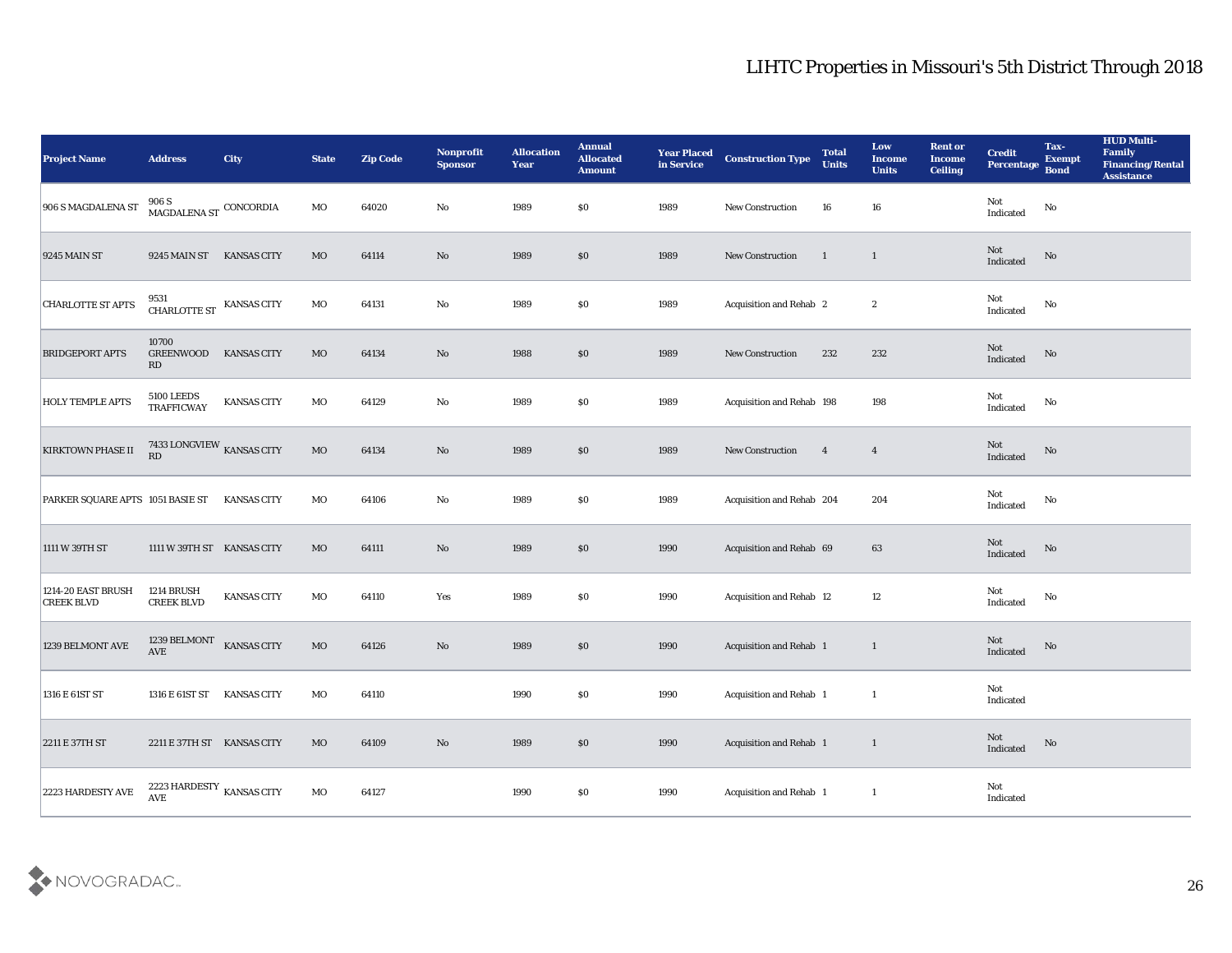| <b>Project Name</b>                     | <b>Address</b>                                      | City               | <b>State</b> | <b>Zip Code</b> | Nonprofit<br><b>Sponsor</b> | <b>Allocation</b><br><b>Year</b> | <b>Annual</b><br><b>Allocated</b><br><b>Amount</b> | <b>Year Placed</b><br>in Service | <b>Construction Type</b>       | <b>Total</b><br><b>Units</b> | Low<br><b>Income</b><br><b>Units</b> | <b>Rent or</b><br><b>Income</b><br><b>Ceiling</b> | <b>Credit</b><br>Percentage           | Tax-<br><b>Exempt</b><br><b>Bond</b> | <b>HUD Multi-</b><br>Family<br><b>Financing/Rental</b><br><b>Assistance</b> |
|-----------------------------------------|-----------------------------------------------------|--------------------|--------------|-----------------|-----------------------------|----------------------------------|----------------------------------------------------|----------------------------------|--------------------------------|------------------------------|--------------------------------------|---------------------------------------------------|---------------------------------------|--------------------------------------|-----------------------------------------------------------------------------|
| 906 S MAGDALENA ST                      | 906 S<br>$\,$ MAGDALENA ST $\,$ CONCORDIA           |                    | MO           | 64020           | No                          | 1989                             | $\$0$                                              | 1989                             | New Construction               | 16                           | 16                                   |                                                   | Not<br>Indicated                      | $\rm No$                             |                                                                             |
| <b>9245 MAIN ST</b>                     | 9245 MAIN ST                                        | <b>KANSAS CITY</b> | MO           | 64114           | No                          | 1989                             | \$0                                                | 1989                             | New Construction               | $\mathbf{1}$                 | $\mathbf{1}$                         |                                                   | Not<br>Indicated                      | No                                   |                                                                             |
| <b>CHARLOTTE ST APTS</b>                | 9531<br>CHARLOTTE ST                                | <b>KANSAS CITY</b> | MO           | 64131           | $\mathbf{No}$               | 1989                             | \$0\$                                              | 1989                             | Acquisition and Rehab 2        |                              | $\boldsymbol{2}$                     |                                                   | Not<br>Indicated                      | No                                   |                                                                             |
| <b>BRIDGEPORT APTS</b>                  | 10700<br>GREENWOOD<br>RD                            | <b>KANSAS CITY</b> | MO           | 64134           | No                          | 1988                             | $\$0$                                              | 1989                             | New Construction               | 232                          | 232                                  |                                                   | Not<br>Indicated                      | No                                   |                                                                             |
| <b>HOLY TEMPLE APTS</b>                 | <b>5100 LEEDS</b><br><b>TRAFFICWAY</b>              | <b>KANSAS CITY</b> | MO           | 64129           | No                          | 1989                             | \$0\$                                              | 1989                             | Acquisition and Rehab 198      |                              | 198                                  |                                                   | Not<br>Indicated                      | No                                   |                                                                             |
| <b>KIRKTOWN PHASE II</b>                | 7433 LONGVIEW KANSAS CITY<br>$\mathbf{R}\mathbf{D}$ |                    | MO           | 64134           | $\mathbf{N}\mathbf{o}$      | 1989                             | \$0                                                | 1989                             | <b>New Construction</b>        | $\overline{\mathbf{4}}$      | $\overline{4}$                       |                                                   | Not<br>Indicated                      | No                                   |                                                                             |
| PARKER SQUARE APTS 1051 BASIE ST        |                                                     | KANSAS CITY        | MO           | 64106           | No                          | 1989                             | $\$0$                                              | 1989                             | Acquisition and Rehab 204      |                              | 204                                  |                                                   | Not<br>Indicated                      | No                                   |                                                                             |
| 1111 W 39TH ST                          | 1111 W 39TH ST KANSAS CITY                          |                    | MO           | 64111           | $\mathbf{N}\mathbf{o}$      | 1989                             | \$0                                                | 1990                             | Acquisition and Rehab 69       |                              | 63                                   |                                                   | Not<br>Indicated                      | No                                   |                                                                             |
| 1214-20 EAST BRUSH<br><b>CREEK BLVD</b> | 1214 BRUSH<br><b>CREEK BLVD</b>                     | KANSAS CITY        | MO           | 64110           | Yes                         | 1989                             | \$0\$                                              | 1990                             | Acquisition and Rehab 12       |                              | 12                                   |                                                   | Not<br>Indicated                      | $\mathbf{No}$                        |                                                                             |
| 1239 BELMONT AVE                        | 1239 BELMONT<br><b>AVE</b>                          | KANSAS CITY        | MO           | 64126           | $\rm\thinspace No$          | 1989                             | \$0                                                | 1990                             | <b>Acquisition and Rehab 1</b> |                              | 1                                    |                                                   | Not<br>Indicated                      | No                                   |                                                                             |
| 1316 E 61ST ST                          | 1316 E 61ST ST KANSAS CITY                          |                    | MO           | 64110           |                             | 1990                             | \$0                                                | 1990                             | Acquisition and Rehab 1        |                              | -1                                   |                                                   | Not<br>Indicated                      |                                      |                                                                             |
| 2211 E 37TH ST                          | 2211 E 37TH ST KANSAS CITY                          |                    | $_{\rm MO}$  | 64109           | $\mathbf {No}$              | 1989                             | $\$0$                                              | 1990                             | Acquisition and Rehab 1        |                              | $\mathbf{1}$                         |                                                   | $\operatorname{\bf Not}$<br>Indicated | $\rm\thinspace No$                   |                                                                             |
| 2223 HARDESTY AVE                       | 2223 HARDESTY $\,$ KANSAS CITY<br>AVE               |                    | $_{\rm MO}$  | 64127           |                             | 1990                             | $\$0$                                              | 1990                             | Acquisition and Rehab 1        |                              | $\mathbf{1}$                         |                                                   | Not<br>Indicated                      |                                      |                                                                             |

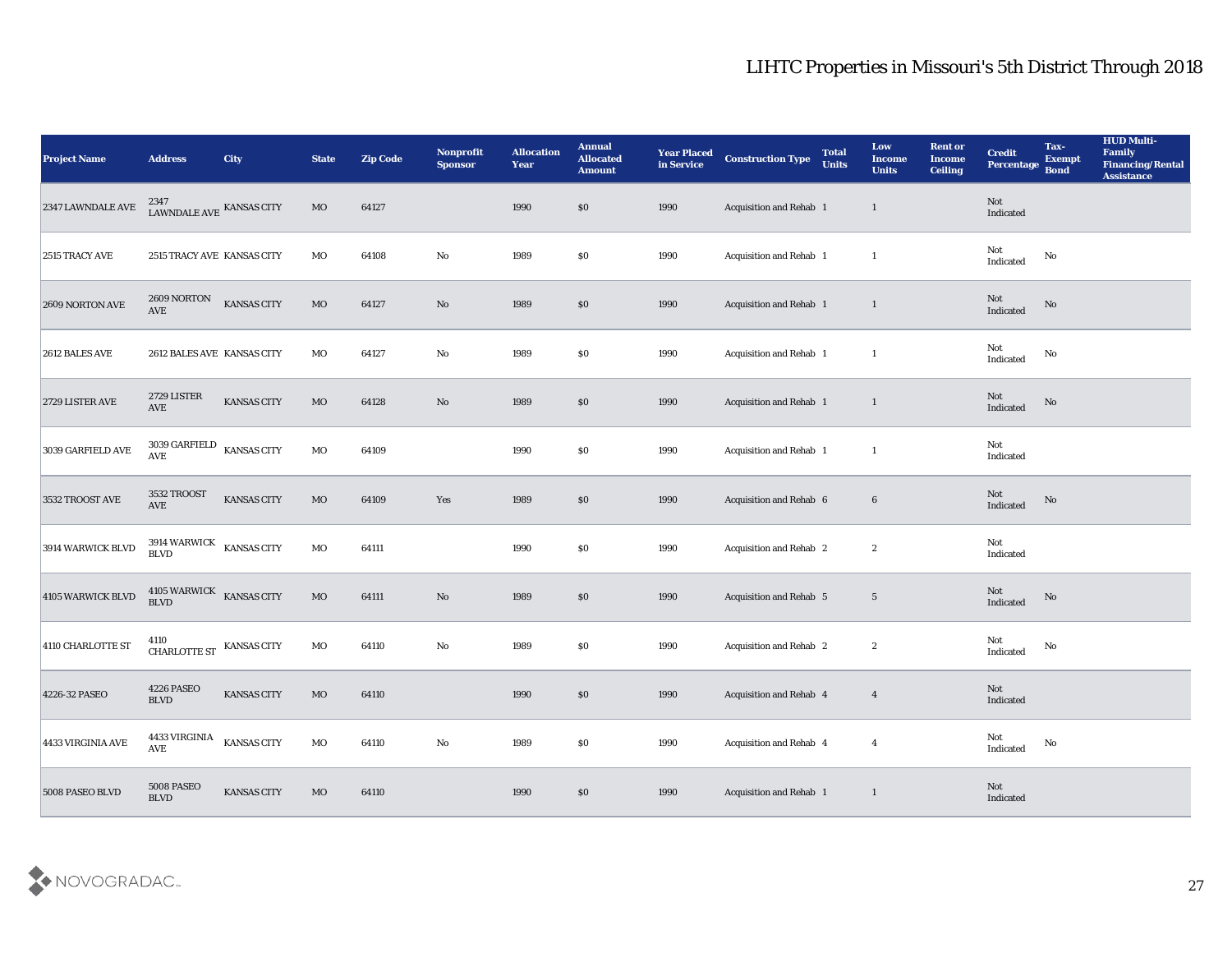| <b>Project Name</b> | <b>Address</b>                                 | City               | <b>State</b> | <b>Zip Code</b> | Nonprofit<br><b>Sponsor</b> | <b>Allocation</b><br><b>Year</b> | <b>Annual</b><br><b>Allocated</b><br><b>Amount</b> | <b>Year Placed</b><br>in Service | <b>Construction Type</b>       | <b>Total</b><br><b>Units</b> | Low<br><b>Income</b><br><b>Units</b> | <b>Rent or</b><br><b>Income</b><br><b>Ceiling</b> | <b>Credit</b><br>Percentage                       | Tax-<br><b>Exempt</b><br><b>Bond</b> | <b>HUD Multi-</b><br>Family<br><b>Financing/Rental</b><br><b>Assistance</b> |
|---------------------|------------------------------------------------|--------------------|--------------|-----------------|-----------------------------|----------------------------------|----------------------------------------------------|----------------------------------|--------------------------------|------------------------------|--------------------------------------|---------------------------------------------------|---------------------------------------------------|--------------------------------------|-----------------------------------------------------------------------------|
| 2347 LAWNDALE AVE   | LAWNDALE AVE KANSAS CITY                       |                    | MO           | 64127           |                             | 1990                             | \$0                                                | 1990                             | Acquisition and Rehab 1        |                              | $\mathbf{1}$                         |                                                   | Not<br>Indicated                                  |                                      |                                                                             |
| 2515 TRACY AVE      | 2515 TRACY AVE KANSAS CITY                     |                    | MO           | 64108           | No                          | 1989                             | $\$0$                                              | 1990                             | Acquisition and Rehab 1        |                              | $\mathbf{1}$                         |                                                   | Not<br>Indicated                                  | No                                   |                                                                             |
| 2609 NORTON AVE     | 2609 NORTON<br><b>AVE</b>                      | <b>KANSAS CITY</b> | $_{\rm MO}$  | 64127           | No                          | 1989                             | $\boldsymbol{\mathsf{S}}\boldsymbol{\mathsf{0}}$   | 1990                             | Acquisition and Rehab 1        |                              | $\mathbf{1}$                         |                                                   | Not<br>Indicated                                  | No                                   |                                                                             |
| 2612 BALES AVE      | 2612 BALES AVE KANSAS CITY                     |                    | MO           | 64127           | $\mathbf{No}$               | 1989                             | \$0                                                | 1990                             | Acquisition and Rehab 1        |                              | $\mathbf{1}$                         |                                                   | Not<br>$\operatorname{Indicated}$                 | $\mathbf{N}\mathbf{o}$               |                                                                             |
| 2729 LISTER AVE     | 2729 LISTER<br>AVE                             | KANSAS CITY        | MO           | 64128           | No                          | 1989                             | \$0                                                | 1990                             | Acquisition and Rehab 1        |                              | $\mathbf{1}$                         |                                                   | Not<br>Indicated                                  | No                                   |                                                                             |
| 3039 GARFIELD AVE   | 3039 GARFIELD<br>$\operatorname{\mathbf{AVE}}$ | <b>KANSAS CITY</b> | $_{\rm MO}$  | 64109           |                             | 1990                             | \$0                                                | 1990                             | Acquisition and Rehab 1        |                              | -1                                   |                                                   | Not<br>Indicated                                  |                                      |                                                                             |
| 3532 TROOST AVE     | 3532 TROOST<br>AVE                             | <b>KANSAS CITY</b> | $_{\rm MO}$  | 64109           | Yes                         | 1989                             | $\$0$                                              | 1990                             | Acquisition and Rehab 6        |                              | $6\phantom{.}6$                      |                                                   | Not<br>Indicated                                  | No                                   |                                                                             |
| 3914 WARWICK BLVD   | 3914 WARWICK KANSAS CITY<br><b>BLVD</b>        |                    | MO           | 64111           |                             | 1990                             | \$0                                                | 1990                             | Acquisition and Rehab 2        |                              | $\boldsymbol{2}$                     |                                                   | Not<br>Indicated                                  |                                      |                                                                             |
| 4105 WARWICK BLVD   | 4105 WARWICK<br><b>BLVD</b>                    | <b>KANSAS CITY</b> | $_{\rm MO}$  | 64111           | $\mathbf{N}\mathbf{o}$      | 1989                             | \$0                                                | 1990                             | Acquisition and Rehab 5        |                              | $5\phantom{.0}$                      |                                                   | Not<br>$\label{lem:indicated} \textbf{Indicated}$ | No                                   |                                                                             |
| 4110 CHARLOTTE ST   | 4110<br>CHARLOTTE ST KANSAS CITY               |                    | $_{\rm MO}$  | 64110           | $\rm\thinspace No$          | 1989                             | \$0                                                | 1990                             | Acquisition and Rehab 2        |                              | $\boldsymbol{2}$                     |                                                   | Not<br>Indicated                                  | No                                   |                                                                             |
| 4226-32 PASEO       | 4226 PASEO<br><b>BLVD</b>                      | KANSAS CITY        | MO           | 64110           |                             | 1990                             | \$0                                                | 1990                             | <b>Acquisition and Rehab 4</b> |                              | $\overline{4}$                       |                                                   | Not<br>Indicated                                  |                                      |                                                                             |
| 4433 VIRGINIA AVE   | 4433 VIRGINIA<br>$\operatorname{AVE}$          | <b>KANSAS CITY</b> | $_{\rm MO}$  | 64110           | $\mathbf {No}$              | 1989                             | $\$0$                                              | 1990                             | Acquisition and Rehab 4        |                              | $\boldsymbol{4}$                     |                                                   | Not<br>$\operatorname{Indicated}$                 | $\mathbf{N}\mathbf{o}$               |                                                                             |
| 5008 PASEO BLVD     | 5008 PASEO<br>$\operatorname{BLVD}$            | <b>KANSAS CITY</b> | $\rm MO$     | 64110           |                             | 1990                             | $\$0$                                              | 1990                             | Acquisition and Rehab 1        |                              | $\mathbf{1}$                         |                                                   | Not<br>Indicated                                  |                                      |                                                                             |

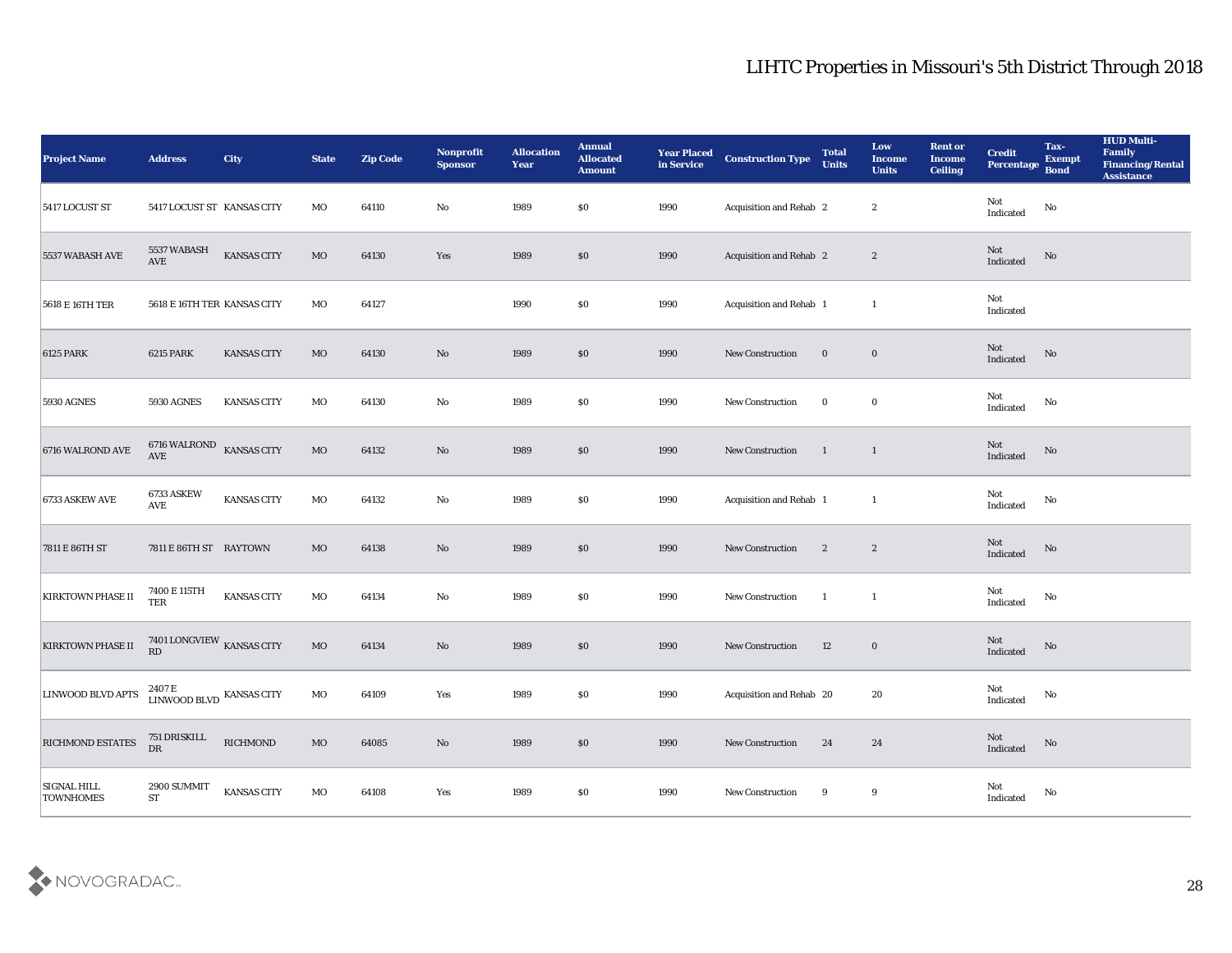| <b>Project Name</b>                    | <b>Address</b>                                    | <b>City</b>        | <b>State</b> | <b>Zip Code</b> | Nonprofit<br><b>Sponsor</b> | <b>Allocation</b><br><b>Year</b> | <b>Annual</b><br><b>Allocated</b><br><b>Amount</b> | <b>Year Placed</b><br>in Service | <b>Construction Type</b>       | <b>Total</b><br><b>Units</b> | Low<br><b>Income</b><br><b>Units</b> | <b>Rent or</b><br><b>Income</b><br><b>Ceiling</b> | <b>Credit</b><br>Percentage       | Tax-<br><b>Exempt</b><br><b>Bond</b> | <b>HUD Multi-</b><br>Family<br><b>Financing/Rental</b><br><b>Assistance</b> |
|----------------------------------------|---------------------------------------------------|--------------------|--------------|-----------------|-----------------------------|----------------------------------|----------------------------------------------------|----------------------------------|--------------------------------|------------------------------|--------------------------------------|---------------------------------------------------|-----------------------------------|--------------------------------------|-----------------------------------------------------------------------------|
| 5417 LOCUST ST                         | 5417 LOCUST ST KANSAS CITY                        |                    | MO           | 64110           | No                          | 1989                             | \$0                                                | 1990                             | Acquisition and Rehab 2        |                              | $\boldsymbol{2}$                     |                                                   | Not<br>Indicated                  | $\rm\thinspace No$                   |                                                                             |
| 5537 WABASH AVE                        | 5537 WABASH<br><b>AVE</b>                         | KANSAS CITY        | MO           | 64130           | Yes                         | 1989                             | $\$0$                                              | 1990                             | Acquisition and Rehab 2        |                              | $\mathbf{2}$                         |                                                   | Not<br>Indicated                  | No                                   |                                                                             |
| 5618 E 16TH TER                        | 5618 E 16TH TER KANSAS CITY                       |                    | MO           | 64127           |                             | 1990                             | \$0                                                | 1990                             | <b>Acquisition and Rehab 1</b> |                              | $\mathbf{1}$                         |                                                   | Not<br>Indicated                  |                                      |                                                                             |
| <b>6125 PARK</b>                       | <b>6215 PARK</b>                                  | <b>KANSAS CITY</b> | $_{\rm MO}$  | 64130           | No                          | 1989                             | \$0                                                | 1990                             | New Construction               | $\bf{0}$                     | $\bf{0}$                             |                                                   | Not<br>Indicated                  | $\rm\thinspace No$                   |                                                                             |
| <b>5930 AGNES</b>                      | <b>5930 AGNES</b>                                 | <b>KANSAS CITY</b> | MO           | 64130           | $\mathbf{No}$               | 1989                             | \$0                                                | 1990                             | New Construction               | $\bf{0}$                     | $\bf{0}$                             |                                                   | Not<br>Indicated                  | No                                   |                                                                             |
| 6716 WALROND AVE                       | 6716 WALROND KANSAS CITY<br>AVE                   |                    | <b>MO</b>    | 64132           | No                          | 1989                             | $\$0$                                              | 1990                             | New Construction               | $\overline{1}$               | $\overline{1}$                       |                                                   | Not<br>Indicated                  | No                                   |                                                                             |
| 6733 ASKEW AVE                         | 6733 ASKEW<br>AVE                                 | KANSAS CITY        | MO           | 64132           | No                          | 1989                             | \$0                                                | 1990                             | Acquisition and Rehab 1        |                              | $\mathbf{1}$                         |                                                   | Not<br>Indicated                  | No                                   |                                                                             |
| 7811 E 86TH ST                         | 7811 E 86TH ST RAYTOWN                            |                    | MO           | 64138           | No                          | 1989                             | \$0                                                | 1990                             | New Construction               | $\boldsymbol{2}$             | $\mathbf{2}$                         |                                                   | Not<br>Indicated                  | No                                   |                                                                             |
| <b>KIRKTOWN PHASE II</b>               | 7400 E 115TH<br><b>TER</b>                        | KANSAS CITY        | MO           | 64134           | No                          | 1989                             | \$0                                                | 1990                             | New Construction               | $\mathbf{1}$                 | $\mathbf{1}$                         |                                                   | Not<br>Indicated                  | $\rm\thinspace No$                   |                                                                             |
| <b>KIRKTOWN PHASE II</b>               | $7401$ LONGVIEW $_{\hbox{\small KANSAS}}$ CITY RD |                    | $\rm MO$     | 64134           | No                          | 1989                             | \$0                                                | 1990                             | <b>New Construction</b>        | 12                           | $\bf{0}$                             |                                                   | Not<br>Indicated                  | No                                   |                                                                             |
| <b>LINWOOD BLVD APTS</b>               | LINWOOD BLVD KANSAS CITY                          |                    | MO           | 64109           | Yes                         | 1989                             | \$0                                                | 1990                             | Acquisition and Rehab 20       |                              | 20                                   |                                                   | Not<br>$\operatorname{Indicated}$ | No                                   |                                                                             |
| <b>RICHMOND ESTATES</b>                | 751 DRISKILL<br>DR                                | <b>RICHMOND</b>    | $_{\rm MO}$  | 64085           | $\mathbf {No}$              | 1989                             | \$0                                                | 1990                             | New Construction               | 24                           | 24                                   |                                                   | Not<br>Indicated                  | $\rm\thinspace No$                   |                                                                             |
| <b>SIGNAL HILL</b><br><b>TOWNHOMES</b> | 2900 SUMMIT<br>${\mathbf S} {\mathbf T}$          | KANSAS CITY        | $_{\rm MO}$  | 64108           | Yes                         | 1989                             | \$0                                                | 1990                             | New Construction               | 9                            | 9                                    |                                                   | ${\rm Not}$ Indicated             | $\mathbf {No}$                       |                                                                             |

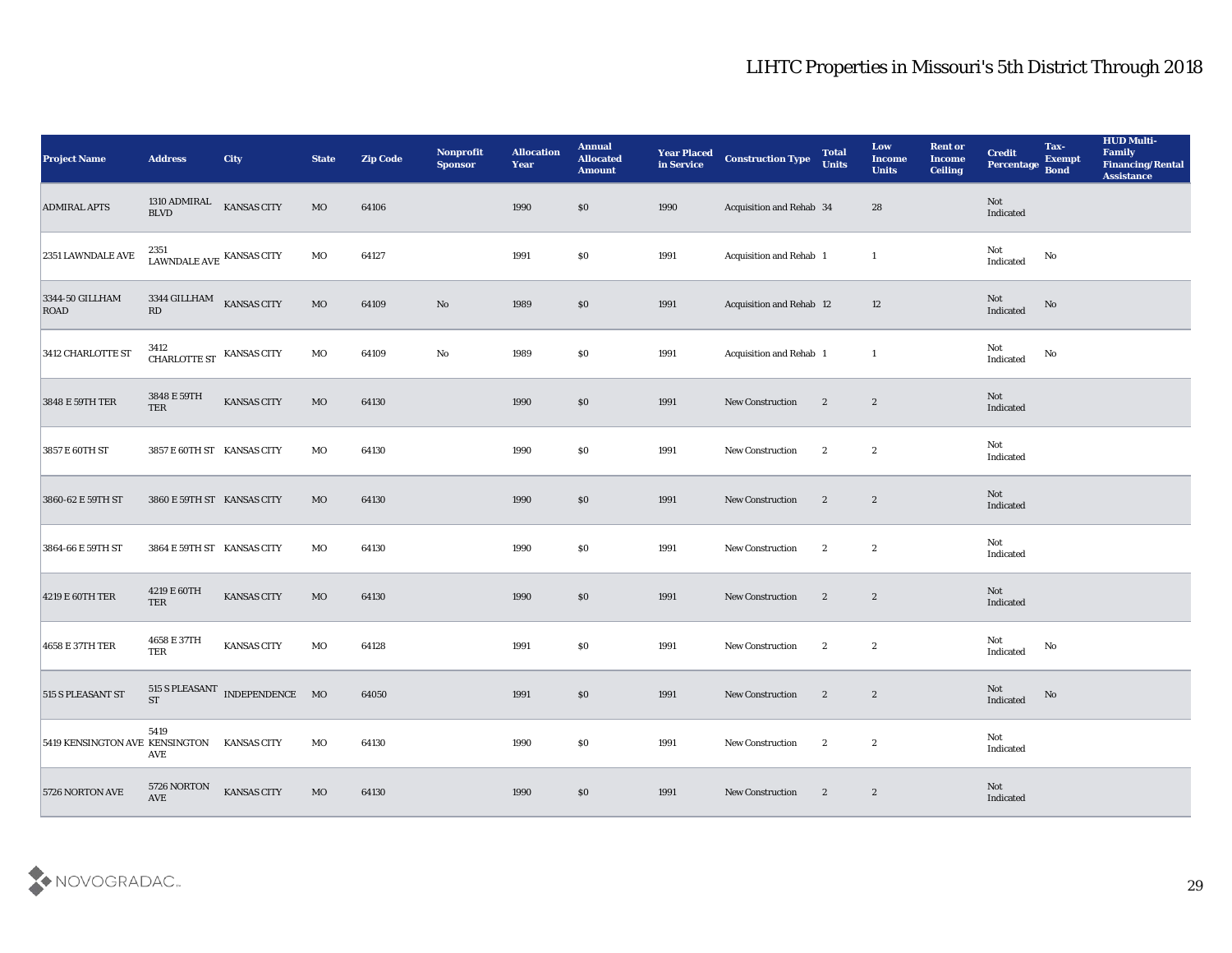| <b>Project Name</b>                        | <b>Address</b>                           | City                           | <b>State</b> | <b>Zip Code</b> | Nonprofit<br><b>Sponsor</b> | <b>Allocation</b><br>Year | <b>Annual</b><br><b>Allocated</b><br><b>Amount</b> | <b>Year Placed</b><br>in Service | <b>Construction Type</b> | <b>Total</b><br><b>Units</b> | Low<br><b>Income</b><br><b>Units</b> | <b>Rent or</b><br><b>Income</b><br><b>Ceiling</b> | <b>Credit</b><br>Percentage       | Tax-<br><b>Exempt</b><br><b>Bond</b> | <b>HUD Multi-</b><br>Family<br><b>Financing/Rental</b><br><b>Assistance</b> |
|--------------------------------------------|------------------------------------------|--------------------------------|--------------|-----------------|-----------------------------|---------------------------|----------------------------------------------------|----------------------------------|--------------------------|------------------------------|--------------------------------------|---------------------------------------------------|-----------------------------------|--------------------------------------|-----------------------------------------------------------------------------|
| <b>ADMIRAL APTS</b>                        | 1310 ADMIRAL<br>BLVD                     | KANSAS CITY                    | MO           | 64106           |                             | 1990                      | \$0                                                | 1990                             | Acquisition and Rehab 34 |                              | 28                                   |                                                   | Not<br>Indicated                  |                                      |                                                                             |
| 2351 LAWNDALE AVE                          | 2351<br>LAWNDALE AVE KANSAS CITY         |                                | MO           | 64127           |                             | 1991                      | $\$0$                                              | 1991                             | Acquisition and Rehab 1  |                              | <sup>1</sup>                         |                                                   | Not<br>Indicated                  | No                                   |                                                                             |
| 3344-50 GILLHAM<br>ROAD                    | $3344\,\, \rm GILLHAM$ KANSAS CITY<br>RD |                                | $_{\rm MO}$  | 64109           | $\rm No$                    | 1989                      | \$0                                                | 1991                             | Acquisition and Rehab 12 |                              | 12                                   |                                                   | Not<br>Indicated                  | No                                   |                                                                             |
| 3412 CHARLOTTE ST                          | $3412$ CHARLOTTE ST $\;$ KANSAS CITY     |                                | MO           | 64109           | $\mathbf {No}$              | 1989                      | \$0                                                | 1991                             | Acquisition and Rehab 1  |                              | <sup>1</sup>                         |                                                   | Not<br>$\operatorname{Indicated}$ | No                                   |                                                                             |
| 3848 E 59TH TER                            | 3848 E 59TH<br><b>TER</b>                | KANSAS CITY                    | MO           | 64130           |                             | 1990                      | \$0\$                                              | 1991                             | New Construction         | $\mathbf{2}$                 | $\boldsymbol{2}$                     |                                                   | <b>Not</b><br>Indicated           |                                      |                                                                             |
| 3857 E 60TH ST                             | 3857 E 60TH ST KANSAS CITY               |                                | MO           | 64130           |                             | 1990                      | \$0\$                                              | 1991                             | <b>New Construction</b>  | $\mathbf{2}$                 | $\boldsymbol{2}$                     |                                                   | Not<br>Indicated                  |                                      |                                                                             |
| 3860-62 E 59TH ST                          | 3860 E 59TH ST KANSAS CITY               |                                | MO           | 64130           |                             | 1990                      | \$0                                                | 1991                             | <b>New Construction</b>  | $\boldsymbol{2}$             | $\boldsymbol{2}$                     |                                                   | Not<br>Indicated                  |                                      |                                                                             |
| 3864-66 E 59TH ST                          | 3864 E 59TH ST KANSAS CITY               |                                | MO           | 64130           |                             | 1990                      | \$0                                                | 1991                             | <b>New Construction</b>  | $\mathbf{2}$                 | $\boldsymbol{2}$                     |                                                   | Not<br>Indicated                  |                                      |                                                                             |
| 4219 E 60TH TER                            | 4219 E 60TH<br><b>TER</b>                | <b>KANSAS CITY</b>             | MO           | 64130           |                             | 1990                      | \$0\$                                              | 1991                             | New Construction         | $\mathbf{2}$                 | $\boldsymbol{2}$                     |                                                   | Not<br>Indicated                  |                                      |                                                                             |
| 4658 E 37TH TER                            | 4658 E 37TH<br>TER                       | <b>KANSAS CITY</b>             | MO           | 64128           |                             | 1991                      | \$0\$                                              | 1991                             | New Construction         | $\mathbf{2}$                 | $\boldsymbol{2}$                     |                                                   | Not<br>$\operatorname{Indicated}$ | No                                   |                                                                             |
| 515 S PLEASANT ST                          | <b>ST</b>                                | 515 S PLEASANT INDEPENDENCE MO |              | 64050           |                             | 1991                      | $\$0$                                              | 1991                             | <b>New Construction</b>  | $\mathbf{2}$                 | $\mathbf{2}$                         |                                                   | Not<br>Indicated                  | No                                   |                                                                             |
| 5419 KENSINGTON AVE KENSINGTON KANSAS CITY | 5419<br>AVE                              |                                | MO           | 64130           |                             | 1990                      | $\$0$                                              | 1991                             | New Construction         | $\mathbf{2}$                 | $\mathbf{2}$                         |                                                   | Not<br>Indicated                  |                                      |                                                                             |
| 5726 NORTON AVE                            | 5726 NORTON<br><b>AVE</b>                | <b>KANSAS CITY</b>             | MO           | 64130           |                             | 1990                      | \$0                                                | 1991                             | <b>New Construction</b>  | $\mathbf{2}$                 | $\mathbf{2}$                         |                                                   | Not<br>Indicated                  |                                      |                                                                             |

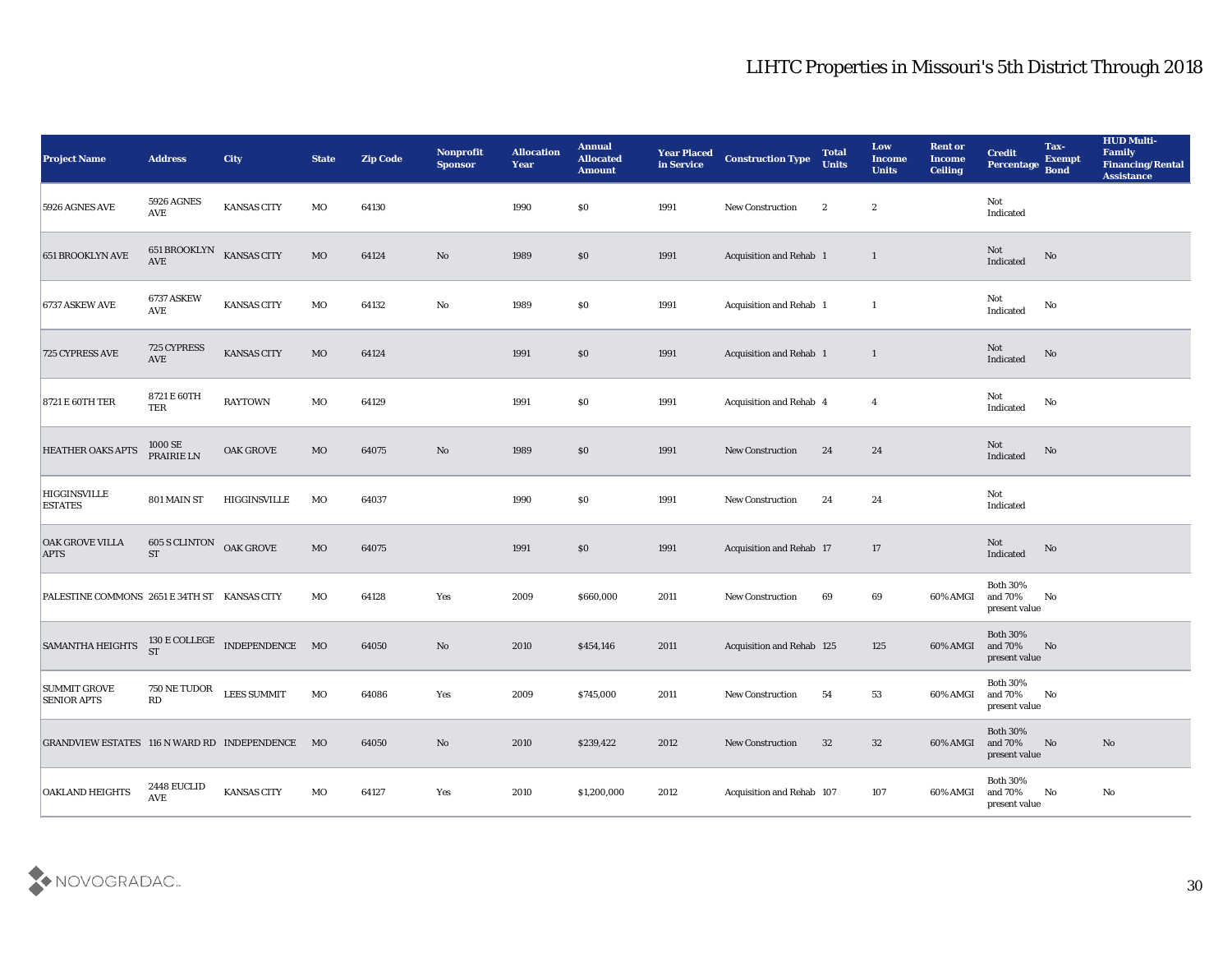| <b>Project Name</b>                             | <b>Address</b>                            | <b>City</b>                                            | <b>State</b> | <b>Zip Code</b> | Nonprofit<br><b>Sponsor</b> | <b>Allocation</b><br><b>Year</b> | <b>Annual</b><br><b>Allocated</b><br><b>Amount</b> | <b>Year Placed</b><br>in Service | <b>Construction Type</b>        | <b>Total</b><br><b>Units</b> | Low<br><b>Income</b><br><b>Units</b> | <b>Rent or</b><br><b>Income</b><br><b>Ceiling</b> | <b>Credit</b><br>Percentage                 | Tax-<br><b>Exempt</b><br><b>Bond</b> | <b>HUD Multi-</b><br>Family<br><b>Financing/Rental</b><br><b>Assistance</b> |
|-------------------------------------------------|-------------------------------------------|--------------------------------------------------------|--------------|-----------------|-----------------------------|----------------------------------|----------------------------------------------------|----------------------------------|---------------------------------|------------------------------|--------------------------------------|---------------------------------------------------|---------------------------------------------|--------------------------------------|-----------------------------------------------------------------------------|
| 5926 AGNES AVE                                  | <b>5926 AGNES</b><br>$\operatorname{AVE}$ | KANSAS CITY                                            | MO           | 64130           |                             | 1990                             | $\$0$                                              | 1991                             | New Construction                | $\boldsymbol{2}$             | $\boldsymbol{2}$                     |                                                   | Not<br>Indicated                            |                                      |                                                                             |
| <b>651 BROOKLYN AVE</b>                         | 651 BROOKLYN<br><b>AVE</b>                | <b>KANSAS CITY</b>                                     | $_{\rm MO}$  | 64124           | $\rm No$                    | 1989                             | $\$0$                                              | 1991                             | Acquisition and Rehab 1         |                              | $\mathbf{1}$                         |                                                   | Not<br>Indicated                            | No                                   |                                                                             |
| 6737 ASKEW AVE                                  | 6737 ASKEW<br><b>AVE</b>                  | KANSAS CITY                                            | MO           | 64132           | $\rm\thinspace No$          | 1989                             | \$0                                                | 1991                             | Acquisition and Rehab 1         |                              | $\mathbf{1}$                         |                                                   | Not<br>Indicated                            | No                                   |                                                                             |
| 725 CYPRESS AVE                                 | 725 CYPRESS<br>$\operatorname{AVE}$       | KANSAS CITY                                            | MO           | 64124           |                             | 1991                             | \$0\$                                              | 1991                             | Acquisition and Rehab 1         |                              | $\mathbf{1}$                         |                                                   | Not<br>Indicated                            | $\rm No$                             |                                                                             |
| <b>8721 E 60TH TER</b>                          | 8721 E 60TH<br>TER                        | <b>RAYTOWN</b>                                         | MO           | 64129           |                             | 1991                             | \$0\$                                              | 1991                             | Acquisition and Rehab 4         |                              | $\overline{4}$                       |                                                   | Not<br>Indicated                            | No                                   |                                                                             |
| <b>HEATHER OAKS APTS</b>                        | 1000 SE<br>PRAIRIE LN                     | <b>OAK GROVE</b>                                       | MO           | 64075           | No                          | 1989                             | $\$0$                                              | 1991                             | New Construction                | 24                           | 24                                   |                                                   | Not<br>Indicated                            | No                                   |                                                                             |
| <b>HIGGINSVILLE</b><br><b>ESTATES</b>           | 801 MAIN ST                               | HIGGINSVILLE                                           | MO           | 64037           |                             | 1990                             | \$0\$                                              | 1991                             | New Construction                | 24                           | 24                                   |                                                   | Not<br>Indicated                            |                                      |                                                                             |
| <b>OAK GROVE VILLA</b><br><b>APTS</b>           | 605 S CLINTON<br><b>ST</b>                | OAK GROVE                                              | $_{\rm MO}$  | 64075           |                             | 1991                             | \$0\$                                              | 1991                             | <b>Acquisition and Rehab 17</b> |                              | 17                                   |                                                   | Not<br>Indicated                            | No                                   |                                                                             |
| PALESTINE COMMONS 2651 E 34TH ST KANSAS CITY    |                                           |                                                        | MO           | 64128           | Yes                         | 2009                             | \$660,000                                          | 2011                             | New Construction                | 69                           | 69                                   | 60% AMGI                                          | <b>Both 30%</b><br>and 70%<br>present value | No                                   |                                                                             |
| <b>SAMANTHA HEIGHTS</b>                         |                                           | $130\,\mathrm{E}\,\mathrm{COLLEGE}$ INDEPENDENCE MO ST |              | 64050           | No                          | 2010                             | \$454,146                                          | 2011                             | Acquisition and Rehab 125       |                              | 125                                  | 60% AMGI                                          | <b>Both 30%</b><br>and 70%<br>present value | No                                   |                                                                             |
| <b>SUMMIT GROVE</b><br><b>SENIOR APTS</b>       | 750 NE TUDOR<br>RD                        | <b>LEES SUMMIT</b>                                     | MO           | 64086           | Yes                         | 2009                             | \$745,000                                          | 2011                             | <b>New Construction</b>         | 54                           | 53                                   | 60% AMGI and 70%                                  | <b>Both 30%</b><br>$\,$ present value       | No                                   |                                                                             |
| GRANDVIEW ESTATES 116 N WARD RD INDEPENDENCE MO |                                           |                                                        |              | 64050           | $\mathbf {No}$              | 2010                             | \$239,422                                          | 2012                             | New Construction                | 32                           | 32                                   | 60% AMGI                                          | <b>Both 30%</b><br>and 70%<br>present value | N <sub>o</sub>                       | $\mathbf{N}\mathbf{o}$                                                      |
| <b>OAKLAND HEIGHTS</b>                          | 2448 EUCLID<br><b>AVE</b>                 | <b>KANSAS CITY</b>                                     | MO           | 64127           | Yes                         | 2010                             | \$1,200,000                                        | 2012                             | Acquisition and Rehab 107       |                              | 107                                  | 60% AMGI                                          | <b>Both 30%</b><br>and 70%<br>present value | No                                   | No                                                                          |

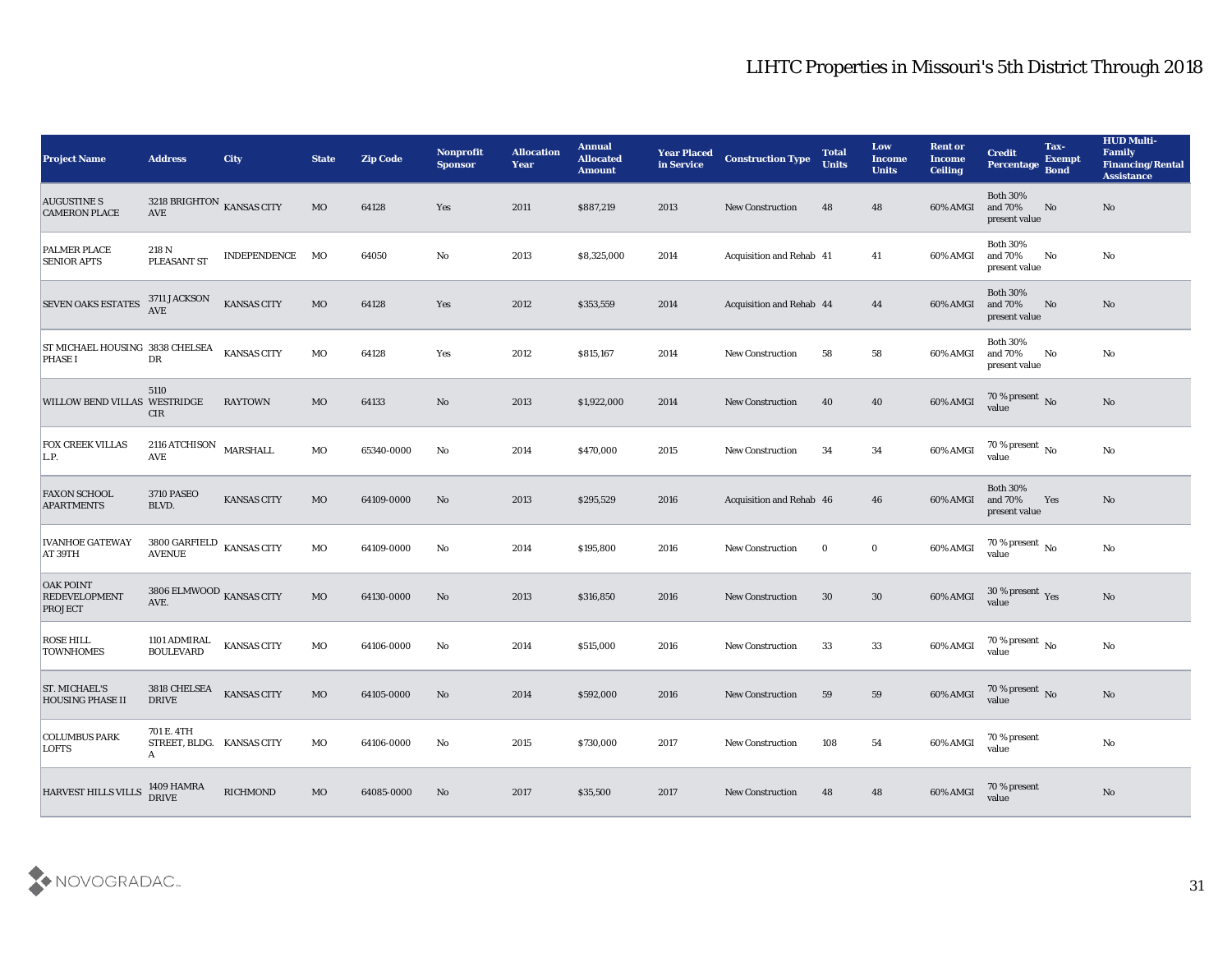| <b>Project Name</b>                                        | <b>Address</b>                                          | <b>City</b>        | <b>State</b> | <b>Zip Code</b> | <b>Nonprofit</b><br><b>Sponsor</b> | <b>Allocation</b><br><b>Year</b> | <b>Annual</b><br><b>Allocated</b><br><b>Amount</b> | <b>Year Placed</b><br>in Service | <b>Construction Type</b>        | <b>Total</b><br><b>Units</b> | Low<br><b>Income</b><br><b>Units</b> | <b>Rent or</b><br><b>Income</b><br><b>Ceiling</b> | <b>Credit</b><br>Percentage                 | Tax-<br><b>Exempt</b><br><b>Bond</b> | <b>HUD Multi-</b><br>Family<br><b>Financing/Rental</b><br><b>Assistance</b> |
|------------------------------------------------------------|---------------------------------------------------------|--------------------|--------------|-----------------|------------------------------------|----------------------------------|----------------------------------------------------|----------------------------------|---------------------------------|------------------------------|--------------------------------------|---------------------------------------------------|---------------------------------------------|--------------------------------------|-----------------------------------------------------------------------------|
| <b>AUGUSTINE S</b><br><b>CAMERON PLACE</b>                 | 3218 BRIGHTON KANSAS CITY<br>$\operatorname{AVE}$       |                    | MO           | 64128           | Yes                                | 2011                             | \$887,219                                          | 2013                             | <b>New Construction</b>         | 48                           | 48                                   | 60% AMGI                                          | <b>Both 30%</b><br>and 70%<br>present value | No                                   | No                                                                          |
| PALMER PLACE<br><b>SENIOR APTS</b>                         | 218 N<br>PLEASANT ST                                    | INDEPENDENCE       | MO           | 64050           | No                                 | 2013                             | \$8,325,000                                        | 2014                             | <b>Acquisition and Rehab 41</b> |                              | 41                                   | 60% AMGI                                          | <b>Both 30%</b><br>and 70%<br>present value | No                                   | No                                                                          |
| <b>SEVEN OAKS ESTATES</b>                                  | 3711 JACKSON<br><b>AVE</b>                              | <b>KANSAS CITY</b> | MO           | 64128           | Yes                                | 2012                             | \$353,559                                          | 2014                             | <b>Acquisition and Rehab 44</b> |                              | 44                                   | 60% AMGI                                          | <b>Both 30%</b><br>and 70%<br>present value | No                                   | No                                                                          |
| ST MICHAEL HOUSING 3838 CHELSEA<br><b>PHASE I</b>          | DR                                                      | <b>KANSAS CITY</b> | MO           | 64128           | Yes                                | 2012                             | \$815,167                                          | 2014                             | <b>New Construction</b>         | 58                           | 58                                   | 60% AMGI                                          | <b>Both 30%</b><br>and 70%<br>present value | No                                   | No                                                                          |
| <b>WILLOW BEND VILLAS WESTRIDGE</b>                        | 5110<br><b>CIR</b>                                      | <b>RAYTOWN</b>     | MO           | 64133           | No                                 | 2013                             | \$1,922,000                                        | 2014                             | <b>New Construction</b>         | 40                           | 40                                   | 60% AMGI                                          | $70\,\%$ present $\,$ No value              |                                      | No                                                                          |
| <b>FOX CREEK VILLAS</b><br>L.P.                            | 2116 ATCHISON<br>AVE                                    | MARSHALL           | MO           | 65340-0000      | No                                 | 2014                             | \$470,000                                          | 2015                             | <b>New Construction</b>         | 34                           | 34                                   | 60% AMGI                                          | 70 % present $\,$ No $\,$<br>value          |                                      | No                                                                          |
| <b>FAXON SCHOOL</b><br><b>APARTMENTS</b>                   | <b>3710 PASEO</b><br>BLVD.                              | <b>KANSAS CITY</b> | MO           | 64109-0000      | No                                 | 2013                             | \$295,529                                          | 2016                             | Acquisition and Rehab 46        |                              | 46                                   | 60% AMGI                                          | <b>Both 30%</b><br>and 70%<br>present value | Yes                                  | No                                                                          |
| <b>IVANHOE GATEWAY</b><br>AT 39TH                          | $3800$ GARFIELD $\,$ KANSAS CITY<br><b>AVENUE</b>       |                    | MO           | 64109-0000      | No                                 | 2014                             | \$195,800                                          | 2016                             | <b>New Construction</b>         | $\bf{0}$                     | $\bf{0}$                             | 60% AMGI                                          | 70 % present $\,$ No $\,$<br>value          |                                      | No                                                                          |
| <b>OAK POINT</b><br><b>REDEVELOPMENT</b><br><b>PROJECT</b> | 3806 ELMWOOD $_{\rm KANSAS}$ CITY<br>AVE.               |                    | MO           | 64130-0000      | No                                 | 2013                             | \$316,850                                          | 2016                             | <b>New Construction</b>         | 30                           | 30                                   | 60% AMGI                                          | $30\,\%$ present $\,$ Yes value             |                                      | No                                                                          |
| <b>ROSE HILL</b><br><b>TOWNHOMES</b>                       | 1101 ADMIRAL<br><b>BOULEVARD</b>                        | <b>KANSAS CITY</b> | MO           | 64106-0000      | No                                 | 2014                             | \$515,000                                          | 2016                             | <b>New Construction</b>         | 33                           | 33                                   | 60% AMGI                                          | $70\,\%$ present $\,$ No value              |                                      | $\mathbf{N}\mathbf{o}$                                                      |
| <b>ST. MICHAEL'S</b><br><b>HOUSING PHASE II</b>            | 3818 CHELSEA<br><b>DRIVE</b>                            | <b>KANSAS CITY</b> | MO           | 64105-0000      | No                                 | 2014                             | \$592,000                                          | 2016                             | <b>New Construction</b>         | 59                           | 59                                   | 60% AMGI                                          | 70 % present No<br>value                    |                                      | No                                                                          |
| <b>COLUMBUS PARK</b><br><b>LOFTS</b>                       | 701 E. 4TH<br>STREET, BLDG. KANSAS CITY<br>$\mathbf{A}$ |                    | MO           | 64106-0000      | No                                 | 2015                             | \$730,000                                          | 2017                             | New Construction                | 108                          | 54                                   | 60% AMGI                                          | 70 % present<br>value                       |                                      | $\mathbf{N}\mathbf{o}$                                                      |
| HARVEST HILLS VILLS                                        | 1409 HAMRA<br>DRIVE                                     | <b>RICHMOND</b>    | MO           | 64085-0000      | No                                 | 2017                             | \$35,500                                           | 2017                             | <b>New Construction</b>         | 48                           | 48                                   | 60% AMGI                                          | 70 % present<br>value                       |                                      | $\rm \bf No$                                                                |